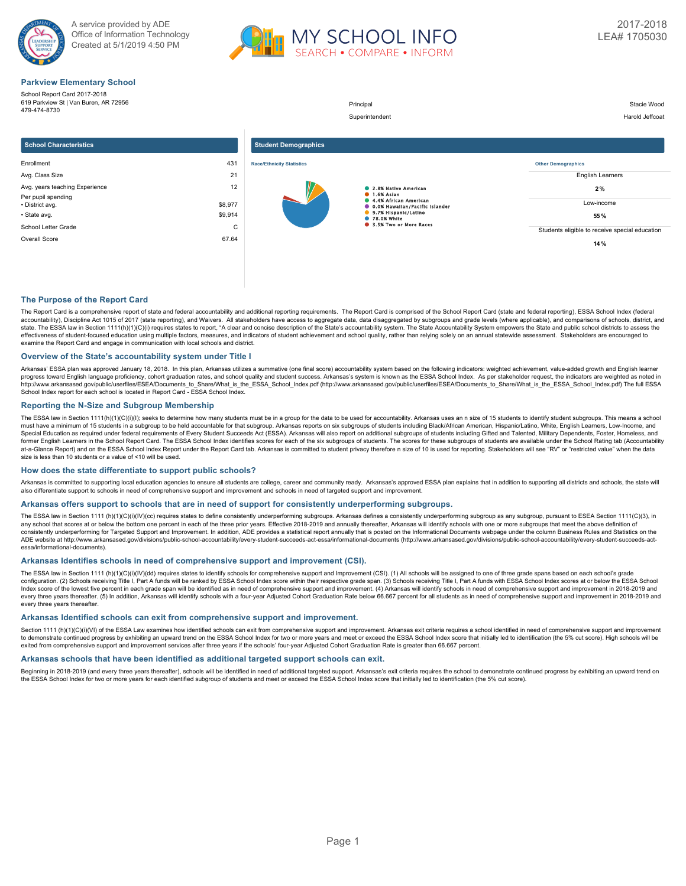

Per p

A service provided by ADE Office of Information Technology Created at 5/1/2019 4:50 PM



### **Parkview Elementary School**

| School Report Card 2017-2018<br>619 Parkview St   Van Buren, AR 72956<br>479-474-8730 |         |                                  | Principal<br>Superintendent                                     | Stacie Wood<br>Harold Jeffcoat                 |
|---------------------------------------------------------------------------------------|---------|----------------------------------|-----------------------------------------------------------------|------------------------------------------------|
| <b>School Characteristics</b>                                                         |         | <b>Student Demographics</b>      |                                                                 |                                                |
| Enrollment                                                                            | 431     | <b>Race/Ethnicity Statistics</b> |                                                                 | <b>Other Demographics</b>                      |
| Avg. Class Size                                                                       | 21      |                                  |                                                                 | English Learners                               |
| Avg. years teaching Experience<br>Per pupil spending                                  | 12      |                                  | 2.8% Native American<br><b>1.6% Aslan</b>                       | 2%                                             |
| · District avg.                                                                       | \$8,977 |                                  | 4.4% African American<br><b>CO.0% Hawallan/Pacific Islander</b> | Low-income                                     |
| · State avg.                                                                          | \$9,914 |                                  | 9.7% Hispanic/Latino<br><b>12.0% White</b>                      | 55 %                                           |
| School Letter Grade                                                                   | C       |                                  | 3.5% Two or More Races                                          | Students eligible to receive special education |
| Overall Score                                                                         | 67.64   |                                  |                                                                 | 14 %                                           |

### **The Purpose of the Report Card**

The Report Card is a comprehensive report of state and federal accountability and additional reporting requirements. The Report Card is comprised of the School Report Card (state and federal reporting). ESSA School Index ( accountability), Discipline Act 1015 of 2017 (state reporting), and Waivers. All stakeholders have access to aggregate data, data disaggregated by subgroups and grade levels (where applicable), and comparisons of schools, state. The ESSA law in Section 1111(h)(1)(C)(i) requires states to report, "A clear and concise description of the State's accountability system. The State Accountability System empowers the State and public school distric effectiveness of student-focused education using multiple factors, measures, and indicators of student achievement and school quality, rather than relying solely on an annual statewide assessment. Stakeholders are encoura

### **Overview of the State's accountability system under Title I**

Arkansas' ESSA plan was approved January 18, 2018. In this plan, Arkansas utilizes a summative (one final score) accountability system based on the following indicators: weighted achievement, value-added growth and English progress toward English language proficiency, cohort graduation rates, and school quality and student success. Arkansas's system is known as the ESSA School Index. As per stakeholder request, the indicators are weighted as School Index report for each school is located in Report Card - ESSA School Index.

### **Reporting the N-Size and Subgroup Membership**

The ESSA law in Section 1111(h)(1)(C)(i)(l); seeks to determine how many students must be in a group for the data to be used for accountability. Arkansas uses an n size of 15 students to identify student subgroups. This me must have a minimum of 15 students in a subgroup to be held accountable for that subgroup. Arkansas reports on six subgroups of students including Black/African American, Hispanic/Latino, White, English Learners, Low-Incom Special Education as required under federal requirements of Every Student Succeeds Act (ESSA). Arkansas will also report on additional subgroups of students including Gifted and Talented, Military Dependents, Foster, Homel former English Learners in the School Report Card. The ESSA School Index identifies scores for each of the six subgroups of students. The scores for these subgroups of students are available under the School Rating tab (Ac at-a-Glance Report) and on the ESSA School Index Report under the Report Card tab. Arkansas is committed to student privacy therefore n size of 10 is used for reporting. Stakeholders will see "RV" or "restricted value" whe size is less than 10 students or a value of <10 will be used.

### **How does the state differentiate to support public schools?**

Arkansas is committed to supporting local education agencies to ensure all students are college, career and community ready. Arkansas's approved ESSA plan explains that in addition to supporting all districts and schools, also differentiate support to schools in need of comprehensive support and improvement and schools in need of targeted support and improvement.

### **Arkansas offers support to schools that are in need of support for consistently underperforming subgroups.**

The ESSA law in Section 1111 (h)(1)(O)(i)(IV)(cc) requires states to define consistently underperforming subgroups. Arkansas defines a consistently underperforming subgroups as any subgroup, pursuant to ESEA Section 1111(C any school that scores at or below the bottom one percent in each of the three prior years. Effective 2018-2019 and annually thereafter. Arkansas will identify schools with one or more subgroups that meet the above definit consistently underperforming for Targeted Support and Improvement. In addition, ADE provides a statistical report annually that is posted on the Informational Documents webpage under the column Business Rules and Statistic ADE website at http://www.arkansased.gov/divisions/public-school-accountability/every-student-succeeds-act-essa/informational-documents (http://www.arkansased.gov/divisions/public-school-accountability/every-student-succee essa/informational-documents).

### **Arkansas Identifies schools in need of comprehensive support and improvement (CSI).**

The ESSA law in Section 1111 (h)(1)(C)(i)(IV)(dd) requires states to identify schools for comprehensive support and Improvement (CSI). (1) All schools will be assigned to one of three grade spans based on each school's gra configuration. (2) Schools receiving Title I, Part A funds will be ranked by ESSA School Index score within their respective grade span. (3) Schools receiving Title I, Part A funds with ESSA School Index scores at or below every three years thereafter. (5) In addition, Arkansas will identify schools with a four-year Adjusted Cohort Graduation Rate below 66.667 percent for all students as in need of comprehensive support and improvement in 20 every three years thereafter.

### **Arkansas Identified schools can exit from comprehensive support and improvement.**

Section 1111 (h)(1)(C)(i)(VI) of the ESSA Law examines how identified schools can exit from comprehensive support and improvement. Arkansas exit criteria requires a school identified in need of comprehensive support and im to demonstrate continued progress by exhibiting an upward trend on the ESSA School Index for two or more years and meet or exceed the ESSA School Index score that initially led to identification (the 5% cut score). High sc exited from comprehensive support and improvement services after three years if the schools' four-year Adjusted Cohort Graduation Rate is greater than 66.667 percent.

### **Arkansas schools that have been identified as additional targeted support schools can exit.**

Beginning in 2018-2019 (and every three years thereafter), schools will be identified in need of additional targeted support. Arkansas's exit criteria requires the school to demonstrate continued progress by exhibiting an the ESSA School Index for two or more years for each identified subgroup of students and meet or exceed the ESSA School Index score that initially led to identification (the 5% cut score).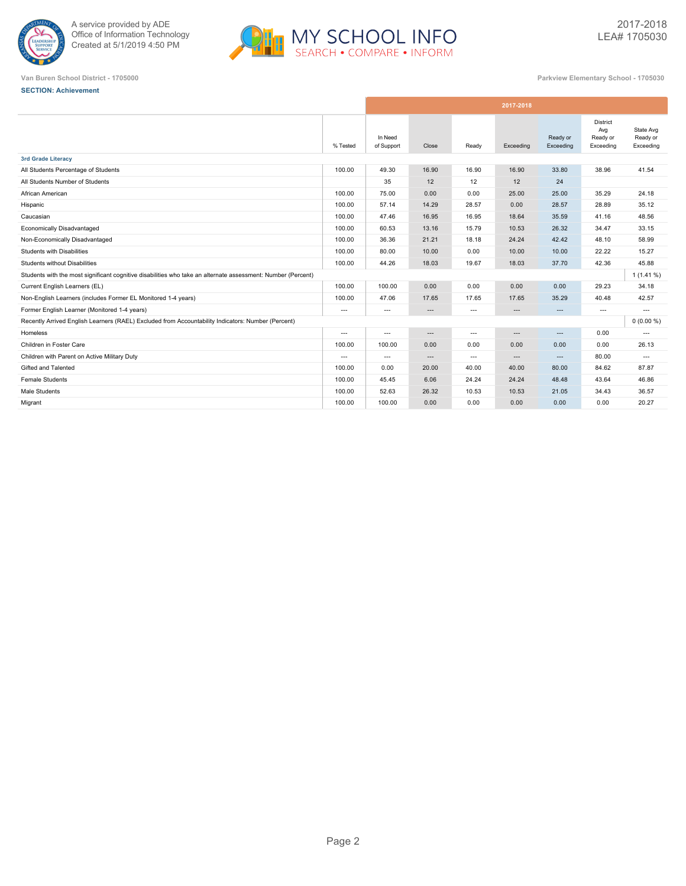



## **SECTION: Achievement**

|                                                                                                              |          |                       |          |          | 2017-2018                |                       |                                          |                                    |
|--------------------------------------------------------------------------------------------------------------|----------|-----------------------|----------|----------|--------------------------|-----------------------|------------------------------------------|------------------------------------|
|                                                                                                              | % Tested | In Need<br>of Support | Close    | Ready    | Exceeding                | Ready or<br>Exceeding | District<br>Avg<br>Ready or<br>Exceeding | State Avg<br>Ready or<br>Exceeding |
| <b>3rd Grade Literacy</b>                                                                                    |          |                       |          |          |                          |                       |                                          |                                    |
| All Students Percentage of Students                                                                          | 100.00   | 49.30                 | 16.90    | 16.90    | 16.90                    | 33.80                 | 38.96                                    | 41.54                              |
| All Students Number of Students                                                                              |          | 35                    | 12       | 12       | 12                       | 24                    |                                          |                                    |
| African American                                                                                             | 100.00   | 75.00                 | 0.00     | 0.00     | 25.00                    | 25.00                 | 35.29                                    | 24.18                              |
| Hispanic                                                                                                     | 100.00   | 57.14                 | 14.29    | 28.57    | 0.00                     | 28.57                 | 28.89                                    | 35.12                              |
| Caucasian                                                                                                    | 100.00   | 47.46                 | 16.95    | 16.95    | 18.64                    | 35.59                 | 41.16                                    | 48.56                              |
| Economically Disadvantaged                                                                                   | 100.00   | 60.53                 | 13.16    | 15.79    | 10.53                    | 26.32                 | 34.47                                    | 33.15                              |
| Non-Economically Disadvantaged                                                                               | 100.00   | 36.36                 | 21.21    | 18.18    | 24.24                    | 42.42                 | 48.10                                    | 58.99                              |
| <b>Students with Disabilities</b>                                                                            | 100.00   | 80.00                 | 10.00    | 0.00     | 10.00                    | 10.00                 | 22.22                                    | 15.27                              |
| Students without Disabilities                                                                                | 100.00   | 44.26                 | 18.03    | 19.67    | 18.03                    | 37.70                 | 42.36                                    | 45.88                              |
| Students with the most significant cognitive disabilities who take an alternate assessment: Number (Percent) |          |                       |          |          |                          |                       |                                          | $1(1.41\%)$                        |
| Current English Learners (EL)                                                                                | 100.00   | 100.00                | 0.00     | 0.00     | 0.00                     | 0.00                  | 29.23                                    | 34.18                              |
| Non-English Learners (includes Former EL Monitored 1-4 years)                                                | 100.00   | 47.06                 | 17.65    | 17.65    | 17.65                    | 35.29                 | 40.48                                    | 42.57                              |
| Former English Learner (Monitored 1-4 years)                                                                 | ---      | $\cdots$              | $\cdots$ | $\cdots$ | $\hspace{0.05cm} \ldots$ | $\cdots$              | $\cdots$                                 | $\qquad \qquad -$                  |
| Recently Arrived English Learners (RAEL) Excluded from Accountability Indicators: Number (Percent)           |          |                       |          |          |                          |                       |                                          | $0(0.00\%)$                        |
| Homeless                                                                                                     | $---$    | $\cdots$              | $\cdots$ | $\cdots$ | $\cdots$                 | $\cdots$              | 0.00                                     | $---$                              |
| Children in Foster Care                                                                                      | 100.00   | 100.00                | 0.00     | 0.00     | 0.00                     | 0.00                  | 0.00                                     | 26.13                              |
| Children with Parent on Active Military Duty                                                                 | ---      | $\cdots$              | $\cdots$ | $\cdots$ | $\cdots$                 | $\cdots$              | 80.00                                    | $\qquad \qquad -$                  |
| Gifted and Talented                                                                                          | 100.00   | 0.00                  | 20.00    | 40.00    | 40.00                    | 80.00                 | 84.62                                    | 87.87                              |
| <b>Female Students</b>                                                                                       | 100.00   | 45.45                 | 6.06     | 24.24    | 24.24                    | 48.48                 | 43.64                                    | 46.86                              |
| Male Students                                                                                                | 100.00   | 52.63                 | 26.32    | 10.53    | 10.53                    | 21.05                 | 34.43                                    | 36.57                              |

Migrant 100.00 100.00 0.00 0.00 0.00 0.00 0.00 20.27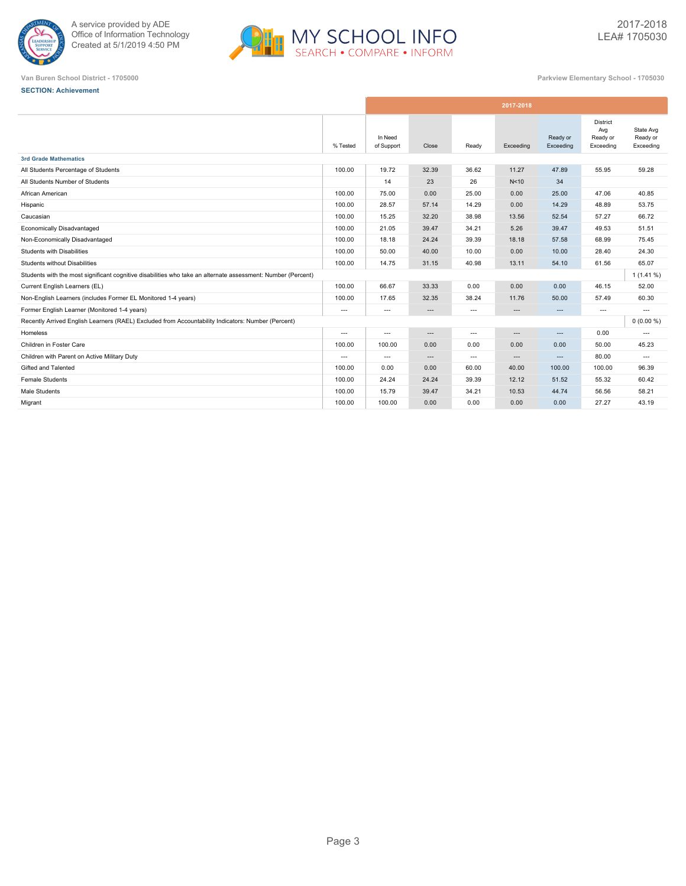

í,



# **Van Buren School District - 1705000 Parkview Elementary School - 1705030**

|                                                                                                              |                      |                       |                          |          | 2017-2018                |                          |                                                 |                                    |
|--------------------------------------------------------------------------------------------------------------|----------------------|-----------------------|--------------------------|----------|--------------------------|--------------------------|-------------------------------------------------|------------------------------------|
|                                                                                                              | % Tested             | In Need<br>of Support | Close                    | Ready    | Exceeding                | Ready or<br>Exceeding    | <b>District</b><br>Avg<br>Ready or<br>Exceeding | State Avg<br>Ready or<br>Exceeding |
| <b>3rd Grade Mathematics</b>                                                                                 |                      |                       |                          |          |                          |                          |                                                 |                                    |
| All Students Percentage of Students                                                                          | 100.00               | 19.72                 | 32.39                    | 36.62    | 11.27                    | 47.89                    | 55.95                                           | 59.28                              |
| All Students Number of Students                                                                              |                      | 14                    | 23                       | 26       | N<10                     | 34                       |                                                 |                                    |
| African American                                                                                             | 100.00               | 75.00                 | 0.00                     | 25.00    | 0.00                     | 25.00                    | 47.06                                           | 40.85                              |
| Hispanic                                                                                                     | 100.00               | 28.57                 | 57.14                    | 14.29    | 0.00                     | 14.29                    | 48.89                                           | 53.75                              |
| Caucasian                                                                                                    | 100.00               | 15.25                 | 32.20                    | 38.98    | 13.56                    | 52.54                    | 57.27                                           | 66.72                              |
| Economically Disadvantaged                                                                                   | 100.00               | 21.05                 | 39.47                    | 34.21    | 5.26                     | 39.47                    | 49.53                                           | 51.51                              |
| Non-Economically Disadvantaged                                                                               | 100.00               | 18.18                 | 24.24                    | 39.39    | 18.18                    | 57.58                    | 68.99                                           | 75.45                              |
| <b>Students with Disabilities</b>                                                                            | 100.00               | 50.00                 | 40.00                    | 10.00    | 0.00                     | 10.00                    | 28.40                                           | 24.30                              |
| <b>Students without Disabilities</b>                                                                         | 100.00               | 14.75                 | 31.15                    | 40.98    | 13.11                    | 54.10                    | 61.56                                           | 65.07                              |
| Students with the most significant cognitive disabilities who take an alternate assessment: Number (Percent) |                      |                       |                          |          |                          |                          |                                                 | $1(1.41\%)$                        |
| Current English Learners (EL)                                                                                | 100.00               | 66.67                 | 33.33                    | 0.00     | 0.00                     | 0.00                     | 46.15                                           | 52.00                              |
| Non-English Learners (includes Former EL Monitored 1-4 years)                                                | 100.00               | 17.65                 | 32.35                    | 38.24    | 11.76                    | 50.00                    | 57.49                                           | 60.30                              |
| Former English Learner (Monitored 1-4 years)                                                                 | $\sim$ $\sim$        | $---$                 | $\cdots$                 | $  -$    | $\hspace{0.05cm} \ldots$ | $\sim$ $\sim$            | $\cdots$                                        | $\cdots$                           |
| Recently Arrived English Learners (RAEL) Excluded from Accountability Indicators: Number (Percent)           |                      |                       |                          |          |                          |                          |                                                 | $0(0.00\%)$                        |
| Homeless                                                                                                     | $\qquad \qquad - -$  | $---$                 | $\hspace{0.05cm} \ldots$ | $\cdots$ | $---$                    | $\cdots$                 | 0.00                                            | $\cdots$                           |
| Children in Foster Care                                                                                      | 100.00               | 100.00                | 0.00                     | 0.00     | 0.00                     | 0.00                     | 50.00                                           | 45.23                              |
| Children with Parent on Active Military Duty                                                                 | $\sim$ $\sim$ $\sim$ | $\cdots$              | $\hspace{0.05cm} \ldots$ | $  -$    | $\hspace{0.05cm} \ldots$ | $\hspace{0.05cm} \ldots$ | 80.00                                           | $\cdots$                           |
| Gifted and Talented                                                                                          | 100.00               | 0.00                  | 0.00                     | 60.00    | 40.00                    | 100.00                   | 100.00                                          | 96.39                              |
| <b>Female Students</b>                                                                                       | 100.00               | 24.24                 | 24.24                    | 39.39    | 12.12                    | 51.52                    | 55.32                                           | 60.42                              |
| Male Students                                                                                                | 100.00               | 15.79                 | 39.47                    | 34.21    | 10.53                    | 44.74                    | 56.56                                           | 58.21                              |
| Migrant                                                                                                      | 100.00               | 100.00                | 0.00                     | 0.00     | 0.00                     | 0.00                     | 27.27                                           | 43.19                              |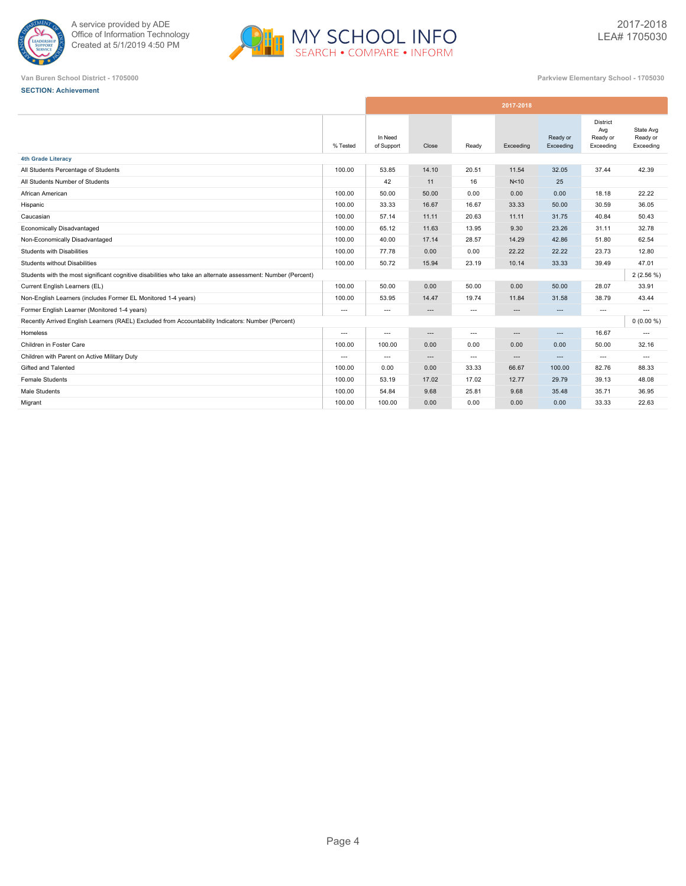



### SECTIO

| <b>SECTION: Achievement</b>                                                                                  |          |                       |                          |       |                          |                       |                                          |                                    |
|--------------------------------------------------------------------------------------------------------------|----------|-----------------------|--------------------------|-------|--------------------------|-----------------------|------------------------------------------|------------------------------------|
|                                                                                                              |          |                       |                          |       | 2017-2018                |                       |                                          |                                    |
|                                                                                                              | % Tested | In Need<br>of Support | Close                    | Ready | Exceeding                | Ready or<br>Exceeding | District<br>Avg<br>Ready or<br>Exceeding | State Avg<br>Ready or<br>Exceeding |
| <b>4th Grade Literacy</b>                                                                                    |          |                       |                          |       |                          |                       |                                          |                                    |
| All Students Percentage of Students                                                                          | 100.00   | 53.85                 | 14.10                    | 20.51 | 11.54                    | 32.05                 | 37.44                                    | 42.39                              |
| All Students Number of Students                                                                              |          | 42                    | 11                       | 16    | N<10                     | 25                    |                                          |                                    |
| African American                                                                                             | 100.00   | 50.00                 | 50.00                    | 0.00  | 0.00                     | 0.00                  | 18.18                                    | 22.22                              |
| Hispanic                                                                                                     | 100.00   | 33.33                 | 16.67                    | 16.67 | 33.33                    | 50.00                 | 30.59                                    | 36.05                              |
| Caucasian                                                                                                    | 100.00   | 57.14                 | 11.11                    | 20.63 | 11.11                    | 31.75                 | 40.84                                    | 50.43                              |
| <b>Economically Disadvantaged</b>                                                                            | 100.00   | 65.12                 | 11.63                    | 13.95 | 9.30                     | 23.26                 | 31.11                                    | 32.78                              |
| Non-Economically Disadvantaged                                                                               | 100.00   | 40.00                 | 17.14                    | 28.57 | 14.29                    | 42.86                 | 51.80                                    | 62.54                              |
| Students with Disabilities                                                                                   | 100.00   | 77.78                 | 0.00                     | 0.00  | 22.22                    | 22.22                 | 23.73                                    | 12.80                              |
| <b>Students without Disabilities</b>                                                                         | 100.00   | 50.72                 | 15.94                    | 23.19 | 10.14                    | 33.33                 | 39.49                                    | 47.01                              |
| Students with the most significant cognitive disabilities who take an alternate assessment: Number (Percent) |          |                       |                          |       |                          |                       |                                          | $2(2.56\%)$                        |
| Current English Learners (EL)                                                                                | 100.00   | 50.00                 | 0.00                     | 50.00 | 0.00                     | 50.00                 | 28.07                                    | 33.91                              |
| Non-English Learners (includes Former EL Monitored 1-4 years)                                                | 100.00   | 53.95                 | 14.47                    | 19.74 | 11.84                    | 31.58                 | 38.79                                    | 43.44                              |
| Former English Learner (Monitored 1-4 years)                                                                 | $\cdots$ | $\cdots$              | $\cdots$                 | $---$ | $\cdots$                 | $\cdots$              | $\cdots$                                 | $---$                              |
| Recently Arrived English Learners (RAEL) Excluded from Accountability Indicators: Number (Percent)           |          |                       |                          |       |                          |                       |                                          | $0(0.00\%)$                        |
| Homeless                                                                                                     | $\cdots$ | $\cdots$              | $\cdots$                 | $---$ | $\cdots$                 | $\cdots$              | 16.67                                    | $---$                              |
| Children in Foster Care                                                                                      | 100.00   | 100.00                | 0.00                     | 0.00  | 0.00                     | 0.00                  | 50.00                                    | 32.16                              |
| Children with Parent on Active Military Duty                                                                 | $\cdots$ | $\cdots$              | $\hspace{0.05cm} \ldots$ | $---$ | $\overline{\phantom{a}}$ | $\cdots$              | $\overline{\phantom{a}}$                 | $---$                              |
| Gifted and Talented                                                                                          | 100.00   | 0.00                  | 0.00                     | 33.33 | 66.67                    | 100.00                | 82.76                                    | 88.33                              |
| <b>Female Students</b>                                                                                       | 100.00   | 53.19                 | 17.02                    | 17.02 | 12.77                    | 29.79                 | 39.13                                    | 48.08                              |

Male Students 100.00 54.84 9.68 25.81 9.68 35.48 35.71 36.95 Migrant 100.00 100.00 0.00 0.00 0.00 0.00 33.33 22.63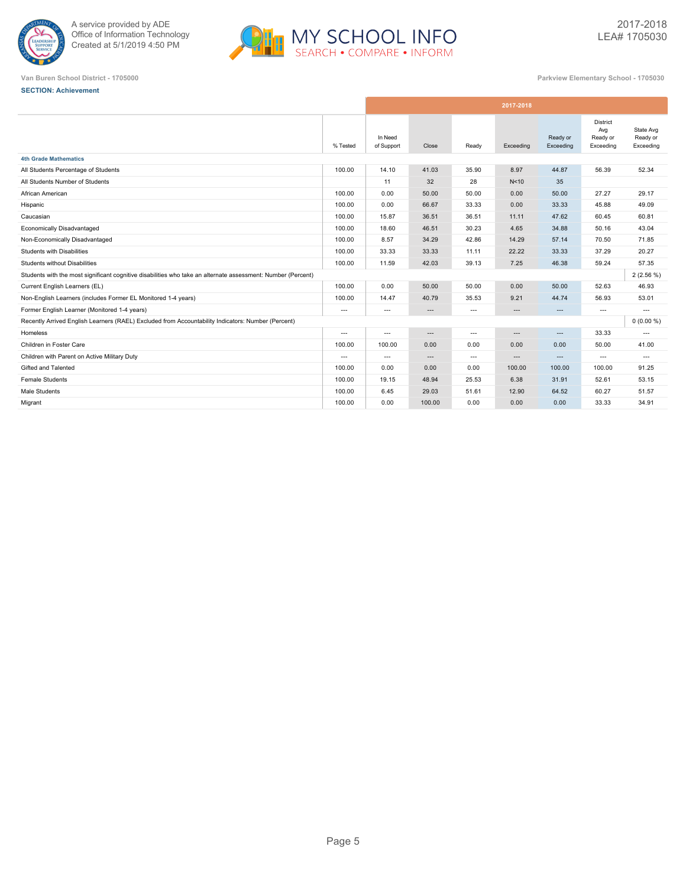



# **SECTION: Achievement**

| <b>JED HON. ACHIBABILIER</b>                                                                                 |                          |                       |                          |                          |                          |                       |                                          |                                    |
|--------------------------------------------------------------------------------------------------------------|--------------------------|-----------------------|--------------------------|--------------------------|--------------------------|-----------------------|------------------------------------------|------------------------------------|
|                                                                                                              |                          |                       |                          |                          | 2017-2018                |                       |                                          |                                    |
|                                                                                                              | % Tested                 | In Need<br>of Support | Close                    | Ready                    | Exceeding                | Ready or<br>Exceeding | District<br>Avg<br>Ready or<br>Exceeding | State Avg<br>Ready or<br>Exceeding |
| <b>4th Grade Mathematics</b>                                                                                 |                          |                       |                          |                          |                          |                       |                                          |                                    |
| All Students Percentage of Students                                                                          | 100.00                   | 14.10                 | 41.03                    | 35.90                    | 8.97                     | 44.87                 | 56.39                                    | 52.34                              |
| All Students Number of Students                                                                              |                          | 11                    | 32                       | 28                       | N<10                     | 35                    |                                          |                                    |
| African American                                                                                             | 100.00                   | 0.00                  | 50.00                    | 50.00                    | 0.00                     | 50.00                 | 27.27                                    | 29.17                              |
| Hispanic                                                                                                     | 100.00                   | 0.00                  | 66.67                    | 33.33                    | 0.00                     | 33.33                 | 45.88                                    | 49.09                              |
| Caucasian                                                                                                    | 100.00                   | 15.87                 | 36.51                    | 36.51                    | 11.11                    | 47.62                 | 60.45                                    | 60.81                              |
| <b>Economically Disadvantaged</b>                                                                            | 100.00                   | 18.60                 | 46.51                    | 30.23                    | 4.65                     | 34.88                 | 50.16                                    | 43.04                              |
| Non-Economically Disadvantaged                                                                               | 100.00                   | 8.57                  | 34.29                    | 42.86                    | 14.29                    | 57.14                 | 70.50                                    | 71.85                              |
| <b>Students with Disabilities</b>                                                                            | 100.00                   | 33.33                 | 33.33                    | 11.11                    | 22.22                    | 33.33                 | 37.29                                    | 20.27                              |
| <b>Students without Disabilities</b>                                                                         | 100.00                   | 11.59                 | 42.03                    | 39.13                    | 7.25                     | 46.38                 | 59.24                                    | 57.35                              |
| Students with the most significant cognitive disabilities who take an alternate assessment: Number (Percent) |                          |                       |                          |                          |                          |                       |                                          | $2(2.56\%)$                        |
| Current English Learners (EL)                                                                                | 100.00                   | 0.00                  | 50.00                    | 50.00                    | 0.00                     | 50.00                 | 52.63                                    | 46.93                              |
| Non-English Learners (includes Former EL Monitored 1-4 years)                                                | 100.00                   | 14.47                 | 40.79                    | 35.53                    | 9.21                     | 44.74                 | 56.93                                    | 53.01                              |
| Former English Learner (Monitored 1-4 years)                                                                 | $\qquad \qquad - -$      | ---                   | $\qquad \qquad \cdots$   | $\hspace{0.05cm} \ldots$ | $\hspace{0.05cm} \cdots$ | $\cdots$              | $---$                                    | ---                                |
| Recently Arrived English Learners (RAEL) Excluded from Accountability Indicators: Number (Percent)           |                          |                       |                          |                          |                          |                       |                                          | $0(0.00\%)$                        |
| Homeless                                                                                                     | $\hspace{0.05cm} \ldots$ | $---$                 | $\cdots$                 | $---$                    | $---$                    | $---$                 | 33.33                                    | $---$                              |
| Children in Foster Care                                                                                      | 100.00                   | 100.00                | 0.00                     | 0.00                     | 0.00                     | 0.00                  | 50.00                                    | 41.00                              |
| Children with Parent on Active Military Duty                                                                 | $\hspace{0.05cm} \ldots$ | $\cdots$              | $\hspace{0.05cm} \ldots$ | $\cdots$                 | $\cdots$                 | $\cdots$              | ---                                      | $\cdots$                           |
| Gifted and Talented                                                                                          | 100.00                   | 0.00                  | 0.00                     | 0.00                     | 100.00                   | 100.00                | 100.00                                   | 91.25                              |
| <b>Female Students</b>                                                                                       | 100.00                   | 19.15                 | 48.94                    | 25.53                    | 6.38                     | 31.91                 | 52.61                                    | 53.15                              |
| Male Students                                                                                                | 100.00                   | 6.45                  | 29.03                    | 51.61                    | 12.90                    | 64.52                 | 60.27                                    | 51.57                              |

Migrant 100.00 0.00 100.00 0.00 0.00 0.00 33.33 34.91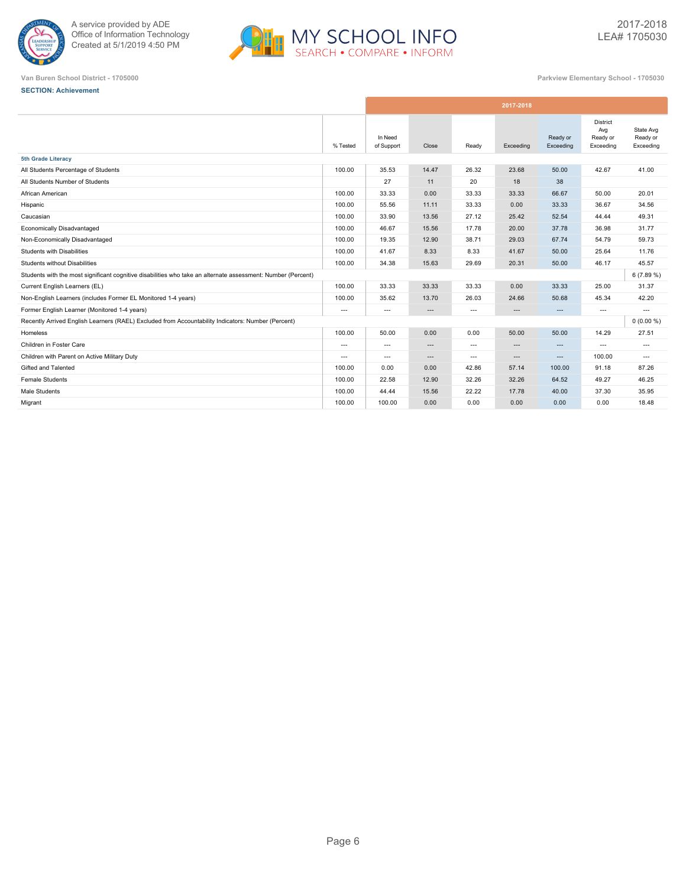



## **Van Buren School District - 1705000 Parkview Elementary School - 1705030**

|                |                          |                          |                          | 2017-2018                |                          |                                          |                                    |
|----------------|--------------------------|--------------------------|--------------------------|--------------------------|--------------------------|------------------------------------------|------------------------------------|
| % Tested       | In Need<br>of Support    | Close                    | Ready                    | Exceeding                | Ready or<br>Exceeding    | District<br>Avg<br>Ready or<br>Exceeding | State Avg<br>Ready or<br>Exceeding |
|                |                          |                          |                          |                          |                          |                                          |                                    |
| 100.00         | 35.53                    | 14.47                    | 26.32                    | 23.68                    | 50.00                    | 42.67                                    | 41.00                              |
|                | 27                       | 11                       | 20                       | 18                       | 38                       |                                          |                                    |
| 100.00         | 33.33                    | 0.00                     | 33.33                    | 33.33                    | 66.67                    | 50.00                                    | 20.01                              |
| 100.00         | 55.56                    | 11.11                    | 33.33                    | 0.00                     | 33.33                    | 36.67                                    | 34.56                              |
| 100.00         | 33.90                    | 13.56                    | 27.12                    | 25.42                    | 52.54                    | 44.44                                    | 49.31                              |
| 100.00         | 46.67                    | 15.56                    | 17.78                    | 20.00                    | 37.78                    | 36.98                                    | 31.77                              |
| 100.00         | 19.35                    | 12.90                    | 38.71                    | 29.03                    | 67.74                    | 54.79                                    | 59.73                              |
| 100.00         | 41.67                    | 8.33                     | 8.33                     | 41.67                    | 50.00                    | 25.64                                    | 11.76                              |
| 100.00         | 34.38                    | 15.63                    | 29.69                    | 20.31                    | 50.00                    | 46.17                                    | 45.57                              |
|                |                          |                          |                          |                          |                          |                                          | 6(7.89%)                           |
| 100.00         | 33.33                    | 33.33                    | 33.33                    | 0.00                     | 33.33                    | 25.00                                    | 31.37                              |
| 100.00         | 35.62                    | 13.70                    | 26.03                    | 24.66                    | 50.68                    | 45.34                                    | 42.20                              |
| $\overline{a}$ | $\hspace{0.05cm} \ldots$ | $\overline{\phantom{a}}$ | $\hspace{0.05cm} \ldots$ | ---                      | $\hspace{0.05cm} \ldots$ | $\hspace{0.05cm} \ldots$                 | $---$                              |
|                |                          |                          |                          |                          |                          |                                          | $0(0.00\%)$                        |
| 100.00         | 50.00                    | 0.00                     | 0.00                     | 50.00                    | 50.00                    | 14.29                                    | 27.51                              |
| $\overline{a}$ | $---$                    | ---                      | $---$                    | ---                      | $---$                    | $---$                                    | $---$                              |
| $\ldots$       | $\qquad \qquad \cdots$   | $\hspace{0.05cm} \ldots$ | $\hspace{0.05cm} \ldots$ | $\hspace{0.05cm} \ldots$ | $\hspace{0.05cm} \ldots$ | 100.00                                   | $---$                              |
| 100.00         | 0.00                     | 0.00                     | 42.86                    | 57.14                    | 100.00                   | 91.18                                    | 87.26                              |
| 100.00         | 22.58                    | 12.90                    | 32.26                    | 32.26                    | 64.52                    | 49.27                                    | 46.25                              |
| 100.00         | 44.44                    | 15.56                    | 22.22                    | 17.78                    | 40.00                    | 37.30                                    | 35.95                              |
| 100.00         | 100.00                   | 0.00                     | 0.00                     | 0.00                     | 0.00                     | 0.00                                     | 18.48                              |
|                |                          |                          |                          |                          |                          |                                          |                                    |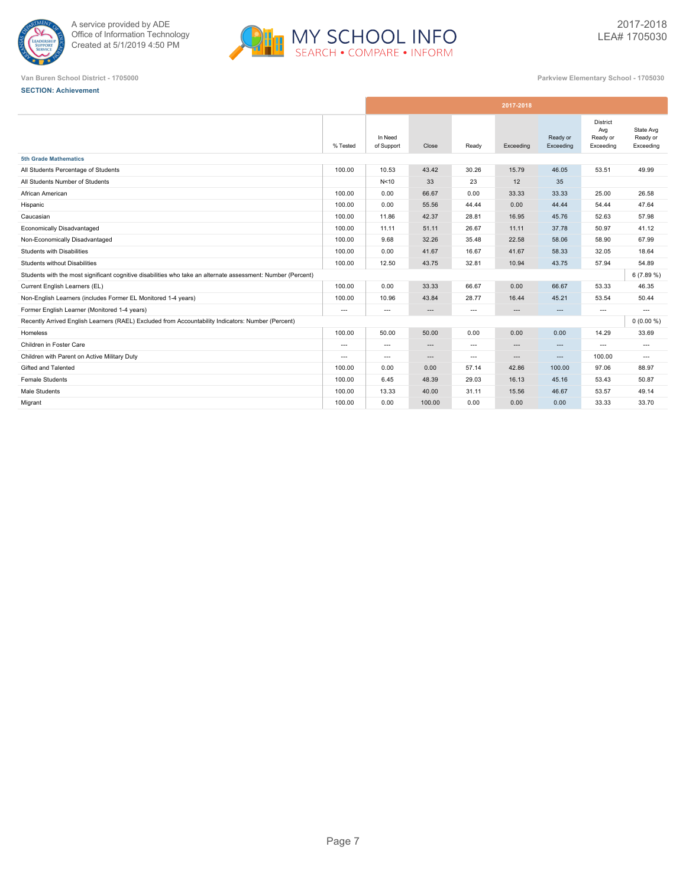



| <b>JED HON. ACHIBABILIAN</b>                                                                                 |                          |                          |                          |                          |                          |                          |                                          |                                    |
|--------------------------------------------------------------------------------------------------------------|--------------------------|--------------------------|--------------------------|--------------------------|--------------------------|--------------------------|------------------------------------------|------------------------------------|
|                                                                                                              |                          |                          |                          |                          | 2017-2018                |                          |                                          |                                    |
|                                                                                                              | % Tested                 | In Need<br>of Support    | Close                    | Ready                    | Exceeding                | Ready or<br>Exceeding    | District<br>Avg<br>Ready or<br>Exceeding | State Avg<br>Ready or<br>Exceeding |
| <b>5th Grade Mathematics</b>                                                                                 |                          |                          |                          |                          |                          |                          |                                          |                                    |
| All Students Percentage of Students                                                                          | 100.00                   | 10.53                    | 43.42                    | 30.26                    | 15.79                    | 46.05                    | 53.51                                    | 49.99                              |
| All Students Number of Students                                                                              |                          | N <sub>10</sub>          | 33                       | 23                       | 12                       | 35                       |                                          |                                    |
| African American                                                                                             | 100.00                   | 0.00                     | 66.67                    | 0.00                     | 33.33                    | 33.33                    | 25.00                                    | 26.58                              |
| Hispanic                                                                                                     | 100.00                   | 0.00                     | 55.56                    | 44.44                    | 0.00                     | 44.44                    | 54.44                                    | 47.64                              |
| Caucasian                                                                                                    | 100.00                   | 11.86                    | 42.37                    | 28.81                    | 16.95                    | 45.76                    | 52.63                                    | 57.98                              |
| Economically Disadvantaged                                                                                   | 100.00                   | 11.11                    | 51.11                    | 26.67                    | 11.11                    | 37.78                    | 50.97                                    | 41.12                              |
| Non-Economically Disadvantaged                                                                               | 100.00                   | 9.68                     | 32.26                    | 35.48                    | 22.58                    | 58.06                    | 58.90                                    | 67.99                              |
| <b>Students with Disabilities</b>                                                                            | 100.00                   | 0.00                     | 41.67                    | 16.67                    | 41.67                    | 58.33                    | 32.05                                    | 18.64                              |
| Students without Disabilities                                                                                | 100.00                   | 12.50                    | 43.75                    | 32.81                    | 10.94                    | 43.75                    | 57.94                                    | 54.89                              |
| Students with the most significant cognitive disabilities who take an alternate assessment: Number (Percent) |                          |                          |                          |                          |                          |                          |                                          | 6(7.89%)                           |
| Current English Learners (EL)                                                                                | 100.00                   | 0.00                     | 33.33                    | 66.67                    | 0.00                     | 66.67                    | 53.33                                    | 46.35                              |
| Non-English Learners (includes Former EL Monitored 1-4 years)                                                | 100.00                   | 10.96                    | 43.84                    | 28.77                    | 16.44                    | 45.21                    | 53.54                                    | 50.44                              |
| Former English Learner (Monitored 1-4 years)                                                                 | $\overline{a}$           | $\hspace{0.05cm} \ldots$ | $\overline{\phantom{a}}$ | $\hspace{0.05cm} \ldots$ | ---                      | $\hspace{0.05cm} \ldots$ | $\hspace{0.05cm} \ldots$                 | ---                                |
| Recently Arrived English Learners (RAEL) Excluded from Accountability Indicators: Number (Percent)           |                          |                          |                          |                          |                          |                          |                                          | $0(0.00\%)$                        |
| Homeless                                                                                                     | 100.00                   | 50.00                    | 50.00                    | 0.00                     | 0.00                     | 0.00                     | 14.29                                    | 33.69                              |
| Children in Foster Care                                                                                      | $\overline{a}$           | $---$                    | ---                      | $---$                    | ---                      | $\cdots$                 | $---$                                    | $---$                              |
| Children with Parent on Active Military Duty                                                                 | $\hspace{0.05cm} \ldots$ | $\qquad \qquad \cdots$   | $\hspace{0.05cm} \ldots$ | $\hspace{0.05cm} \ldots$ | $\hspace{0.05cm} \ldots$ | $\hspace{0.05cm} \ldots$ | 100.00                                   | $---$                              |
| Gifted and Talented                                                                                          | 100.00                   | 0.00                     | 0.00                     | 57.14                    | 42.86                    | 100.00                   | 97.06                                    | 88.97                              |
| <b>Female Students</b>                                                                                       | 100.00                   | 6.45                     | 48.39                    | 29.03                    | 16.13                    | 45.16                    | 53.43                                    | 50.87                              |
| Male Students                                                                                                | 100.00                   | 13.33                    | 40.00                    | 31.11                    | 15.56                    | 46.67                    | 53.57                                    | 49.14                              |
| Migrant                                                                                                      | 100.00                   | 0.00                     | 100.00                   | 0.00                     | 0.00                     | 0.00                     | 33.33                                    | 33.70                              |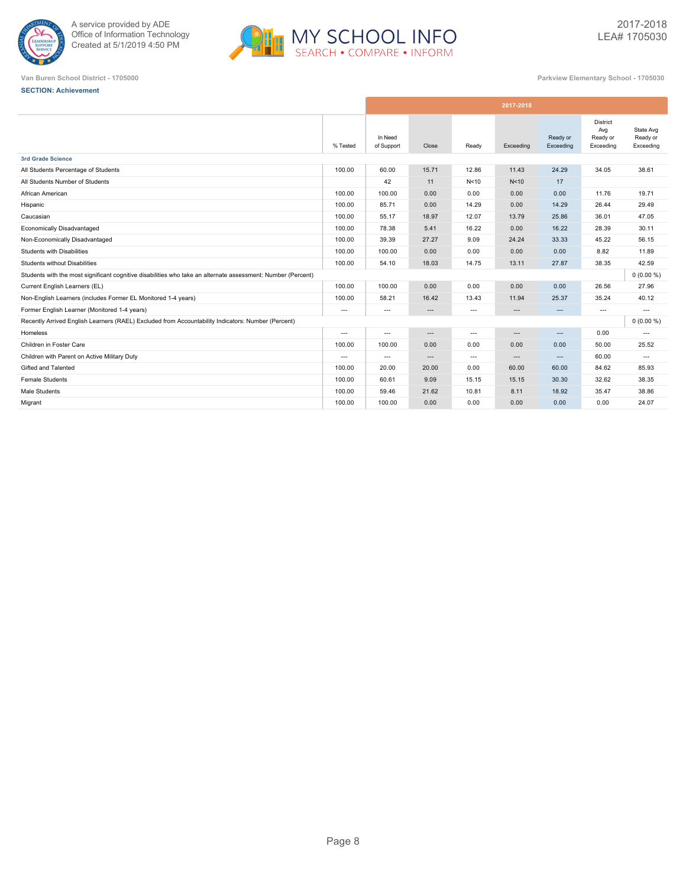



|                                                                                                              |                          |                       |                   |       | 2017-2018                |                       |                                                 |                                    |
|--------------------------------------------------------------------------------------------------------------|--------------------------|-----------------------|-------------------|-------|--------------------------|-----------------------|-------------------------------------------------|------------------------------------|
|                                                                                                              | % Tested                 | In Need<br>of Support | Close             | Ready | Exceeding                | Ready or<br>Exceeding | <b>District</b><br>Avg<br>Ready or<br>Exceeding | State Avg<br>Ready or<br>Exceeding |
| 3rd Grade Science                                                                                            |                          |                       |                   |       |                          |                       |                                                 |                                    |
| All Students Percentage of Students                                                                          | 100.00                   | 60.00                 | 15.71             | 12.86 | 11.43                    | 24.29                 | 34.05                                           | 38.61                              |
| All Students Number of Students                                                                              |                          | 42                    | 11                | N<10  | N<10                     | 17                    |                                                 |                                    |
| African American                                                                                             | 100.00                   | 100.00                | 0.00              | 0.00  | 0.00                     | 0.00                  | 11.76                                           | 19.71                              |
| Hispanic                                                                                                     | 100.00                   | 85.71                 | 0.00              | 14.29 | 0.00                     | 14.29                 | 26.44                                           | 29.49                              |
| Caucasian                                                                                                    | 100.00                   | 55.17                 | 18.97             | 12.07 | 13.79                    | 25.86                 | 36.01                                           | 47.05                              |
| Economically Disadvantaged                                                                                   | 100.00                   | 78.38                 | 5.41              | 16.22 | 0.00                     | 16.22                 | 28.39                                           | 30.11                              |
| Non-Economically Disadvantaged                                                                               | 100.00                   | 39.39                 | 27.27             | 9.09  | 24.24                    | 33.33                 | 45.22                                           | 56.15                              |
| <b>Students with Disabilities</b>                                                                            | 100.00                   | 100.00                | 0.00              | 0.00  | 0.00                     | 0.00                  | 8.82                                            | 11.89                              |
| <b>Students without Disabilities</b>                                                                         | 100.00                   | 54.10                 | 18.03             | 14.75 | 13.11                    | 27.87                 | 38.35                                           | 42.59                              |
| Students with the most significant cognitive disabilities who take an alternate assessment: Number (Percent) |                          |                       |                   |       |                          |                       |                                                 | $0(0.00\%)$                        |
| Current English Learners (EL)                                                                                | 100.00                   | 100.00                | 0.00              | 0.00  | 0.00                     | 0.00                  | 26.56                                           | 27.96                              |
| Non-English Learners (includes Former EL Monitored 1-4 years)                                                | 100.00                   | 58.21                 | 16.42             | 13.43 | 11.94                    | 25.37                 | 35.24                                           | 40.12                              |
| Former English Learner (Monitored 1-4 years)                                                                 | $\hspace{0.05cm} \ldots$ | $\cdots$              | $\cdots$          | $---$ | $---$                    | $\cdots$              | $\cdots$                                        | ---                                |
| Recently Arrived English Learners (RAEL) Excluded from Accountability Indicators: Number (Percent)           |                          |                       |                   |       |                          |                       |                                                 | $0(0.00\%)$                        |
| Homeless                                                                                                     | $\hspace{0.05cm} \ldots$ | $\cdots$              | $\cdots$          | $---$ | $\hspace{0.05cm} \ldots$ | $\cdots$              | 0.00                                            | $\cdots$                           |
| Children in Foster Care                                                                                      | 100.00                   | 100.00                | 0.00              | 0.00  | 0.00                     | 0.00                  | 50.00                                           | 25.52                              |
| Children with Parent on Active Military Duty                                                                 | $\hspace{0.05cm} \ldots$ | $\cdots$              | $\qquad \qquad -$ | $---$ | $\hspace{0.05cm} \ldots$ | $\cdots$              | 60.00                                           | $---$                              |
| Gifted and Talented                                                                                          | 100.00                   | 20.00                 | 20.00             | 0.00  | 60.00                    | 60.00                 | 84.62                                           | 85.93                              |
| Female Students                                                                                              | 100.00                   | 60.61                 | 9.09              | 15.15 | 15.15                    | 30.30                 | 32.62                                           | 38.35                              |
| Male Students                                                                                                | 100.00                   | 59.46                 | 21.62             | 10.81 | 8.11                     | 18.92                 | 35.47                                           | 38.86                              |
| Migrant                                                                                                      | 100.00                   | 100.00                | 0.00              | 0.00  | 0.00                     | 0.00                  | 0.00                                            | 24.07                              |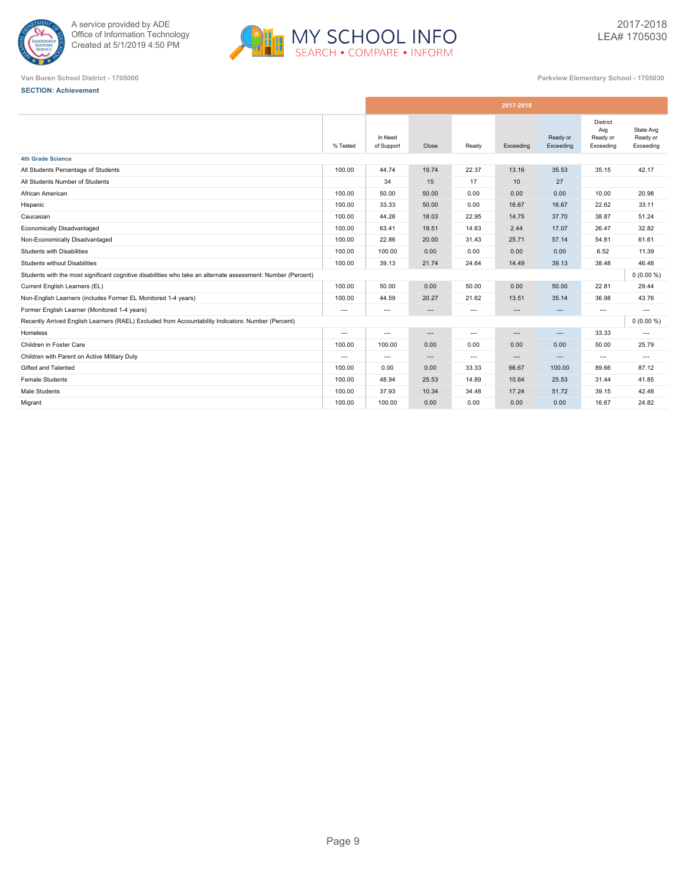



|                                                                                                              |          |                          |                          |                          | 2017-2018 |                       |                                          |                                    |
|--------------------------------------------------------------------------------------------------------------|----------|--------------------------|--------------------------|--------------------------|-----------|-----------------------|------------------------------------------|------------------------------------|
|                                                                                                              | % Tested | In Need<br>of Support    | Close                    | Ready                    | Exceeding | Ready or<br>Exceeding | District<br>Avg<br>Ready or<br>Exceeding | State Avg<br>Ready or<br>Exceeding |
| <b>4th Grade Science</b>                                                                                     |          |                          |                          |                          |           |                       |                                          |                                    |
| All Students Percentage of Students                                                                          | 100.00   | 44.74                    | 19.74                    | 22.37                    | 13.16     | 35.53                 | 35.15                                    | 42.17                              |
| All Students Number of Students                                                                              |          | 34                       | 15                       | 17                       | 10        | 27                    |                                          |                                    |
| African American                                                                                             | 100.00   | 50.00                    | 50.00                    | 0.00                     | 0.00      | 0.00                  | 10.00                                    | 20.98                              |
| Hispanic                                                                                                     | 100.00   | 33.33                    | 50.00                    | 0.00                     | 16.67     | 16.67                 | 22.62                                    | 33.11                              |
| Caucasian                                                                                                    | 100.00   | 44.26                    | 18.03                    | 22.95                    | 14.75     | 37.70                 | 38.87                                    | 51.24                              |
| Economically Disadvantaged                                                                                   | 100.00   | 63.41                    | 19.51                    | 14.63                    | 2.44      | 17.07                 | 26.47                                    | 32.82                              |
| Non-Economically Disadvantaged                                                                               | 100.00   | 22.86                    | 20.00                    | 31.43                    | 25.71     | 57.14                 | 54.81                                    | 61.61                              |
| <b>Students with Disabilities</b>                                                                            | 100.00   | 100.00                   | 0.00                     | 0.00                     | 0.00      | 0.00                  | 6.52                                     | 11.39                              |
| <b>Students without Disabilities</b>                                                                         | 100.00   | 39.13                    | 21.74                    | 24.64                    | 14.49     | 39.13                 | 38.48                                    | 46.48                              |
| Students with the most significant cognitive disabilities who take an alternate assessment: Number (Percent) |          |                          |                          |                          |           |                       |                                          | $0(0.00\%)$                        |
| Current English Learners (EL)                                                                                | 100.00   | 50.00                    | 0.00                     | 50.00                    | 0.00      | 50.00                 | 22.81                                    | 29.44                              |
| Non-English Learners (includes Former EL Monitored 1-4 years)                                                | 100.00   | 44.59                    | 20.27                    | 21.62                    | 13.51     | 35.14                 | 36.98                                    | 43.76                              |
| Former English Learner (Monitored 1-4 years)                                                                 | $\cdots$ | $---$                    | $\cdots$                 | $\hspace{0.05cm} \ldots$ | $\cdots$  | $\cdots$              | $\overline{\phantom{a}}$                 | ---                                |
| Recently Arrived English Learners (RAEL) Excluded from Accountability Indicators: Number (Percent)           |          |                          |                          |                          |           |                       |                                          | $0(0.00\%)$                        |
| Homeless                                                                                                     | $\cdots$ | $\cdots$                 | $\hspace{0.05cm} \ldots$ | $\hspace{0.05cm} \ldots$ | $\cdots$  | $\cdots$              | 33.33                                    | $---$                              |
| Children in Foster Care                                                                                      | 100.00   | 100.00                   | 0.00                     | 0.00                     | 0.00      | 0.00                  | 50.00                                    | 25.79                              |
| Children with Parent on Active Military Duty                                                                 | $\cdots$ | $\hspace{0.05cm} \ldots$ | $\cdots$                 | $\hspace{0.05cm} \ldots$ | $\cdots$  | $\cdots$              | $\overline{\phantom{a}}$                 | ---                                |
| Gifted and Talented                                                                                          | 100.00   | 0.00                     | 0.00                     | 33.33                    | 66.67     | 100.00                | 89.66                                    | 87.12                              |
| Female Students                                                                                              | 100.00   | 48.94                    | 25.53                    | 14.89                    | 10.64     | 25.53                 | 31.44                                    | 41.85                              |
| Male Students                                                                                                | 100.00   | 37.93                    | 10.34                    | 34.48                    | 17.24     | 51.72                 | 39.15                                    | 42.48                              |
| Migrant                                                                                                      | 100.00   | 100.00                   | 0.00                     | 0.00                     | 0.00      | 0.00                  | 16.67                                    | 24.82                              |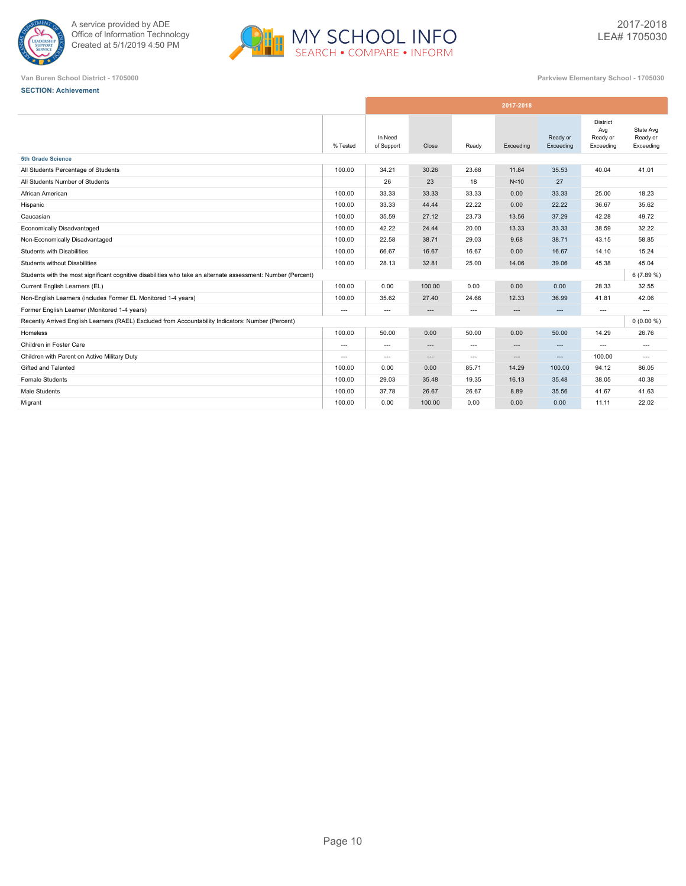



|                                                                                                              |                          |                          |                          |                          | 2017-2018                |                               |                                          |                                    |
|--------------------------------------------------------------------------------------------------------------|--------------------------|--------------------------|--------------------------|--------------------------|--------------------------|-------------------------------|------------------------------------------|------------------------------------|
|                                                                                                              | % Tested                 | In Need<br>of Support    | Close                    | Ready                    | Exceeding                | Ready or<br>Exceeding         | District<br>Avg<br>Ready or<br>Exceeding | State Avg<br>Ready or<br>Exceeding |
| <b>5th Grade Science</b>                                                                                     |                          |                          |                          |                          |                          |                               |                                          |                                    |
| All Students Percentage of Students                                                                          | 100.00                   | 34.21                    | 30.26                    | 23.68                    | 11.84                    | 35.53                         | 40.04                                    | 41.01                              |
| All Students Number of Students                                                                              |                          | 26                       | 23                       | 18                       | N<10                     | 27                            |                                          |                                    |
| African American                                                                                             | 100.00                   | 33.33                    | 33.33                    | 33.33                    | 0.00                     | 33.33                         | 25.00                                    | 18.23                              |
| Hispanic                                                                                                     | 100.00                   | 33.33                    | 44.44                    | 22.22                    | 0.00                     | 22.22                         | 36.67                                    | 35.62                              |
| Caucasian                                                                                                    | 100.00                   | 35.59                    | 27.12                    | 23.73                    | 13.56                    | 37.29                         | 42.28                                    | 49.72                              |
| Economically Disadvantaged                                                                                   | 100.00                   | 42.22                    | 24.44                    | 20.00                    | 13.33                    | 33.33                         | 38.59                                    | 32.22                              |
| Non-Economically Disadvantaged                                                                               | 100.00                   | 22.58                    | 38.71                    | 29.03                    | 9.68                     | 38.71                         | 43.15                                    | 58.85                              |
| <b>Students with Disabilities</b>                                                                            | 100.00                   | 66.67                    | 16.67                    | 16.67                    | 0.00                     | 16.67                         | 14.10                                    | 15.24                              |
| <b>Students without Disabilities</b>                                                                         | 100.00                   | 28.13                    | 32.81                    | 25.00                    | 14.06                    | 39.06                         | 45.38                                    | 45.04                              |
| Students with the most significant cognitive disabilities who take an alternate assessment: Number (Percent) |                          |                          |                          |                          |                          |                               |                                          | 6(7.89%)                           |
| Current English Learners (EL)                                                                                | 100.00                   | 0.00                     | 100.00                   | 0.00                     | 0.00                     | 0.00                          | 28.33                                    | 32.55                              |
| Non-English Learners (includes Former EL Monitored 1-4 years)                                                | 100.00                   | 35.62                    | 27.40                    | 24.66                    | 12.33                    | 36.99                         | 41.81                                    | 42.06                              |
| Former English Learner (Monitored 1-4 years)                                                                 | $\hspace{0.05cm} \ldots$ | $\hspace{0.05cm} \ldots$ | $\hspace{0.05cm} \ldots$ | $\hspace{0.05cm} \ldots$ | $\hspace{0.05cm} \ldots$ | $\hspace{1.5cm} \textbf{---}$ | $\hspace{0.05cm} \ldots$                 | $---$                              |
| Recently Arrived English Learners (RAEL) Excluded from Accountability Indicators: Number (Percent)           |                          |                          |                          |                          |                          |                               |                                          | $0(0.00\%)$                        |
| Homeless                                                                                                     | 100.00                   | 50.00                    | 0.00                     | 50.00                    | 0.00                     | 50.00                         | 14.29                                    | 26.76                              |
| Children in Foster Care                                                                                      | $\hspace{0.05cm} \ldots$ | $\hspace{0.05cm} \ldots$ | $\cdots$                 | $\hspace{0.05cm} \ldots$ | $\cdots$                 | $\cdots$                      | $\cdots$                                 | $\cdots$                           |
| Children with Parent on Active Military Duty                                                                 | $\hspace{0.05cm} \ldots$ | $\qquad \qquad \cdots$   | $\hspace{0.05cm} \ldots$ | $\cdots$                 | $\hspace{0.05cm} \ldots$ | $\cdots$                      | 100.00                                   | $---$                              |
| Gifted and Talented                                                                                          | 100.00                   | 0.00                     | 0.00                     | 85.71                    | 14.29                    | 100.00                        | 94.12                                    | 86.05                              |
| Female Students                                                                                              | 100.00                   | 29.03                    | 35.48                    | 19.35                    | 16.13                    | 35.48                         | 38.05                                    | 40.38                              |
| Male Students                                                                                                | 100.00                   | 37.78                    | 26.67                    | 26.67                    | 8.89                     | 35.56                         | 41.67                                    | 41.63                              |
| Migrant                                                                                                      | 100.00                   | 0.00                     | 100.00                   | 0.00                     | 0.00                     | 0.00                          | 11.11                                    | 22.02                              |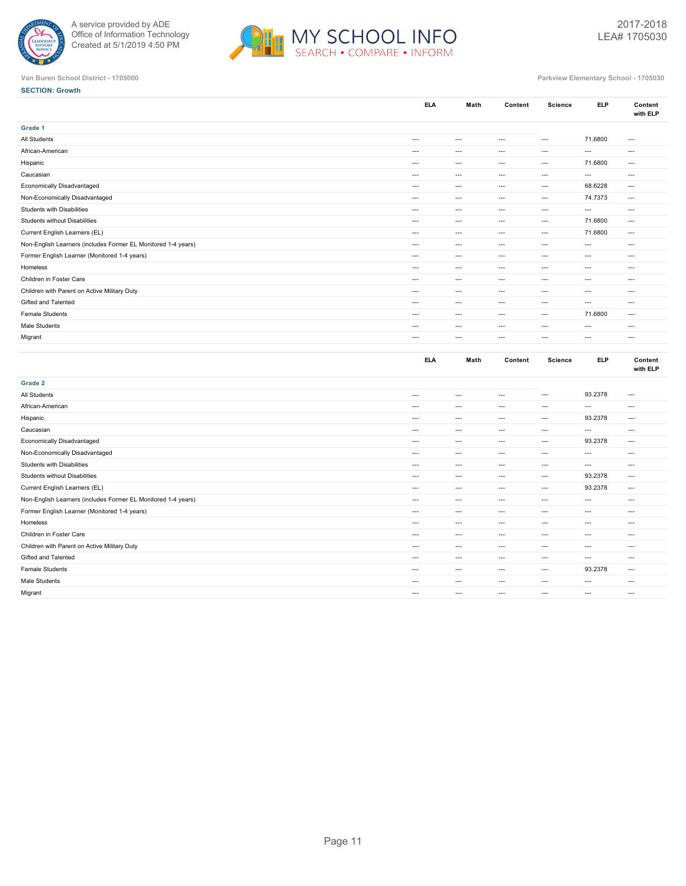

**SECTION: Growth**



**Van Buren School District - 1705000 Parkview Elementary School - 1705030**

**ELA Math Content Science ELP Content**

|                                                               | <b>ELA</b>        | Math                     | Content                  | <b>Science</b>           | <b>ELP</b>               | Content<br>with ELP      |
|---------------------------------------------------------------|-------------------|--------------------------|--------------------------|--------------------------|--------------------------|--------------------------|
| Grade 1                                                       |                   |                          |                          |                          |                          |                          |
| All Students                                                  | $---$             | $\sim$ $\sim$            | $\sim$ $\sim$            | $\sim$ $\sim$            | 71.6800                  | $\cdots$                 |
| African-American                                              | $\cdots$          | $\hspace{0.05cm} \ldots$ | $\sim$ $\sim$            | $\sim$ $\sim$            | $\cdots$                 | $\cdots$                 |
| Hispanic                                                      | $\cdots$          | $\sim$ $\sim$            | $\sim$ $\sim$            | $\sim$ $\sim$            | 71.6800                  | $\hspace{0.05cm} \ldots$ |
| Caucasian                                                     | $---$             | $\cdots$                 | $\cdots$                 | $---$                    | $---$                    | $---$                    |
| Economically Disadvantaged                                    | $\qquad \qquad -$ | $---$                    | $---$                    | $\sim$ $\sim$            | 68.6228                  | $\cdots$                 |
| Non-Economically Disadvantaged                                | $---$             | $---$                    | $---$                    | $---$                    | 74.7373                  | $\hspace{0.05cm} \ldots$ |
| Students with Disabilities                                    | $---$             | $---$                    | $---$                    | $---$                    | $---$                    | $\cdots$                 |
| Students without Disabilities                                 | $---$             | $---$                    | $---$                    | $---$                    | 71.6800                  | $---$                    |
| Current English Learners (EL)                                 | $---$             | $---$                    | $---$                    | $\sim$ $\sim$            | 71,6800                  | $\cdots$                 |
| Non-English Learners (includes Former EL Monitored 1-4 years) | $---$             | $---$                    | $---$                    | $---$                    | $---$                    | $---$                    |
| Former English Learner (Monitored 1-4 years)                  | $---$             | $\sim$ $\sim$            | $---$                    | $\sim$ $\sim$            | $---$                    | $\hspace{0.05cm} \ldots$ |
| Homeless                                                      | $\cdots$          | $\hspace{0.05cm} \ldots$ | $\hspace{0.05cm} \ldots$ | $\sim$ $\sim$            | $\cdots$                 | $\cdots$                 |
| Children in Foster Care                                       | $\cdots$          | $\sim$ $\sim$            | $\sim$ $\sim$            | $\sim$ $\sim$            | $\hspace{0.05cm} \ldots$ | $\hspace{0.05cm} \ldots$ |
| Children with Parent on Active Military Duty                  | $---$             | $\sim$ $\sim$            | $\sim$ $\sim$            | $\sim$ $\sim$            | $\cdots$                 | $\hspace{0.05cm} \ldots$ |
| Gifted and Talented                                           | $---$             | $---$                    | $---$                    | $---$                    | $\qquad \qquad -$        | $\hspace{0.05cm} \ldots$ |
| <b>Female Students</b>                                        | $---$             | $\cdots$                 | $\cdots$                 | $\hspace{0.05cm} \ldots$ | 71.6800                  | $\cdots$                 |
| Male Students                                                 | $---$             | $\sim$ $\sim$            | $---$                    | $\sim$ $\sim$            | $---$                    | $\cdots$                 |
| Migrant                                                       | $---$             | $---$                    | $---$                    | $---$                    | $---$                    | $\hspace{0.05cm} \ldots$ |
|                                                               |                   |                          |                          |                          |                          |                          |

|                                                               |          |                          |          |                          |                   | with ELP          |
|---------------------------------------------------------------|----------|--------------------------|----------|--------------------------|-------------------|-------------------|
| Grade 2                                                       |          |                          |          |                          |                   |                   |
| All Students                                                  | $---$    | $---$                    | $---$    | $---$                    | 93.2378           | $---$             |
| African-American                                              | $\cdots$ | $---$                    | $\cdots$ | $\hspace{0.05cm} \ldots$ | $\qquad \qquad -$ | $\qquad \qquad -$ |
| Hispanic                                                      | $---$    | $---$                    | $---$    | $---$                    | 93.2378           | $\qquad \qquad -$ |
| Caucasian                                                     | $---$    | $---$                    | $---$    | $---$                    | $---$             | $\qquad \qquad -$ |
| Economically Disadvantaged                                    | $---$    | $---$                    | $---$    | $\sim$ $\sim$            | 93.2378           | $\cdots$          |
| Non-Economically Disadvantaged                                | $---$    | $---$                    | $---$    | $---$                    | $\cdots$          | $\qquad \qquad -$ |
| Students with Disabilities                                    | $---$    | $---$                    | $---$    | $---$                    | $---$             | $\qquad \qquad -$ |
| Students without Disabilities                                 | $---$    | $---$                    | $---$    | $\hspace{0.05cm} \ldots$ | 93.2378           | $\qquad \qquad -$ |
| Current English Learners (EL)                                 | $---$    | $---$                    | $---$    | $---$                    | 93.2378           | $\qquad \qquad -$ |
| Non-English Learners (includes Former EL Monitored 1-4 years) | $---$    | $---$                    | $---$    | $---$                    | $\cdots$          | $---$             |
| Former English Learner (Monitored 1-4 years)                  | $---$    | $---$                    | $---$    | $---$                    | $---$             | $\qquad \qquad -$ |
| Homeless                                                      | $---$    | $---$                    | $---$    | $---$                    | $---$             | $\qquad \qquad -$ |
| Children in Foster Care                                       | $---$    | $---$                    | $---$    | $---$                    | $---$             | $\qquad \qquad -$ |
| Children with Parent on Active Military Duty                  | $---$    | $---$                    | $---$    | $\hspace{0.05cm} \ldots$ | $---$             | $\qquad \qquad -$ |
| Gifted and Talented                                           | $\cdots$ | $\hspace{0.05cm} \ldots$ | $\cdots$ | $\hspace{0.05cm} \ldots$ | $\qquad \qquad -$ | $\qquad \qquad -$ |
| Female Students                                               | $---$    | $---$                    | $---$    | $---$                    | 93.2378           | $---$             |
| Male Students                                                 | $---$    | $\hspace{0.05cm} \ldots$ | $\cdots$ | $\hspace{0.05cm} \ldots$ | $\qquad \qquad -$ | $\qquad \qquad -$ |
| Migrant                                                       | $---$    | $\qquad \qquad -$        | $---$    | $---$                    | $---$             | $\qquad \qquad -$ |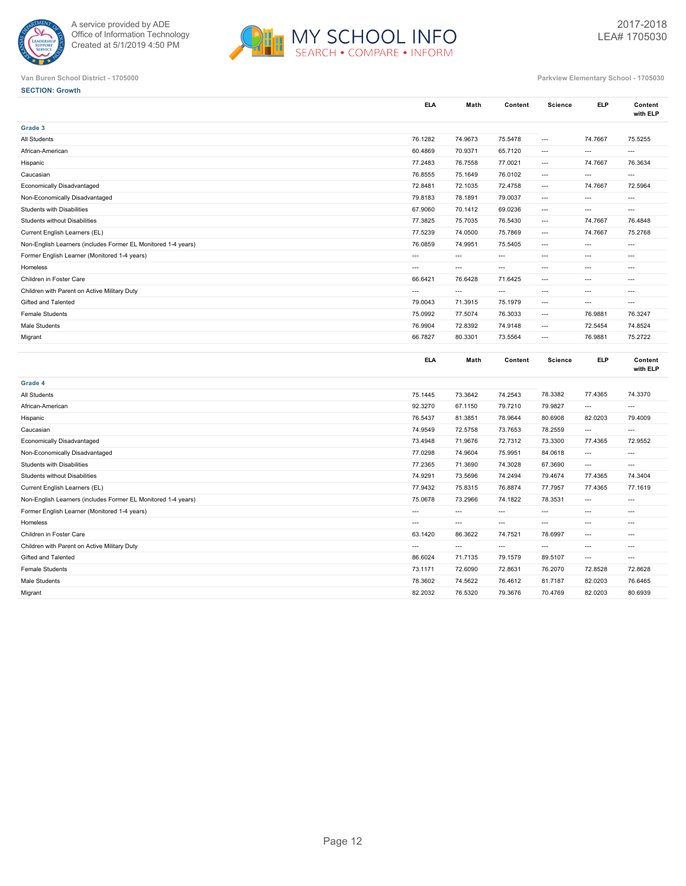



| <b>SECTION: Growth</b>                                        |                          |                          |                          |                          |                          |                          |
|---------------------------------------------------------------|--------------------------|--------------------------|--------------------------|--------------------------|--------------------------|--------------------------|
|                                                               | <b>ELA</b>               | Math                     | Content                  | <b>Science</b>           | <b>ELP</b>               | Content<br>with ELP      |
| Grade 3                                                       |                          |                          |                          |                          |                          |                          |
| All Students                                                  | 76.1282                  | 74.9673                  | 75.5478                  | $\overline{\phantom{a}}$ | 74.7667                  | 75.5255                  |
| African-American                                              | 60.4869                  | 70.9371                  | 65.7120                  | $\overline{a}$           | ---                      | $\overline{a}$           |
| Hispanic                                                      | 77.2483                  | 76.7558                  | 77.0021                  | $\overline{\phantom{a}}$ | 74.7667                  | 76.3634                  |
| Caucasian                                                     | 76.8555                  | 75.1649                  | 76.0102                  | $\overline{\phantom{a}}$ | $\overline{\phantom{a}}$ | $\hspace{0.05cm} \ldots$ |
| Economically Disadvantaged                                    | 72.8481                  | 72.1035                  | 72.4758                  | $---$                    | 74.7667                  | 72.5964                  |
| Non-Economically Disadvantaged                                | 79.8183                  | 78.1891                  | 79.0037                  | $\overline{a}$           | $\overline{a}$           | $\overline{a}$           |
| Students with Disabilities                                    | 67.9060                  | 70.1412                  | 69.0236                  | $\overline{\phantom{a}}$ | $\overline{\phantom{a}}$ | $\overline{\phantom{a}}$ |
| <b>Students without Disabilities</b>                          | 77.3825                  | 75.7035                  | 76.5430                  | $\overline{\phantom{a}}$ | 74.7667                  | 76.4848                  |
| Current English Learners (EL)                                 | 77.5239                  | 74.0500                  | 75.7869                  | $---$                    | 74.7667                  | 75.2768                  |
| Non-English Learners (includes Former EL Monitored 1-4 years) | 76.0859                  | 74.9951                  | 75.5405                  | $\overline{\phantom{a}}$ | $\overline{a}$           | $\overline{\phantom{a}}$ |
| Former English Learner (Monitored 1-4 years)                  | $\overline{a}$           | $\overline{\phantom{a}}$ | $\overline{\phantom{a}}$ | $\overline{a}$           | ---                      | $\overline{a}$           |
| Homeless                                                      | $---$                    | $\overline{\phantom{a}}$ | $\overline{\phantom{a}}$ | $\overline{\phantom{a}}$ | $---$                    | $\cdots$                 |
| Children in Foster Care                                       | 66.6421                  | 76.6428                  | 71.6425                  | $---$                    | $\overline{a}$           | $---$                    |
| Children with Parent on Active Military Duty                  | $\overline{a}$           | $\overline{\phantom{a}}$ | $\overline{\phantom{a}}$ | $\overline{a}$           | $\overline{a}$           | $\overline{\phantom{a}}$ |
| Gifted and Talented                                           | 79.0043                  | 71.3915                  | 75.1979                  | $\overline{\phantom{a}}$ | $\overline{\phantom{a}}$ | $\hspace{0.05cm} \ldots$ |
| <b>Female Students</b>                                        | 75.0992                  | 77.5074                  | 76.3033                  | $\overline{\phantom{a}}$ | 76.9881                  | 76.3247                  |
| Male Students                                                 | 76.9904                  | 72.8392                  | 74.9148                  | $---$                    | 72.5454                  | 74.8524                  |
| Migrant                                                       | 66.7827                  | 80.3301                  | 73.5564                  | $\overline{\phantom{a}}$ | 76.9881                  | 75.2722                  |
|                                                               |                          |                          |                          |                          |                          |                          |
|                                                               | <b>ELA</b>               | Math                     | Content                  | <b>Science</b>           | <b>ELP</b>               | Content<br>with ELP      |
| Grade 4                                                       |                          |                          |                          |                          |                          |                          |
| All Students                                                  | 75.1445                  | 73.3642                  | 74.2543                  | 78.3382                  | 77.4365                  | 74.3370                  |
| African-American                                              | 92.3270                  | 67.1150                  | 79.7210                  | 79.9827                  | $\overline{a}$           | $\overline{\phantom{a}}$ |
| Hispanic                                                      | 76.5437                  | 81.3851                  | 78.9644                  | 80.6908                  | 82.0203                  | 79.4009                  |
| Caucasian                                                     | 74.9549                  | 72.5758                  | 73.7653                  | 78.2559                  | ---                      | ---                      |
| Economically Disadvantaged                                    | 73.4948                  | 71.9676                  | 72.7312                  | 73.3300                  | 77.4365                  | 72.9552                  |
| Non-Economically Disadvantaged                                | 77.0298                  | 74.9604                  | 75.9951                  | 84.0618                  | $\cdots$                 | $\overline{\phantom{a}}$ |
| Students with Disabilities                                    | 77.2365                  | 71.3690                  | 74.3028                  | 67.3690                  | $---$                    | $\overline{a}$           |
| <b>Students without Disabilities</b>                          | 74.9291                  | 73.5696                  | 74.2494                  | 79.4674                  | 77.4365                  | 74.3404                  |
| Current English Learners (EL)                                 | 77.9432                  | 75.8315                  | 76.8874                  | 77.7957                  | 77.4365                  | 77.1619                  |
|                                                               |                          |                          |                          |                          |                          | $\overline{a}$           |
| Non-English Learners (includes Former EL Monitored 1-4 years) | 75.0678                  | 73.2966                  | 74.1822                  | 78.3531                  | $\overline{a}$           |                          |
| Former English Learner (Monitored 1-4 years)                  | $\overline{\phantom{a}}$ | $\overline{\phantom{a}}$ | $\overline{\phantom{a}}$ | ---                      | $---$                    | $\cdots$                 |
| Homeless                                                      | ---                      | $\overline{\phantom{a}}$ | $\overline{\phantom{a}}$ | $\overline{a}$           | $\overline{a}$           | $\overline{a}$           |
| Children in Foster Care                                       | 63.1420                  | 86.3622                  | 74.7521                  | 78.6997                  | $\overline{\phantom{a}}$ | $\overline{\phantom{a}}$ |
| Children with Parent on Active Military Duty                  | $\overline{a}$           | $\overline{\phantom{a}}$ | $\overline{a}$           | $---$                    | $---$                    | $---$                    |

Female Students 73.1171 72.6090 72.8631 76.2070 72.8528 72.8628 Male Students 78.3602 74.5622 76.4612 81.7187 82.0203 76.6465 Migrant 2012 10:30 12:30 12:30 12:30 12:30 12:30 12:30 12:30 12:30 12:30 13:30 14:30 14:30 14:30 14:30 14:30 1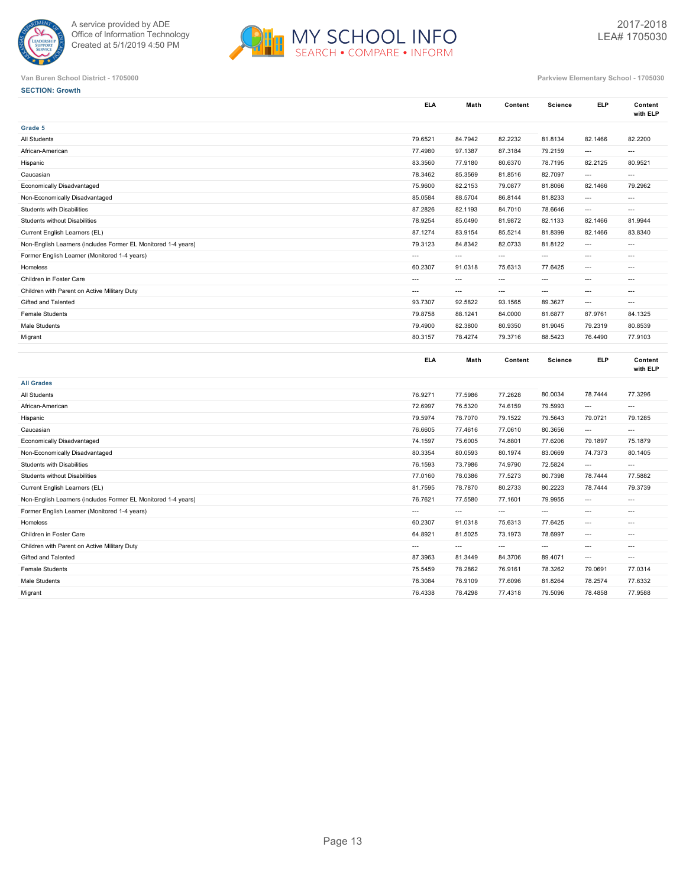



| <b>SECTION: Growth</b>                                        |                          |                          |                          |                          |                          |                          |
|---------------------------------------------------------------|--------------------------|--------------------------|--------------------------|--------------------------|--------------------------|--------------------------|
|                                                               | <b>ELA</b>               | Math                     | Content                  | <b>Science</b>           | <b>ELP</b>               | Content<br>with ELP      |
| Grade 5                                                       |                          |                          |                          |                          |                          |                          |
| All Students                                                  | 79.6521                  | 84.7942                  | 82.2232                  | 81.8134                  | 82.1466                  | 82.2200                  |
| African-American                                              | 77.4980                  | 97.1387                  | 87.3184                  | 79.2159                  | $\overline{a}$           | ---                      |
| Hispanic                                                      | 83.3560                  | 77.9180                  | 80.6370                  | 78.7195                  | 82.2125                  | 80.9521                  |
| Caucasian                                                     | 78.3462                  | 85.3569                  | 81.8516                  | 82.7097                  | $\overline{\phantom{a}}$ | $\overline{\phantom{a}}$ |
| Economically Disadvantaged                                    | 75.9600                  | 82.2153                  | 79.0877                  | 81.8066                  | 82.1466                  | 79.2962                  |
| Non-Economically Disadvantaged                                | 85.0584                  | 88.5704                  | 86.8144                  | 81.8233                  | $---$                    | $---$                    |
| <b>Students with Disabilities</b>                             | 87.2826                  | 82.1193                  | 84.7010                  | 78.6646                  | $---$                    | $\overline{\phantom{a}}$ |
| Students without Disabilities                                 | 78.9254                  | 85.0490                  | 81.9872                  | 82.1133                  | 82.1466                  | 81.9944                  |
| Current English Learners (EL)                                 | 87.1274                  | 83.9154                  | 85.5214                  | 81.8399                  | 82.1466                  | 83.8340                  |
| Non-English Learners (includes Former EL Monitored 1-4 years) | 79.3123                  | 84.8342                  | 82.0733                  | 81.8122                  | $\overline{\phantom{a}}$ | $\overline{\phantom{a}}$ |
| Former English Learner (Monitored 1-4 years)                  | $\overline{a}$           | $\overline{a}$           | $\overline{a}$           | $\overline{a}$           | $\overline{a}$           | $\overline{a}$           |
| Homeless                                                      | 60.2307                  | 91.0318                  | 75.6313                  | 77.6425                  | $---$                    | $---$                    |
| Children in Foster Care                                       | $\overline{\phantom{a}}$ | $---$                    | $\hspace{0.05cm} \ldots$ | $---$                    | $---$                    | $\hspace{0.05cm} \ldots$ |
| Children with Parent on Active Military Duty                  | ---                      | $\overline{\phantom{a}}$ | ---                      | $\overline{\phantom{a}}$ | $\overline{a}$           | $\overline{\phantom{a}}$ |
| Gifted and Talented                                           | 93.7307                  | 92.5822                  | 93.1565                  | 89.3627                  | $\hspace{0.05cm} \ldots$ | $\hspace{0.05cm} \ldots$ |
| <b>Female Students</b>                                        | 79.8758                  | 88.1241                  | 84.0000                  | 81.6877                  | 87.9761                  | 84.1325                  |
| Male Students                                                 | 79.4900                  | 82.3800                  | 80.9350                  | 81.9045                  | 79.2319                  | 80.8539                  |
| Migrant                                                       | 80.3157                  | 78.4274                  | 79.3716                  | 88.5423                  | 76.4490                  | 77.9103                  |
|                                                               |                          |                          |                          |                          |                          |                          |
|                                                               | <b>ELA</b>               | Math                     | Content                  | <b>Science</b>           | <b>ELP</b>               | Content<br>with ELP      |
| <b>All Grades</b>                                             |                          |                          |                          |                          |                          |                          |
| All Students                                                  | 76.9271                  | 77.5986                  | 77.2628                  | 80.0034                  | 78.7444                  | 77.3296                  |
| African-American                                              | 72.6997                  | 76.5320                  | 74.6159                  | 79.5993                  | $---$                    | $\hspace{0.05cm} \ldots$ |
| Hispanic                                                      | 79.5974                  | 78.7070                  | 79.1522                  | 79.5643                  | 79.0721                  | 79.1285                  |
| Caucasian                                                     | 76.6605                  | 77.4616                  | 77.0610                  | 80.3656                  | $\hspace{0.05cm} \ldots$ | $\hspace{0.05cm} \ldots$ |
| Economically Disadvantaged                                    | 74.1597                  | 75.6005                  | 74.8801                  | 77.6206                  | 79.1897                  | 75.1879                  |
| Non-Economically Disadvantaged                                | 80.3354                  | 80.0593                  | 80.1974                  | 83.0669                  | 74.7373                  | 80.1405                  |
| <b>Students with Disabilities</b>                             | 76.1593                  | 73.7986                  | 74.9790                  | 72.5824                  | $\overline{\phantom{a}}$ | $\overline{\phantom{a}}$ |
| <b>Students without Disabilities</b>                          | 77.0160                  | 78.0386                  | 77.5273                  | 80.7398                  | 78.7444                  | 77.5882                  |
| Current English Learners (EL)                                 | 81.7595                  | 78.7870                  | 80.2733                  | 80.2223                  | 78.7444                  | 79.3739                  |
| Non-English Learners (includes Former EL Monitored 1-4 years) | 76.7621                  | 77.5580                  | 77.1601                  | 79.9955                  | $\overline{a}$           | $\overline{a}$           |
| Former English Learner (Monitored 1-4 years)                  | ---                      | ---                      | $\overline{\phantom{a}}$ | $\overline{\phantom{a}}$ | $\hspace{0.05cm} \ldots$ | $\hspace{0.05cm} \ldots$ |
| Homeless                                                      | 60.2307                  | 91.0318                  | 75.6313                  | 77.6425                  | $\overline{\phantom{a}}$ | $\overline{\phantom{a}}$ |
| Children in Foster Care                                       | 64.8921                  | 81.5025                  | 73.1973                  | 78.6997                  | $\overline{\phantom{a}}$ | $\overline{\phantom{a}}$ |
| Children with Parent on Active Military Duty                  |                          |                          |                          |                          |                          |                          |
|                                                               | $---$                    | $\overline{a}$           | $---$                    | $---$                    | $---$                    | $---$                    |
| Gifted and Talented                                           | 87.3963                  | 81.3449                  | 84.3706                  | 89.4071                  | $---$                    | $---$                    |

Male Students 78.3084 76.9109 77.6096 81.8264 78.2574 77.6332 76.4338 78.4298 77.4318 79.5096 78.4858 77.9588 78.4298 77.4318 79.5096 78.4858 77.9588 77.9588 77.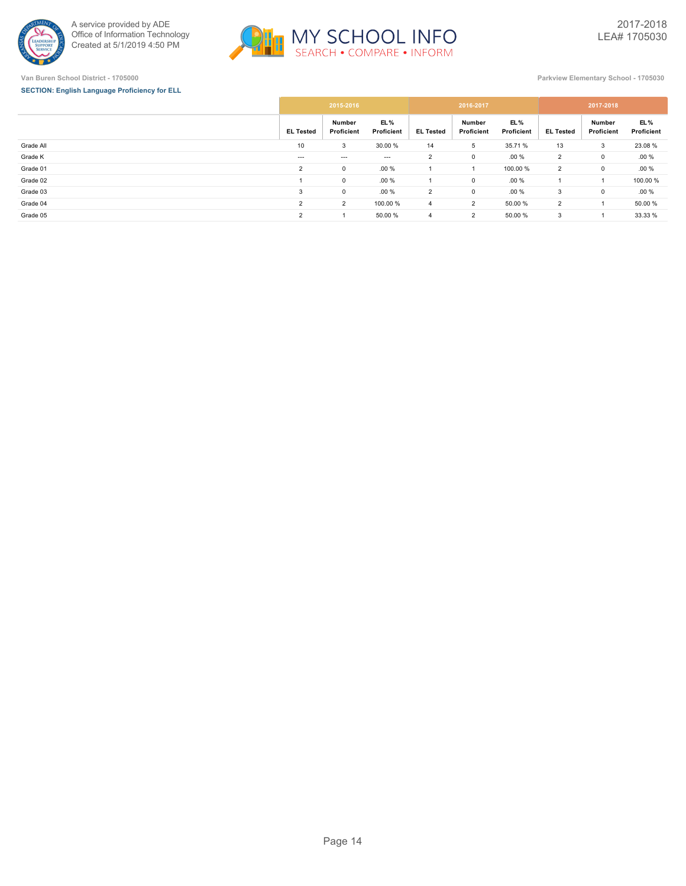

A service provided by ADE Office of Information Technology Created at 5/1/2019 4:50 PM



**Van Buren School District - 1705000 Parkview Elementary School - 1705030**

## **SECTION: English Language Proficiency for ELL**

|           |                  | 2015-2016            |                   |                  | 2016-2017            |                    | 2017-2018        |                      |                    |  |
|-----------|------------------|----------------------|-------------------|------------------|----------------------|--------------------|------------------|----------------------|--------------------|--|
|           | <b>EL Tested</b> | Number<br>Proficient | EL%<br>Proficient | <b>EL Tested</b> | Number<br>Proficient | EL %<br>Proficient | <b>EL Tested</b> | Number<br>Proficient | EL %<br>Proficient |  |
| Grade All | 10               | 3                    | 30.00 %           | 14               | 5                    | 35.71 %            | 13               | 3                    | 23.08 %            |  |
| Grade K   | $\cdots$         | $\cdots$             | $\cdots$          | $\overline{2}$   | 0                    | $.00 \%$           | $\overline{2}$   | 0                    | $.00 \%$           |  |
| Grade 01  | $\overline{2}$   | $\mathbf 0$          | .00%              |                  |                      | 100.00 %           | $\overline{2}$   | 0                    | $.00 \%$           |  |
| Grade 02  |                  | $\mathbf 0$          | .00%              |                  | 0                    | .00%               |                  | $\mathbf{1}$         | 100.00 %           |  |
| Grade 03  | 3                | $\mathbf 0$          | .00%              | $\overline{2}$   | 0                    | $.00\%$            | 3                | $\mathsf 0$          | $.00 \%$           |  |
| Grade 04  | $\overline{2}$   | $\overline{2}$       | 100.00 %          | $\overline{4}$   | $\overline{2}$       | 50.00 %            | $\overline{2}$   | 1                    | 50.00 %            |  |
| Grade 05  | $\overline{2}$   |                      | 50.00 %           | 4                | $\overline{2}$       | 50.00 %            | 3                | 1                    | 33.33 %            |  |
|           |                  |                      |                   |                  |                      |                    |                  |                      |                    |  |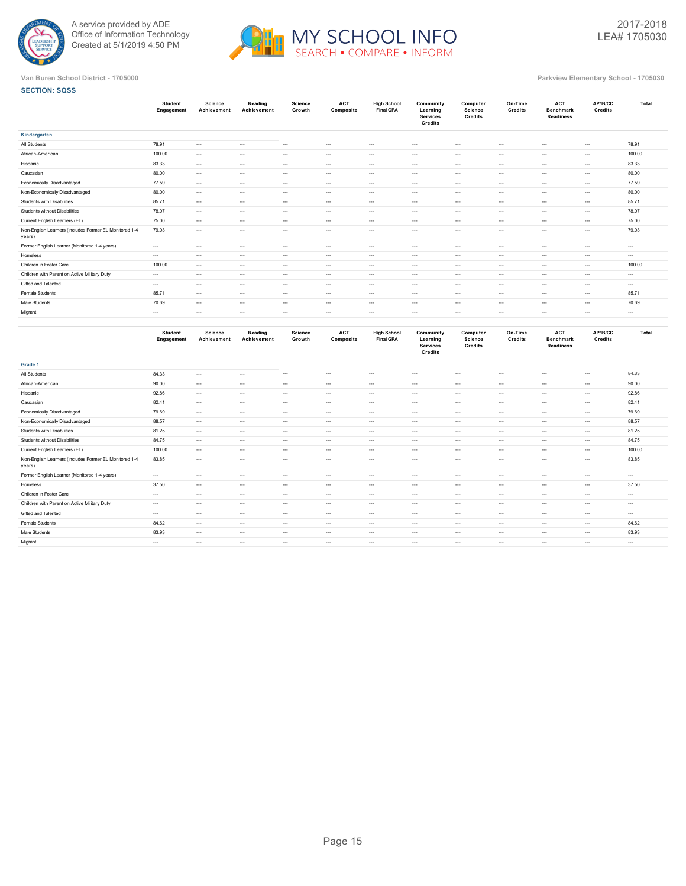



|                                                                  | <b>Student</b><br>Engagement | Science<br>Achievement | Reading<br>Achievement | <b>Science</b><br>Growth | <b>ACT</b><br>Composite | <b>High School</b><br><b>Final GPA</b> | Community<br>Learning<br><b>Services</b><br>Credits | Computer<br>Science<br>Credits | On-Time<br>Credits | <b>ACT</b><br><b>Benchmark</b><br><b>Readiness</b> | AP/IB/CC<br>Credits | Total    |
|------------------------------------------------------------------|------------------------------|------------------------|------------------------|--------------------------|-------------------------|----------------------------------------|-----------------------------------------------------|--------------------------------|--------------------|----------------------------------------------------|---------------------|----------|
| Kindergarten                                                     |                              |                        |                        |                          |                         |                                        |                                                     |                                |                    |                                                    |                     |          |
| All Students                                                     | 78.91                        | $\cdots$               | $\cdots$               | $\sim$ $\sim$            | $-1$                    | $\cdots$                               | $\cdots$                                            | $\cdots$                       | $\sim$             | $\cdots$                                           | $\cdots$            | 78.91    |
| African-American                                                 | 100.00                       | $\cdots$               | $\cdots$               | $\sim$ $\sim$            | $-1$                    | $\cdots$                               | $\cdots$                                            | $\cdots$                       | $\sim$             | $\cdots$                                           | $\cdots$            | 100.00   |
| Hispanic                                                         | 83.33                        | $\cdots$               | $\cdots$               | $\cdots$                 | $\sim$                  | $\cdots$                               | $\cdots$                                            | $\cdots$                       | $\cdots$           | $\cdots$                                           | $\cdots$            | 83.33    |
| Caucasian                                                        | 80.00                        | $\cdots$               | $\cdots$               | $\cdots$                 | $\sim$                  | $\cdots$                               | $\cdots$                                            | $\cdots$                       | $\sim$             | $\cdots$                                           | $\cdots$            | 80.00    |
| Economically Disadvantaged                                       | 77.59                        | $\cdots$               | $\cdots$               | $\sim$ $\sim$            | $-1$                    | $\cdots$                               | $\cdots$                                            | $\cdots$                       | $\sim$             | $\cdots$                                           | $\cdots$            | 77.59    |
| Non-Economically Disadvantaged                                   | 80.00                        | $\cdots$               | $\cdots$               | $\sim$ $\sim$            | $-1$                    | $\cdots$                               | $\cdots$                                            | $\cdots$                       | $\sim$             | $\cdots$                                           | $\cdots$            | 80.00    |
| Students with Disabilities                                       | 85.71                        | $\cdots$               | $\cdots$               | $\sim$ $\sim$            | $-1$                    | $\cdots$                               | $\cdots$                                            | $\cdots$                       | $\sim$             | $\cdots$                                           | $\cdots$            | 85.71    |
| Students without Disabilities                                    | 78.07                        | $\cdots$               | $\cdots$               | $\sim$ $\sim$            | $-1$                    | $\cdots$                               | $\cdots$                                            | $\cdots$                       | $\sim$             | $\cdots$                                           | $\cdots$            | 78.07    |
| Current English Learners (EL)                                    | 75.00                        | $\cdots$               | $\cdots$               | $\sim$ $\sim$            | $\sim$                  | $\cdots$                               | $\cdots$                                            | $\cdots$                       | $\sim$             | $\cdots$                                           | $\cdots$            | 75.00    |
| Non-English Learners (includes Former EL Monitored 1-4<br>years) | 79.03                        | $\cdots$               | $\cdots$               | $\sim$ $\sim$            | $\sim$                  | $\cdots$                               | $\cdots$                                            | $\cdots$                       | $\sim$             | $\cdots$                                           | $\cdots$            | 79.03    |
| Former English Learner (Monitored 1-4 years)                     | $\cdots$                     | $\cdots$               | $\cdots$               | $\sim$ $\sim$            | $\sim$                  | $\cdots$                               | $\cdots$                                            | $\cdots$                       | $\sim$             | $\cdots$                                           | $\cdots$            | $\cdots$ |
| Homeless                                                         | $\cdots$                     | $\cdots$               | $\cdots$               | $\sim$ $\sim$            | $-1$                    | $\cdots$                               | $\cdots$                                            | $\cdots$                       | $\sim$             | $\cdots$                                           | $\cdots$            | $\cdots$ |
| Children in Foster Care                                          | 100.00                       | $\cdots$               | $\cdots$               | $\cdots$                 | $\sim$                  | $\cdots$                               | $\cdots$                                            | $\cdots$                       | $\sim$             | $\cdots$                                           | $\cdots$            | 100.00   |
| Children with Parent on Active Military Duty                     | $\cdots$                     | $\cdots$               | $\cdots$               | $\sim$ $\sim$            | $\sim$                  | $\cdots$                               | $\cdots$                                            | $\cdots$                       | $\sim$             | $\cdots$                                           | $\cdots$            | $---$    |
| Gifted and Talented                                              | $\cdots$                     | $\cdots$               | $\cdots$               | $\cdots$                 | $\sim$                  | $\cdots$                               | $\cdots$                                            | $\cdots$                       | $\cdots$           | $\cdots$                                           | $\cdots$            | $\cdots$ |
| Female Students                                                  | 85.71                        | $\cdots$               | $\cdots$               | $\sim$ $\sim$            | $-1$                    | $\cdots$                               | $\cdots$                                            | $\cdots$                       | $\sim$             | $\cdots$                                           | $\cdots$            | 85.71    |
| Male Students                                                    | 70.69                        | $\cdots$               | $\cdots$               | $\sim$ $\sim$            | $-1$                    | $\cdots$                               | $\cdots$                                            | $\cdots$                       | $\sim$             | $\cdots$                                           | $\cdots$            | 70.69    |
| Migrant                                                          | $\cdots$                     | $\cdots$               | $\cdots$               | $\cdots$                 | $\sim$                  | $\cdots$                               | $\cdots$                                            | $\cdots$                       | $\sim$             | $\cdots$                                           | $\cdots$            | $\cdots$ |
|                                                                  |                              |                        |                        |                          |                         |                                        |                                                     |                                |                    |                                                    |                     |          |

|                                                                  | <b>Student</b><br>Engagement | Science<br>Achievement | Reading<br>Achievement | Science<br>Growth | <b>ACT</b><br>Composite | <b>High School</b><br><b>Final GPA</b> | Community<br>Learning<br><b>Services</b><br>Credits | Computer<br>Science<br>Credits | On-Time<br>Credits | <b>ACT</b><br><b>Benchmark</b><br><b>Readiness</b> | AP/IB/CC<br>Credits | Total    |
|------------------------------------------------------------------|------------------------------|------------------------|------------------------|-------------------|-------------------------|----------------------------------------|-----------------------------------------------------|--------------------------------|--------------------|----------------------------------------------------|---------------------|----------|
| Grade 1                                                          |                              |                        |                        |                   |                         |                                        |                                                     |                                |                    |                                                    |                     |          |
| All Students                                                     | 84.33                        | $---$                  | $- - -$                | $\sim$            | $\cdots$                | $\cdots$                               | $---$                                               | $\cdots$                       | $\sim$             |                                                    | $\cdots$            | 84.33    |
| African-American                                                 | 90.00                        | $\cdots$               | $- - -$                | $\sim$            | $\cdots$                | $\cdots$                               | $---$                                               | $\cdots$                       | $\sim$             | $---$                                              | $\cdots$            | 90.00    |
| Hispanic                                                         | 92.86                        | $---$                  | $- - -$                | $\sim$            | $\cdots$                | $\cdots$                               | $---$                                               | $\cdots$                       | $\cdots$           | $\cdots$                                           | $\cdots$            | 92.86    |
| Caucasian                                                        | 82.41                        | $---$                  | $\cdots$               | $\sim$            | $\cdots$                | $\cdots$                               | $---$                                               | $\cdots$                       | $\sim$             | $---$                                              | $\cdots$            | 82.41    |
| <b>Economically Disadvantaged</b>                                | 79.69                        | $\cdots$               | $-1$                   | $\sim$            | $\cdots$                | $\cdots$                               | $---$                                               | $\cdots$                       | $\sim$             |                                                    | $\cdots$            | 79.69    |
| Non-Economically Disadvantaged                                   | 88.57                        | $---$                  | $\cdots$               | $\sim$            | $\sim$                  | $\cdots$                               | $---$                                               | $\cdots$                       | $\sim$             |                                                    | $\cdots$            | 88.57    |
| Students with Disabilities                                       | 81.25                        | $---$                  | $- - -$                | $\sim$            | $\sim$                  | $\cdots$                               | $---$                                               | $\cdots$                       | $\cdots$           | $\cdots$                                           | $\cdots$            | 81.25    |
| Students without Disabilities                                    | 84.75                        | $---$                  | $-1$                   | $\sim$            | $\cdots$                | $\cdots$                               | $---$                                               | $\cdots$                       | $\cdots$           | $---$                                              | $\cdots$            | 84.75    |
| Current English Learners (EL)                                    | 100.00                       | $---$                  | $\cdots$               | $\sim$            | $\cdots$                | $\cdots$                               | $---$                                               | $\cdots$                       | $\sim$             |                                                    | $\cdots$            | 100.00   |
| Non-English Learners (includes Former EL Monitored 1-4<br>years) | 83.85                        | $\cdots$               |                        | $\sim$            | $\sim$                  | $\cdots$                               | $---$                                               | $\cdots$                       | $\sim$             |                                                    | $\cdots$            | 83.85    |
| Former English Learner (Monitored 1-4 years)                     | $-1$                         | $\cdots$               | $\cdots$               | $\sim$            | $\cdots$                | $\cdots$                               | $---$                                               | $\cdots$                       | $\sim$             |                                                    | $\cdots$            | $\cdots$ |
| Homeless                                                         | 37.50                        | $\cdots$               | $-1$                   | $\sim$            | $\cdots$                | $\cdots$                               | $---$                                               | $\cdots$                       | $\sim$             | $---$                                              | $\cdots$            | 37.50    |
| Children in Foster Care                                          | $\cdots$                     | $\cdots$               | $-1$                   | $\sim$            | $\cdots$                | $\cdots$                               | $---$                                               | $\cdots$                       | $\sim$             |                                                    | $\cdots$            | $\cdots$ |
| Children with Parent on Active Military Duty                     | $\cdots$                     | $\cdots$               | $\cdots$               | $\cdots$          | $\cdots$                | $\cdots$                               | $\cdots$                                            | $\cdots$                       | $\cdots$           | $\cdots$                                           | $\cdots$            | $\cdots$ |
| Gifted and Talented                                              | $\cdots$                     | $\cdots$               | $\cdots$               | $\sim$            | $\cdots$                | $\cdots$                               | $---$                                               | $\cdots$                       | $\sim$             | $---$                                              | $\cdots$            | $\cdots$ |
| Female Students                                                  | 84.62                        | $\cdots$               | $\cdots$               | $\sim$            | $\cdots$                | $\cdots$                               | $---$                                               | $\cdots$                       | $\sim$             |                                                    | $\cdots$            | 84.62    |
| Male Students                                                    | 83.93                        | $\cdots$               | $\cdots$               | $\sim$            | $\cdots$                | $\cdots$                               | $---$                                               | $\cdots$                       | $\sim$             |                                                    | $\cdots$            | 83.93    |
| Migrant                                                          | $\cdots$                     | $\cdots$               | $- - -$                | $\sim$            | $\cdots$                | $\cdots$                               | $---$                                               | $\cdots$                       | $\cdots$           | $\cdots$                                           | $\cdots$            | $\cdots$ |
|                                                                  |                              |                        |                        |                   |                         |                                        |                                                     |                                |                    |                                                    |                     |          |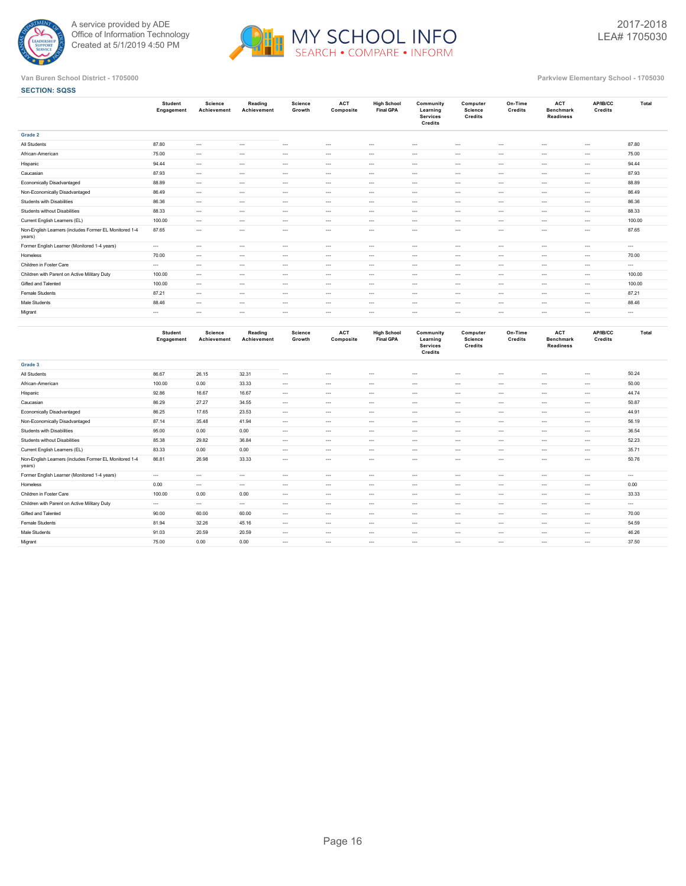



|                                                                  | <b>Student</b><br>Engagement | Science<br>Achievement | Reading<br>Achievement | Science<br>Growth | <b>ACT</b><br>Composite | <b>High School</b><br><b>Final GPA</b> | Community<br>Learning<br><b>Services</b><br>Credits | Computer<br>Science<br>Credits | On-Time<br>Credits | <b>ACT</b><br>Benchmark<br><b>Readiness</b> | AP/IB/CC<br>Credits | Total    |
|------------------------------------------------------------------|------------------------------|------------------------|------------------------|-------------------|-------------------------|----------------------------------------|-----------------------------------------------------|--------------------------------|--------------------|---------------------------------------------|---------------------|----------|
| Grade 2                                                          |                              |                        |                        |                   |                         |                                        |                                                     |                                |                    |                                             |                     |          |
| All Students                                                     | 87.80                        | $\cdots$               | $\cdots$               | $\cdots$          | $\cdots$                | $\sim$                                 | $\cdots$                                            | $\sim$ $\sim$                  | $\sim$             | $\sim$                                      | $\cdots$            | 87.80    |
| African-American                                                 | 75.00                        | $\cdots$               | $\cdots$               | $\sim$            | $\sim$                  | $\sim$                                 | $---$                                               | $\sim$ $\sim$                  | $\sim$             | $-1$                                        | $---$               | 75.00    |
| Hispanic                                                         | 94.44                        | $\cdots$               | $\cdots$               | $\sim$            | $\sim$                  | $\sim$                                 | $---$                                               | $\sim$ $\sim$                  | $\sim$             | $\sim$                                      | $\cdots$            | 94.44    |
| Caucasian                                                        | 87.93                        | $\cdots$               | $\cdots$               | $\sim$            | $\sim$                  | $\sim$                                 | $---$                                               | $\sim$                         | $\sim$             | $\sim$                                      | $\cdots$            | 87.93    |
| Economically Disadvantaged                                       | 88.89                        | $\cdots$               | $\cdots$               | $\sim$            | $\sim$                  | $\sim$                                 | $---$                                               | $\sim$                         | $\sim$             | $\sim$                                      | $\ldots$            | 88.89    |
| Non-Economically Disadvantaged                                   | 86.49                        | $\cdots$               | $\cdots$               | $\sim$            | $\sim$                  | $\sim$                                 | $---$                                               | $\sim$                         | $\sim$             | $\sim$                                      | $\cdots$            | 86.49    |
| Students with Disabilities                                       | 86.36                        | $\cdots$               | $\cdots$               | $\sim$            | $\sim$                  | $\sim$                                 | $---$                                               | $\sim$                         | $\sim$             | $\sim$                                      | $\cdots$            | 86.36    |
| Students without Disabilities                                    | 88.33                        | $\cdots$               | $\cdots$               | $\sim$            | $\sim$                  | $\sim$                                 | $---$                                               | $\sim$                         | $\sim$             | $\sim$                                      | $\cdots$            | 88.33    |
| Current English Learners (EL)                                    | 100.00                       | $\cdots$               | $\cdots$               | $\cdots$          | $\sim$                  | $\cdots$                               | $\cdots$                                            | $- - -$                        | $\cdots$           | $-1$                                        | $\cdots$            | 100.00   |
| Non-English Learners (includes Former EL Monitored 1-4<br>years) | 87.65                        | $\cdots$               | $\cdots$               | $\cdots$          | $\sim$                  | $\cdots$                               | $---$                                               | $\cdots$                       | $\sim$             | $\cdots$                                    | $\cdots$            | 87.65    |
| Former English Learner (Monitored 1-4 years)                     | $\cdots$                     | $\cdots$               | $\cdots$               | $\sim$            | $\sim$                  | $\sim$                                 | $---$                                               | $\sim$                         | $\sim$             | $\sim$                                      | $\cdots$            | $\cdots$ |
| Homeless                                                         | 70.00                        | $\cdots$               | $\cdots$               | $\sim$            | $\sim$                  | $\sim$                                 | $---$                                               | $\sim$ $\sim$                  | $\sim$             | $\sim$                                      | $\cdots$            | 70.00    |
| Children in Foster Care                                          | $\cdots$                     | $\cdots$               | $\cdots$               | $\sim$            | $\sim$                  | $\sim$                                 | $---$                                               | $\sim$ $\sim$                  | $\sim$             | $\sim$                                      | $\cdots$            | $\cdots$ |
| Children with Parent on Active Military Duty                     | 100.00                       | $\cdots$               | $\cdots$               | $\sim$            | $\sim$                  | $\sim$                                 | $---$                                               | $\sim$ $\sim$                  | $\sim$             | $-1$                                        | $\cdots$            | 100.00   |
| Gifted and Talented                                              | 100.00                       | $\cdots$               | $\cdots$               | $\sim$            | $\sim$                  | $\sim$                                 | $---$                                               | $\sim$ $\sim$                  | $\sim$             | $-1$                                        | $\cdots$            | 100.00   |
| Female Students                                                  | 87.21                        | $\cdots$               | $\cdots$               | $\sim$            | $\sim$                  | $\cdots$                               | $---$                                               | $\sim$ $\sim$                  | $\sim$             | $\cdots$                                    | $\cdots$            | 87.21    |
| Male Students                                                    | 88.46                        | $\cdots$               | $\cdots$               | $\sim$            | $\sim$                  | $\sim$                                 | $---$                                               | $\sim$                         | $\sim$             | $\sim$                                      | $\cdots$            | 88.46    |
| Migrant                                                          | $\cdots$                     | $\cdots$               | $\cdots$               | $\sim$            | $\sim$                  | $\sim$                                 | $---$                                               | $\sim$ $\sim$                  | $\sim$             | $-1$                                        | $\cdots$            | $\cdots$ |
|                                                                  |                              |                        |                        |                   |                         |                                        |                                                     |                                |                    |                                             |                     |          |

|                                                                  | <b>Student</b><br>Engagement | Science<br>Achievement | Reading<br>Achievement | Science<br>Growth | <b>ACT</b><br>Composite | <b>High School</b><br><b>Final GPA</b> | Community<br>Learning<br><b>Services</b><br>Credits | Computer<br>Science<br>Credits | On-Time<br>Credits | <b>ACT</b><br><b>Benchmark</b><br><b>Readiness</b> | AP/IB/CC<br>Credits | Total    |
|------------------------------------------------------------------|------------------------------|------------------------|------------------------|-------------------|-------------------------|----------------------------------------|-----------------------------------------------------|--------------------------------|--------------------|----------------------------------------------------|---------------------|----------|
| Grade 3                                                          |                              |                        |                        |                   |                         |                                        |                                                     |                                |                    |                                                    |                     |          |
| All Students                                                     | 86.67                        | 26.15                  | 32.31                  | $\cdots$          | $\cdots$                | $---$                                  | $\cdots$                                            | $\cdots$                       | $\cdots$           | $\cdots$                                           | $---$               | 50.24    |
| African-American                                                 | 100.00                       | 0.00                   | 33.33                  | $\sim$ $\sim$     | $\cdots$                |                                        | $\cdots$                                            | $\sim$ $\sim$                  | $\sim$             | $\cdots$                                           | $---$               | 50.00    |
| Hispanic                                                         | 92.86                        | 16.67                  | 16.67                  | $\sim$ $\sim$     | $\cdots$                |                                        | $\cdots$                                            | $\sim$ $\sim$                  | $\sim$             | $\cdots$                                           | $---$               | 44.74    |
| Caucasian                                                        | 86.29                        | 27.27                  | 34.55                  | $\sim$ $\sim$     | $\cdots$                |                                        | $\cdots$                                            | $\sim$ $\sim$                  | $\sim$             | $\cdots$                                           | $\cdots$            | 50.87    |
| <b>Economically Disadvantaged</b>                                | 86.25                        | 17.65                  | 23.53                  | $\cdots$          | $\cdots$                | ---                                    | $\cdots$                                            | $\cdots$                       | $\cdots$           | $\cdots$                                           | $---$               | 44.91    |
| Non-Economically Disadvantaged                                   | 87.14                        | 35.48                  | 41.94                  | $\sim$ $\sim$     | $\cdots$                | $\cdots$                               | $\cdots$                                            | $\sim$ $\sim$                  | $\sim$             | $\cdots$                                           | $\cdots$            | 56.19    |
| Students with Disabilities                                       | 95.00                        | 0.00                   | 0.00                   | $\sim$ $\sim$     | $\cdots$                | $\cdots$                               | $\cdots$                                            | $\sim$ $\sim$                  | $\cdots$           | $\cdots$                                           | $---$               | 36.54    |
| Students without Disabilities                                    | 85.38                        | 29.82                  | 36.84                  | $\sim$ $\sim$     | $\cdots$                |                                        | $\cdots$                                            | $\sim$ $\sim$                  | $\sim$             | $\cdots$                                           | $\cdots$            | 52.23    |
| Current English Learners (EL)                                    | 83.33                        | 0.00                   | 0.00                   | $\cdots$          | $\cdots$                | ---                                    | $\cdots$                                            | $\cdots$                       | $\cdots$           | $\sim$ $\sim$                                      | $\cdots$            | 35.71    |
| Non-English Learners (includes Former EL Monitored 1-4<br>years) | 86.81                        | 26.98                  | 33.33                  | $\cdots$          | $\cdots$                | $---$                                  | $\cdots$                                            | $\cdots$                       | $\cdots$           | $\cdots$                                           | $---$               | 50.76    |
| Former English Learner (Monitored 1-4 years)                     | $- - -$                      | $\cdots$               | $\cdots$               | $\sim$ $\sim$     | $\cdots$                |                                        | $\cdots$                                            | $\sim$ $\sim$                  | $\cdots$           | $\cdots$                                           | $\cdots$            | $\cdots$ |
| Homeless                                                         | 0.00                         | $\cdots$               | $\cdots$               | $\cdots$          | $\cdots$                | ---                                    | $\cdots$                                            | $\cdots$                       | $\cdots$           | $\cdots$                                           | $\cdots$            | 0.00     |
| Children in Foster Care                                          | 100.00                       | 0.00                   | 0.00                   | $\sim$ $\sim$     | $\cdots$                | $\cdots$                               | $\cdots$                                            | $\sim$ $\sim$                  | $\cdots$           | $\cdots$                                           | $\cdots$            | 33.33    |
| Children with Parent on Active Military Duty                     | $- - -$                      | $\cdots$               | $\cdots$               | $\sim$ $\sim$     | $\cdots$                |                                        | $\cdots$                                            | $\sim$ $\sim$                  | $\cdots$           | $\cdots$                                           | $---$               | $---$    |
| Gifted and Talented                                              | 90.00                        | 60.00                  | 60.00                  | $\sim$ $\sim$     | $\cdots$                |                                        | $\cdots$                                            | $\sim$ $\sim$                  | $\sim$             | $\cdots$                                           | $---$               | 70.00    |
| Female Students                                                  | 81.94                        | 32.26                  | 45.16                  | $\sim$ $\sim$     | $\cdots$                |                                        | $\cdots$                                            | $\sim$ $\sim$                  | $\cdots$           | $\cdots$                                           | $\cdots$            | 54.59    |
| Male Students                                                    | 91.03                        | 20.59                  | 20.59                  | $\cdots$          | $\cdots$                | $\cdots$                               | $\cdots$                                            | $\cdots$                       | $\cdots$           | $\cdots$                                           | $\cdots$            | 46.26    |
| Migrant                                                          | 75.00                        | 0.00                   | 0.00                   | $\sim$ $\sim$     | $\cdots$                |                                        | $\cdots$                                            | $\cdots$                       | $\sim$             | $\cdots$                                           | $---$               | 37.50    |
|                                                                  |                              |                        |                        |                   |                         |                                        |                                                     |                                |                    |                                                    |                     |          |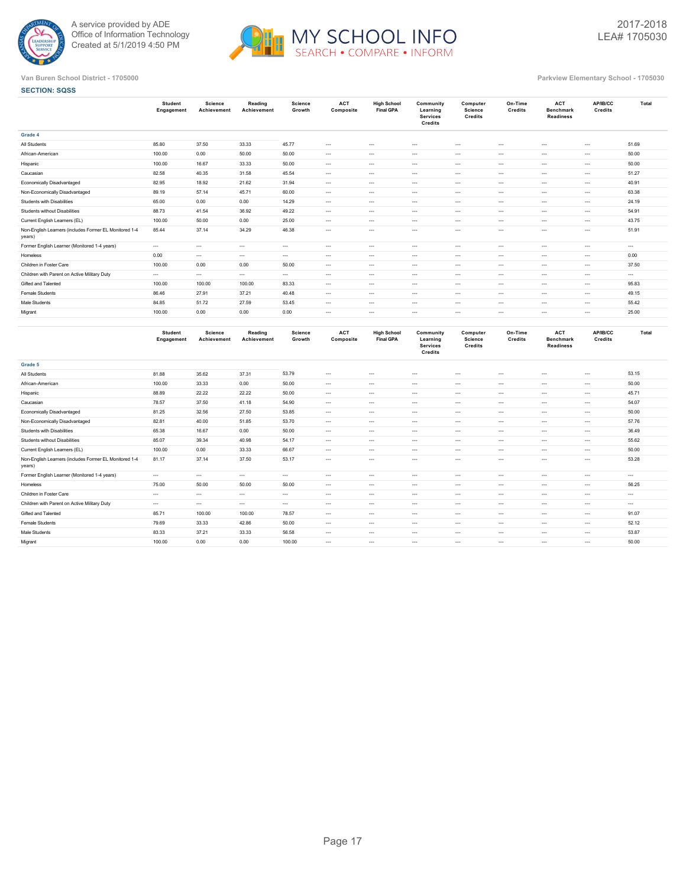



|                                                                  | <b>Student</b><br>Engagement | <b>Science</b><br>Achievement | Reading<br>Achievement | Science<br>Growth | <b>ACT</b><br>Composite | <b>High School</b><br><b>Final GPA</b> | Community<br>Learning<br><b>Services</b><br>Credits | Computer<br>Science<br>Credits | On-Time<br>Credits | <b>ACT</b><br><b>Benchmark</b><br><b>Readiness</b> | AP/IB/CC<br>Credits | Total    |
|------------------------------------------------------------------|------------------------------|-------------------------------|------------------------|-------------------|-------------------------|----------------------------------------|-----------------------------------------------------|--------------------------------|--------------------|----------------------------------------------------|---------------------|----------|
| Grade 4                                                          |                              |                               |                        |                   |                         |                                        |                                                     |                                |                    |                                                    |                     |          |
| All Students                                                     | 85.80                        | 37.50                         | 33.33                  | 45.77             | $---$                   | $---$                                  | $---$                                               | $\cdots$                       | $\cdots$           | $\sim$                                             | $\cdots$            | 51.69    |
| African-American                                                 | 100.00                       | 0.00                          | 50.00                  | 50.00             | $\sim$                  | $---$                                  | $---$                                               | $\cdots$                       | $\sim$             | $-1$                                               | $\cdots$            | 50.00    |
| Hispanic                                                         | 100.00                       | 16.67                         | 33.33                  | 50.00             | $---$                   | $---$                                  | $---$                                               | $\cdots$                       | $\sim$             | $-1$                                               | $\cdots$            | 50.00    |
| Caucasian                                                        | 82.58                        | 40.35                         | 31.58                  | 45.54             | $\cdots$                | $- - -$                                | $\cdots$                                            | $\cdots$                       | $\cdots$           | $\sim$                                             | $\cdots$            | 51.27    |
| Economically Disadvantaged                                       | 82.95                        | 18.92                         | 21.62                  | 31.94             | $\sim$                  | $\cdots$                               | $\cdots$                                            | $\cdots$                       | $\sim$             | $-1$                                               | $\cdots$            | 40.91    |
| Non-Economically Disadvantaged                                   | 89.19                        | 57.14                         | 45.71                  | 60.00             | $\sim$                  | $---$                                  | $\cdots$                                            | $\cdots$                       | $\sim$             | $-1$                                               | $\cdots$            | 63.38    |
| <b>Students with Disabilities</b>                                | 65.00                        | 0.00                          | 0.00                   | 14.29             | $\sim$                  | $- - -$                                | $\cdots$                                            | $\cdots$                       | $\cdots$           | $\sim$                                             | $\cdots$            | 24.19    |
| <b>Students without Disabilities</b>                             | 88.73                        | 41.54                         | 36.92                  | 49.22             | $\cdots$                | $---$                                  | $---$                                               | $\cdots$                       | $\sim$             | $-1$                                               | $\cdots$            | 54.91    |
| Current English Learners (EL)                                    | 100.00                       | 50.00                         | 0.00                   | 25.00             | $\cdots$                | $\cdots$                               | $\cdots$                                            | $\cdots$                       | $\cdots$           | $\sim$                                             | $\cdots$            | 43.75    |
| Non-English Learners (includes Former EL Monitored 1-4<br>years) | 85.44                        | 37.14                         | 34.29                  | 46.38             | $---$                   | $\cdots$                               | $\cdots$                                            | $\cdots$                       | $\cdots$           | $\sim$                                             | $---$               | 51.91    |
| Former English Learner (Monitored 1-4 years)                     | $\cdots$                     | $\ldots$                      | $\cdots$               | $\cdots$          | $\cdots$                | $---$                                  | $---$                                               | $\cdots$                       | $\sim$             | $-1$                                               | $\cdots$            | $\cdots$ |
| Homeless                                                         | 0.00                         | $\ldots$                      |                        | $\cdots$          | $\cdots$                | ---                                    | $\cdots$                                            | $\cdots$                       | $\cdots$           | $\sim$                                             | $\cdots$            | 0.00     |
| Children in Foster Care                                          | 100.00                       | 0.00                          | 0.00                   | 50.00             | $---$                   |                                        | $---$                                               | $\cdots$                       | $\sim$             | $\sim$                                             | $\cdots$            | 37.50    |
| Children with Parent on Active Military Duty                     | $\sim$ $\sim$                | $\cdots$                      |                        | $\cdots$          | $\cdots$                | $- - -$                                | $\cdots$                                            | $\cdots$                       | $\cdots$           | $\sim$                                             | $\cdots$            | $\cdots$ |
| Gifted and Talented                                              | 100.00                       | 100.00                        | 100.00                 | 83.33             | $---$                   | $- - -$                                | $\cdots$                                            | $\cdots$                       | $\cdots$           | $\sim$                                             | $\cdots$            | 95.83    |
| Female Students                                                  | 86.46                        | 27.91                         | 37.21                  | 40.48             | $\cdots$                | $- - -$                                | $\cdots$                                            | $\cdots$                       | $\cdots$           | $\sim$                                             | $\cdots$            | 49.15    |
| Male Students                                                    | 84.85                        | 51.72                         | 27.59                  | 53.45             | $\sim$                  | $\cdots$                               | $\cdots$                                            | $\cdots$                       | $\sim$             | $-1$                                               | $\cdots$            | 55.42    |
| Migrant                                                          | 100.00                       | 0.00                          | 0.00                   | 0.00              | $---$                   | $---$                                  | $---$                                               | $\cdots$                       | $\sim$             | $\sim$                                             | $\cdots$            | 25.00    |
|                                                                  |                              |                               |                        |                   |                         |                                        |                                                     |                                |                    |                                                    |                     |          |

|                                                                  | <b>Student</b><br>Engagement | Science<br>Achievement | Reading<br>Achievement | Science<br>Growth | <b>ACT</b><br>Composite | <b>High School</b><br><b>Final GPA</b> | Community<br>Learning<br><b>Services</b><br>Credits | Computer<br>Science<br>Credits | On-Time<br>Credits | <b>ACT</b><br><b>Benchmark</b><br><b>Readiness</b> | AP/IB/CC<br>Credits | Total    |
|------------------------------------------------------------------|------------------------------|------------------------|------------------------|-------------------|-------------------------|----------------------------------------|-----------------------------------------------------|--------------------------------|--------------------|----------------------------------------------------|---------------------|----------|
| Grade 5                                                          |                              |                        |                        |                   |                         |                                        |                                                     |                                |                    |                                                    |                     |          |
| All Students                                                     | 81.88                        | 35.62                  | 37.31                  | 53.79             | $\sim$                  | $\cdots$                               | $---$                                               | $\cdots$                       | $\cdots$           | $\cdots$                                           | $\cdots$            | 53.15    |
| African-American                                                 | 100.00                       | 33.33                  | 0.00                   | 50.00             | $\cdots$                | $\cdots$                               | $---$                                               | $\cdots$                       | $\cdots$           | $-1$                                               | $\cdots$            | 50.00    |
| Hispanic                                                         | 88.89                        | 22.22                  | 22.22                  | 50.00             | $\cdots$                | $\cdots$                               | $---$                                               | $\cdots$                       | $\cdots$           | $-1$                                               | $\cdots$            | 45.71    |
| Caucasian                                                        | 78.57                        | 37.50                  | 41.18                  | 54.90             | $\cdots$                | $\cdots$                               | $---$                                               | $\cdots$                       | $\cdots$           | $\cdots$                                           | $\cdots$            | 54.07    |
| Economically Disadvantaged                                       | 81.25                        | 32.56                  | 27.50                  | 53.85             | $\cdots$                | $\cdots$                               | $---$                                               | $\cdots$                       | $\cdots$           | $-1$                                               | $\cdots$            | 50.00    |
| Non-Economically Disadvantaged                                   | 82.81                        | 40.00                  | 51.85                  | 53.70             | $\sim$                  | $\cdots$                               | $---$                                               | $\cdots$                       | $\cdots$           | $-1$                                               | $\cdots$            | 57.76    |
| Students with Disabilities                                       | 65.38                        | 16.67                  | 0.00                   | 50.00             | $\cdots$                | $\cdots$                               | $---$                                               | $\cdots$                       | $\cdots$           | $-1$                                               | $\cdots$            | 36.49    |
| Students without Disabilities                                    | 85.07                        | 39.34                  | 40.98                  | 54.17             | $\cdots$                | $\cdots$                               | $\cdots$                                            | $\cdots$                       | $\cdots$           | $\cdots$                                           | $\cdots$            | 55.62    |
| Current English Learners (EL)                                    | 100.00                       | 0.00                   | 33.33                  | 66.67             | $\cdots$                | $---$                                  | $---$                                               | $\cdots$                       | $\sim$             | $\cdots$                                           | $\cdots$            | 50.00    |
| Non-English Learners (includes Former EL Monitored 1-4<br>years) | 81.17                        | 37.14                  | 37.50                  | 53.17             | $\cdots$                | $\cdots$                               | $---$                                               | $\cdots$                       | $\sim$             | $\cdots$                                           | $\cdots$            | 53.28    |
| Former English Learner (Monitored 1-4 years)                     | $\cdots$                     | $\cdots$               | $\cdots$               | $\cdots$          | $\sim$                  | $\cdots$                               | $\cdots$                                            | $\cdots$                       | $\cdots$           | $\cdots$                                           | $\cdots$            | $\cdots$ |
| Homeless                                                         | 75.00                        | 50.00                  | 50.00                  | 50.00             | $\cdots$                | $\cdots$                               | $---$                                               | $\cdots$                       | $\sim$             | $\sim$                                             | $\cdots$            | 56.25    |
| Children in Foster Care                                          | $- - -$                      | $---$                  | $\cdots$               | $\sim$            | $\cdots$                | $\cdots$                               | $---$                                               | $\cdots$                       | $\sim$             | $\sim$                                             | $\cdots$            | $---$    |
| Children with Parent on Active Military Duty                     | $- - -$                      | $\cdots$               | $\cdots$               | $\cdots$          | $\cdots$                | $---$                                  | $---$                                               | $\cdots$                       | $\sim$             | $\cdots$                                           | $\cdots$            | $---$    |
| Gifted and Talented                                              | 85.71                        | 100.00                 | 100.00                 | 78.57             | $\cdots$                | $---$                                  | $---$                                               | $\cdots$                       | $\sim$             | $\cdots$                                           | $\cdots$            | 91.07    |
| Female Students                                                  | 79.69                        | 33.33                  | 42.86                  | 50.00             | $\cdots$                | $---$                                  | $---$                                               | $\cdots$                       | $\cdots$           | $\cdots$                                           | $\cdots$            | 52.12    |
| Male Students                                                    | 83.33                        | 37.21                  | 33.33                  | 56.58             | $\cdots$                | $\cdots$                               | $---$                                               | $\cdots$                       | $\cdots$           | $-1$                                               | $\cdots$            | 53.87    |
| Migrant                                                          | 100.00                       | 0.00                   | 0.00                   | 100.00            | $\cdots$                | $\cdots$                               | $---$                                               | $\cdots$                       | $\sim$             | $\cdots$                                           | $\cdots$            | 50.00    |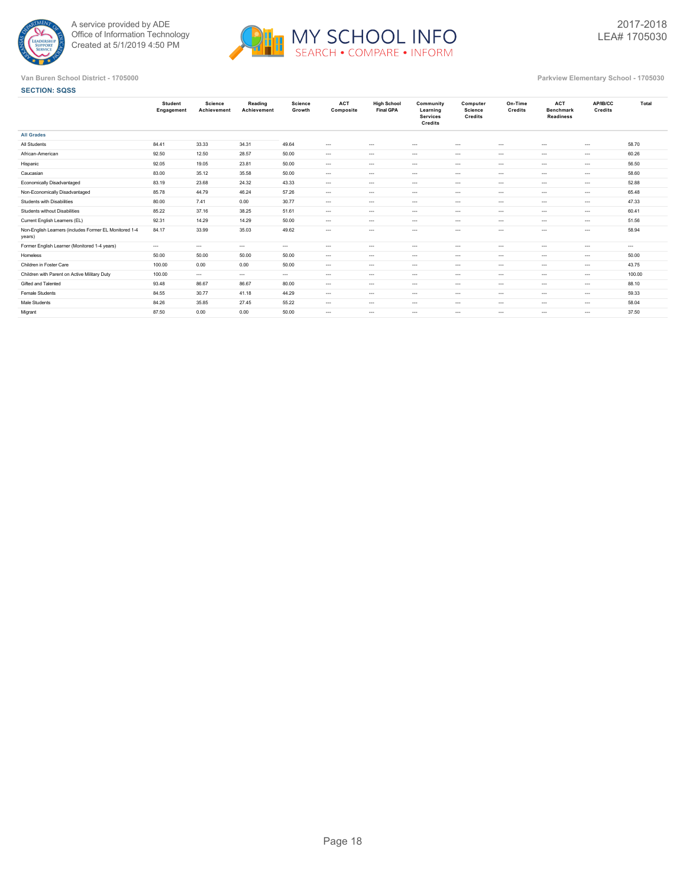



| <b>Student</b><br>Engagement | Science<br>Achievement | Reading<br>Achievement | <b>Science</b><br>Growth | <b>ACT</b><br>Composite | <b>High School</b><br><b>Final GPA</b> | Community<br>Learning<br><b>Services</b><br>Credits | Computer<br>Science<br>Credits | On-Time<br>Credits | <b>ACT</b><br><b>Benchmark</b><br><b>Readiness</b> | AP/IB/CC<br>Credits | Total   |
|------------------------------|------------------------|------------------------|--------------------------|-------------------------|----------------------------------------|-----------------------------------------------------|--------------------------------|--------------------|----------------------------------------------------|---------------------|---------|
|                              |                        |                        |                          |                         |                                        |                                                     |                                |                    |                                                    |                     |         |
| 84.41                        | 33.33                  | 34.31                  | 49.64                    | $\cdots$                | $- - -$                                | $---$                                               | $---$                          | $\cdots$           | $\sim$                                             | $\cdots$            | 58.70   |
| 92.50                        | 12.50                  | 28.57                  | 50.00                    | $\cdots$                | $---$                                  | $---$                                               | $---$                          | $\cdots$           | $\sim$                                             | $\cdots$            | 60.26   |
| 92.05                        | 19.05                  | 23.81                  | 50.00                    | $\cdots$                | $- - -$                                | $\cdots$                                            | $\cdots$                       | $\sim$             | $\cdots$                                           | $\cdots$            | 56.50   |
| 83.00                        | 35.12                  | 35.58                  | 50.00                    | $\cdots$                | $---$                                  | $---$                                               | $---$                          | $\cdots$           | $\sim$                                             | $\cdots$            | 58.60   |
| 83.19                        | 23.68                  | 24.32                  | 43.33                    | $\cdots$                | $---$                                  | $---$                                               | $---$                          | $\cdots$           | $\sim$                                             | $\cdots$            | 52.88   |
| 85.78                        | 44.79                  | 46.24                  | 57.26                    | $\cdots$                | $- - -$                                | $\cdots$                                            | $\cdots$                       | $\cdots$           | $\sim$                                             | $\cdots$            | 65.48   |
| 80.00                        | 7.41                   | 0.00                   | 30.77                    | $\cdots$                | $---$                                  | $---$                                               | $---$                          | $\cdots$           | $\sim$                                             | $\cdots$            | 47.33   |
| 85.22                        | 37.16                  | 38.25                  | 51.61                    | $\cdots$                | $---$                                  | $---$                                               | $\cdots$                       | $\cdots$           | $\cdots$                                           | $\cdots$            | 60.41   |
| 92.31                        | 14.29                  | 14.29                  | 50.00                    | $\cdots$                | $---$                                  | $---$                                               | $---$                          | $\cdots$           | $\sim$                                             | $\cdots$            | 51.56   |
| 84.17                        | 33.99                  | 35.03                  | 49.62                    | $\cdots$                | $\cdots$                               | $\cdots$                                            | $\cdots$                       | $\cdots$           | $\sim$                                             | $\cdots$            | 58.94   |
| $\cdots$                     | $\cdots$               | $\cdots$               | $\sim$ $\sim$            | $\cdots$                | $---$                                  | $---$                                               | $---$                          | $\cdots$           | $\sim$                                             | $\cdots$            | $- - -$ |
| 50.00                        | 50.00                  | 50.00                  | 50.00                    | $\cdots$                | $\cdots$                               | $\cdots$                                            | $\cdots$                       | $\cdots$           | $\cdots$                                           | $\cdots$            | 50.00   |
| 100.00                       | 0.00                   | 0.00                   | 50.00                    | $\cdots$                | $- - -$                                | $\cdots$                                            | $\cdots$                       | $\cdots$           | $\cdots$                                           | $\cdots$            | 43.75   |
| 100.00                       | $\cdots$               | $\cdots$               | $\sim$ $\sim$            | $\cdots$                | $\cdots$                               | $\cdots$                                            | $\cdots$                       | $\cdots$           | $\cdots$                                           | $\cdots$            | 100.00  |
| 93.48                        | 86.67                  | 86.67                  | 80.00                    | $\cdots$                | $\cdots$                               | $\cdots$                                            | $\cdots$                       | $\cdots$           | $\sim$                                             | $\cdots$            | 88.10   |
| 84.55                        | 30.77                  | 41.18                  | 44.29                    | $\cdots$                | $- - -$                                | $---$                                               | $\cdots$                       | $\cdots$           | $\cdots$                                           | $\cdots$            | 59.33   |
| 84.26                        | 35.85                  | 27.45                  | 55.22                    | $\cdots$                | $---$                                  | $---$                                               | $---$                          | $\cdots$           | $\cdots$                                           | $\cdots$            | 58.04   |
| 87.50                        | 0.00                   | 0.00                   | 50.00                    | $\cdots$                | $- - -$                                | $\cdots$                                            | $\cdots$                       | $\cdots$           | $\sim$                                             | $\cdots$            | 37.50   |
|                              |                        |                        |                          |                         |                                        |                                                     |                                |                    |                                                    |                     |         |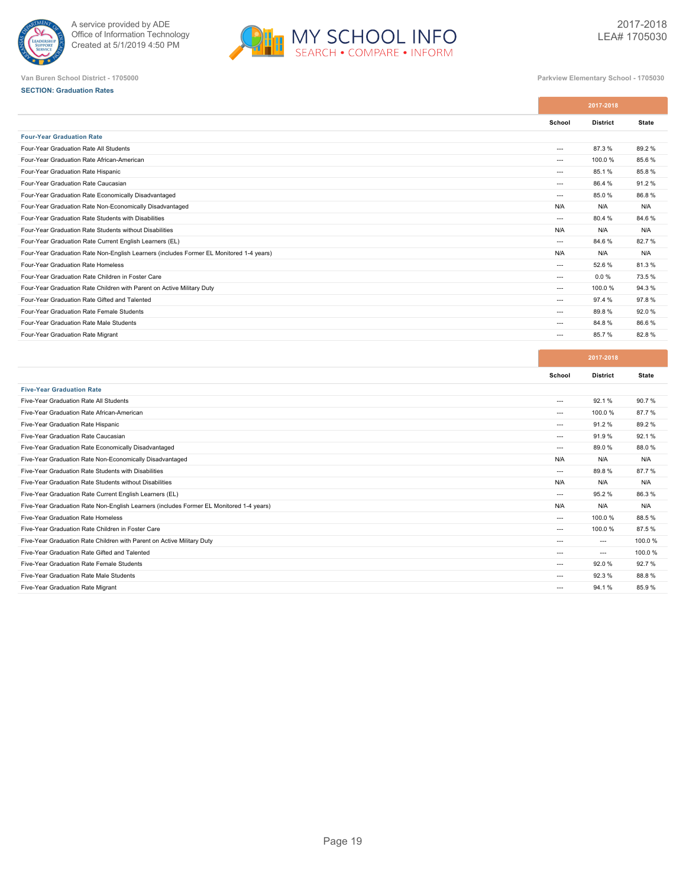



# **SECTION: Graduation Rates**

|                                                                                         |               | 2017-2018       |              |
|-----------------------------------------------------------------------------------------|---------------|-----------------|--------------|
|                                                                                         | School        | <b>District</b> | <b>State</b> |
| <b>Four-Year Graduation Rate</b>                                                        |               |                 |              |
| Four-Year Graduation Rate All Students                                                  | $---$         | 87.3%           | 89.2%        |
| Four-Year Graduation Rate African-American                                              | $---$         | 100.0%          | 85.6%        |
| Four-Year Graduation Rate Hispanic                                                      | $---$         | 85.1%           | 85.8%        |
| Four-Year Graduation Rate Caucasian                                                     | $---$         | 86.4%           | 91.2%        |
| Four-Year Graduation Rate Economically Disadvantaged                                    | $---$         | 85.0%           | 86.8%        |
| Four-Year Graduation Rate Non-Economically Disadvantaged                                | N/A           | N/A             | N/A          |
| Four-Year Graduation Rate Students with Disabilities                                    | $---$         | 80.4%           | 84.6%        |
| Four-Year Graduation Rate Students without Disabilities                                 | N/A           | N/A             | N/A          |
| Four-Year Graduation Rate Current English Learners (EL)                                 | $---$         | 84.6%           | 82.7%        |
| Four-Year Graduation Rate Non-English Learners (includes Former EL Monitored 1-4 years) | N/A           | N/A             | N/A          |
| Four-Year Graduation Rate Homeless                                                      | $---$         | 52.6%           | 81.3%        |
| Four-Year Graduation Rate Children in Foster Care                                       | $---$         | 0.0%            | 73.5 %       |
| Four-Year Graduation Rate Children with Parent on Active Military Duty                  | $\sim$ $\sim$ | 100.0%          | 94.3%        |
| Four-Year Graduation Rate Gifted and Talented                                           | $---$         | 97.4 %          | 97.8%        |
| Four-Year Graduation Rate Female Students                                               | $---$         | 89.8%           | 92.0%        |
| Four-Year Graduation Rate Male Students                                                 | $---$         | 84.8%           | 86.6%        |
| Four-Year Graduation Rate Migrant                                                       | $\cdots$      | 85.7%           | 82.8%        |
|                                                                                         |               |                 |              |

|                                                                                         |                          | 2017-2018       |              |
|-----------------------------------------------------------------------------------------|--------------------------|-----------------|--------------|
|                                                                                         | School                   | <b>District</b> | <b>State</b> |
| <b>Five-Year Graduation Rate</b>                                                        |                          |                 |              |
| Five-Year Graduation Rate All Students                                                  | $\cdots$                 | 92.1%           | 90.7%        |
| Five-Year Graduation Rate African-American                                              | $\cdots$                 | 100.0%          | 87.7%        |
| Five-Year Graduation Rate Hispanic                                                      | $---$                    | 91.2%           | 89.2%        |
| Five-Year Graduation Rate Caucasian                                                     | $---$                    | 91.9%           | 92.1%        |
| Five-Year Graduation Rate Economically Disadvantaged                                    | $\hspace{0.05cm} \ldots$ | 89.0%           | 88.0%        |
| Five-Year Graduation Rate Non-Economically Disadvantaged                                | N/A                      | <b>N/A</b>      | N/A          |
| Five-Year Graduation Rate Students with Disabilities                                    | $---$                    | 89.8%           | 87.7%        |
| Five-Year Graduation Rate Students without Disabilities                                 | N/A                      | N/A             | N/A          |
| Five-Year Graduation Rate Current English Learners (EL)                                 | $\cdots$                 | 95.2%           | 86.3%        |
| Five-Year Graduation Rate Non-English Learners (includes Former EL Monitored 1-4 years) | N/A                      | N/A             | N/A          |
| Five-Year Graduation Rate Homeless                                                      | $---$                    | 100.0%          | 88.5%        |
| Five-Year Graduation Rate Children in Foster Care                                       | $\cdots$                 | 100.0%          | 87.5 %       |
| Five-Year Graduation Rate Children with Parent on Active Military Duty                  | $---$                    | $\cdots$        | 100.0%       |
| Five-Year Graduation Rate Gifted and Talented                                           | $---$                    | $\cdots$        | 100.0%       |
| Five-Year Graduation Rate Female Students                                               | $---$                    | 92.0%           | 92.7%        |
| Five-Year Graduation Rate Male Students                                                 | $\cdots$                 | 92.3%           | 88.8%        |
| Five-Year Graduation Rate Migrant                                                       | $---$                    | 94.1%           | 85.9%        |
|                                                                                         |                          |                 |              |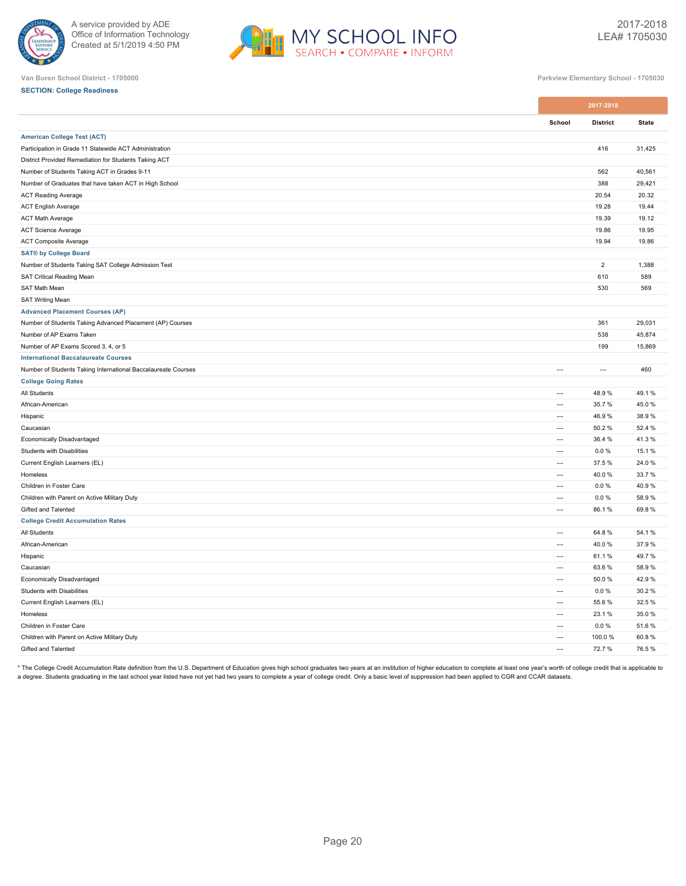



## **SECTION: College Readiness**

**Van Buren School District - 1705000 Parkview Elementary School - 1705030**

|                                                               |                          | 2017-2018                |              |
|---------------------------------------------------------------|--------------------------|--------------------------|--------------|
|                                                               | School                   | <b>District</b>          | <b>State</b> |
| <b>American College Test (ACT)</b>                            |                          |                          |              |
| Participation in Grade 11 Statewide ACT Administration        |                          | 416                      | 31,425       |
| District Provided Remediation for Students Taking ACT         |                          |                          |              |
| Number of Students Taking ACT in Grades 9-11                  |                          | 562                      | 40,561       |
| Number of Graduates that have taken ACT in High School        |                          | 388                      | 29,421       |
| <b>ACT Reading Average</b>                                    |                          | 20.54                    | 20.32        |
| <b>ACT English Average</b>                                    |                          | 19.28                    | 19.44        |
| <b>ACT Math Average</b>                                       |                          | 19.39                    | 19.12        |
| <b>ACT Science Average</b>                                    |                          | 19.86                    | 19.95        |
| <b>ACT Composite Average</b>                                  |                          | 19.94                    | 19.86        |
| <b>SAT® by College Board</b>                                  |                          |                          |              |
| Number of Students Taking SAT College Admission Test          |                          | $\sqrt{2}$               | 1,388        |
| SAT Critical Reading Mean                                     |                          | 610                      | 589          |
| SAT Math Mean                                                 |                          | 530                      | 569          |
| SAT Writing Mean                                              |                          |                          |              |
| <b>Advanced Placement Courses (AP)</b>                        |                          |                          |              |
| Number of Students Taking Advanced Placement (AP) Courses     |                          | 361                      | 29,031       |
| Number of AP Exams Taken                                      |                          | 538                      | 45,874       |
| Number of AP Exams Scored 3, 4, or 5                          |                          | 199                      | 15,869       |
| <b>International Baccalaureate Courses</b>                    |                          |                          |              |
| Number of Students Taking International Baccalaureate Courses | $\overline{\phantom{a}}$ | $\overline{\phantom{a}}$ | 460          |
| <b>College Going Rates</b>                                    |                          |                          |              |
| All Students                                                  | $\overline{\phantom{a}}$ | 48.9%                    | 49.1%        |
| African-American                                              | $---$                    | 35.7%                    | 45.0%        |
| Hispanic                                                      | ---                      | 46.9%                    | 38.9%        |
| Caucasian                                                     | ---                      | 50.2%                    | 52.4 %       |
| Economically Disadvantaged                                    | $\overline{\phantom{a}}$ | 36.4%                    | 41.3%        |
| Students with Disabilities                                    | $\overline{a}$           | 0.0%                     | 15.1%        |
| Current English Learners (EL)                                 | ---                      | 37.5%                    | 24.0%        |
| Homeless                                                      | ---                      | 40.0%                    | 33.7%        |
| Children in Foster Care                                       | $\overline{a}$           | 0.0%                     | 40.9%        |
| Children with Parent on Active Military Duty                  | $\overline{\phantom{a}}$ | $0.0 \%$                 | 58.9%        |
| Gifted and Talented                                           | $\overline{\phantom{a}}$ | 86.1%                    | 69.8%        |
| <b>College Credit Accumulation Rates</b>                      |                          |                          |              |
| All Students                                                  | $\overline{a}$           | 64.8%                    | 54.1%        |
| African-American                                              | $\overline{a}$           | 40.0%                    | 37.9%        |
| Hispanic                                                      | $\overline{a}$           | 61.1%                    | 49.7%        |
| Caucasian                                                     | $\overline{\phantom{a}}$ | 63.6%                    | 58.9%        |
| Economically Disadvantaged                                    | $\overline{a}$           | 50.0%                    | 42.9%        |
| Students with Disabilities                                    | ---                      | 0.0 %                    | 30.2%        |
| Current English Learners (EL)                                 | $\overline{\phantom{a}}$ | 55.6%                    | 32.5 %       |
| Homeless                                                      | $\overline{\phantom{a}}$ | 23.1%                    | 35.0%        |
| Children in Foster Care                                       | $\overline{a}$           | $0.0 \%$                 | 51.6%        |
| Children with Parent on Active Military Duty                  | ---                      | 100.0%                   | 60.8%        |
| Gifted and Talented                                           | $\overline{\phantom{a}}$ | 72.7%                    | 76.5%        |

\* The College Credit Accumulation Rate definition from the U.S. Department of Education gives high school graduates two years at an institution of higher education to complete at least one year's worth of college credit th a degree. Students graduating in the last school year listed have not yet had two years to complete a year of college credit. Only a basic level of suppression had been applied to CGR and CCAR datasets.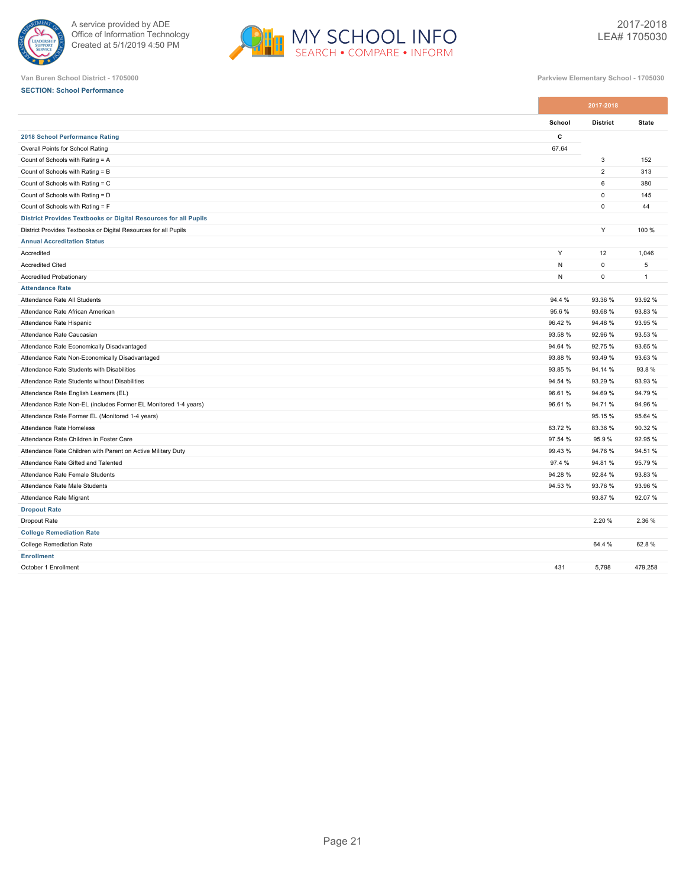



# **SECTION: School Performance**

|                                                                 |         | 2017-2018       |              |
|-----------------------------------------------------------------|---------|-----------------|--------------|
|                                                                 | School  | <b>District</b> | <b>State</b> |
| 2018 School Performance Rating                                  | c       |                 |              |
| Overall Points for School Rating                                | 67.64   |                 |              |
| Count of Schools with Rating = A                                |         | 3               | 152          |
| Count of Schools with Rating = B                                |         | $\overline{2}$  | 313          |
| Count of Schools with Rating = C                                |         | 6               | 380          |
| Count of Schools with Rating = D                                |         | 0               | 145          |
| Count of Schools with Rating = F                                |         | 0               | 44           |
| District Provides Textbooks or Digital Resources for all Pupils |         |                 |              |
| District Provides Textbooks or Digital Resources for all Pupils |         | Y               | 100 %        |
| <b>Annual Accreditation Status</b>                              |         |                 |              |
| Accredited                                                      | Υ       | 12              | 1,046        |
| <b>Accredited Cited</b>                                         | $\sf N$ | $\mathbf 0$     | 5            |
| Accredited Probationary                                         | $\sf N$ | 0               | $\mathbf{1}$ |
| <b>Attendance Rate</b>                                          |         |                 |              |
| Attendance Rate All Students                                    | 94.4 %  | 93.36 %         | 93.92 %      |
| Attendance Rate African American                                | 95.6%   | 93.68 %         | 93.83 %      |
| Attendance Rate Hispanic                                        | 96.42%  | 94.48 %         | 93.95 %      |
| Attendance Rate Caucasian                                       | 93.58 % | 92.96 %         | 93.53 %      |
| Attendance Rate Economically Disadvantaged                      | 94.64 % | 92.75 %         | 93.65 %      |
| Attendance Rate Non-Economically Disadvantaged                  | 93.88%  | 93.49 %         | 93.63%       |
| Attendance Rate Students with Disabilities                      | 93.85%  | 94.14 %         | 93.8%        |
| Attendance Rate Students without Disabilities                   | 94.54 % | 93.29 %         | 93.93 %      |
| Attendance Rate English Learners (EL)                           | 96.61%  | 94.69 %         | 94.79%       |
| Attendance Rate Non-EL (includes Former EL Monitored 1-4 years) | 96.61%  | 94.71 %         | 94.96 %      |
| Attendance Rate Former EL (Monitored 1-4 years)                 |         | 95.15 %         | 95.64 %      |
| Attendance Rate Homeless                                        | 83.72%  | 83.36 %         | 90.32 %      |
| Attendance Rate Children in Foster Care                         | 97.54 % | 95.9%           | 92.95 %      |
| Attendance Rate Children with Parent on Active Military Duty    | 99.43%  | 94.76%          | 94.51 %      |
| Attendance Rate Gifted and Talented                             | 97.4 %  | 94.81%          | 95.79 %      |
| Attendance Rate Female Students                                 | 94.28%  | 92.84 %         | 93.83%       |
| Attendance Rate Male Students                                   | 94.53%  | 93.76 %         | 93.96 %      |
| Attendance Rate Migrant                                         |         | 93.87%          | 92.07%       |
| <b>Dropout Rate</b>                                             |         |                 |              |
| Dropout Rate                                                    |         | 2.20%           | 2.36 %       |
| <b>College Remediation Rate</b>                                 |         |                 |              |
| College Remediation Rate                                        |         | 64.4%           | 62.8%        |
| <b>Enrollment</b>                                               |         |                 |              |
| October 1 Enrollment                                            | 431     | 5,798           | 479,258      |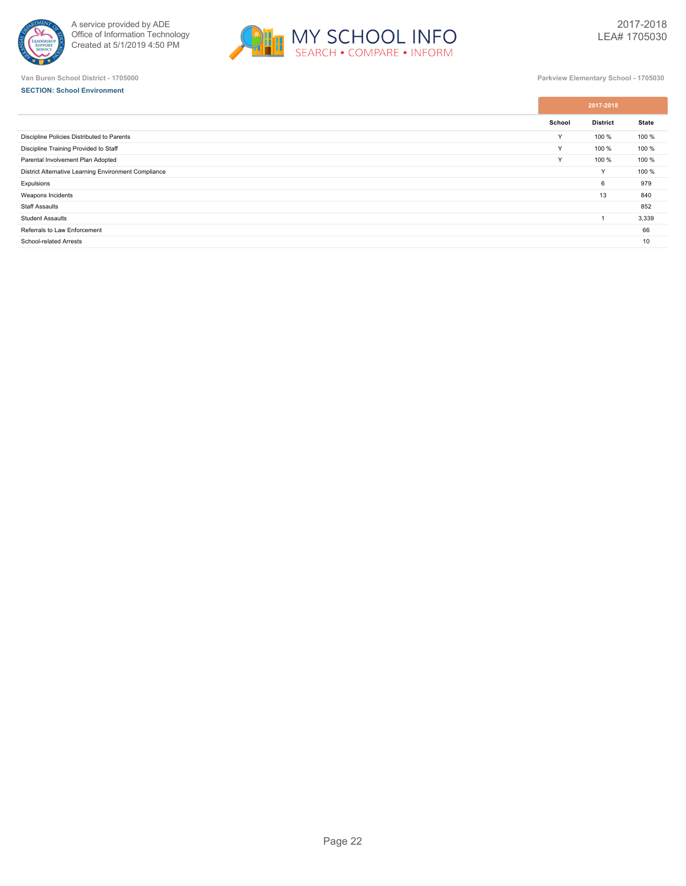



# **SECTION: School Environment**

|                                                      |        | 2017-2018       |       |
|------------------------------------------------------|--------|-----------------|-------|
|                                                      | School | <b>District</b> | State |
| Discipline Policies Distributed to Parents           | Y      | 100 %           | 100 % |
| Discipline Training Provided to Staff                | Y      | 100 %           | 100 % |
| Parental Involvement Plan Adopted                    | Y      | 100 %           | 100 % |
| District Alternative Learning Environment Compliance |        | v               | 100 % |
| Expulsions                                           |        | 6               | 979   |
| Weapons Incidents                                    |        | 13              | 840   |
| <b>Staff Assaults</b>                                |        |                 | 852   |
| <b>Student Assaults</b>                              |        |                 | 3,339 |
| Referrals to Law Enforcement                         |        |                 | 66    |
| School-related Arrests                               |        |                 | 10    |
|                                                      |        |                 |       |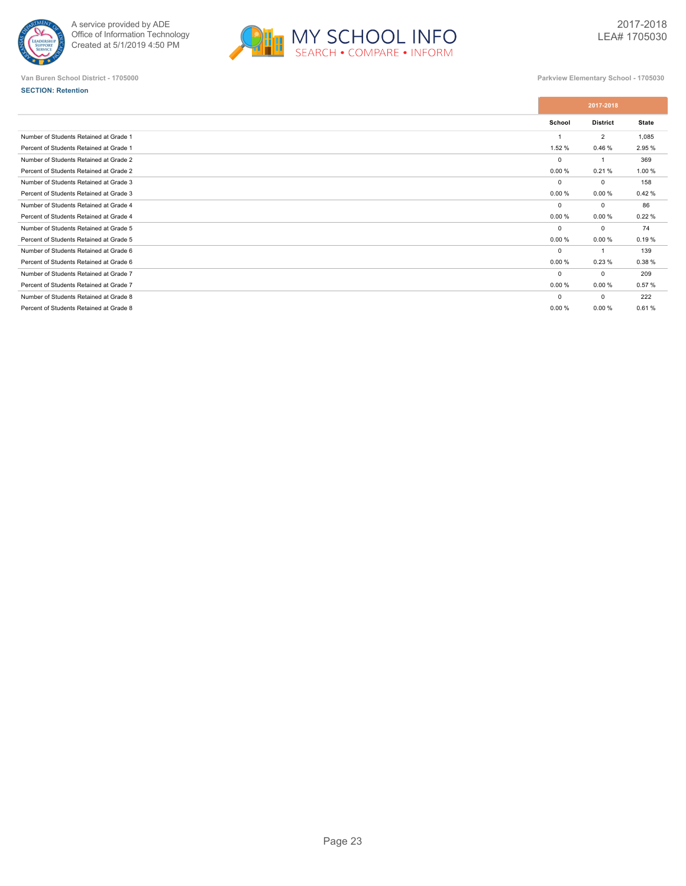

**SECTION: Retention**



**Van Buren School District - 1705000 Parkview Elementary School - 1705030**

## **School District State** Number of Students Retained at Grade 1 and 2 1,085 Percent of Students Retained at Grade 1 and Students Retained at Grade 1 1.52 % 0.46 % 2.95 % 0.46 % 2.95 % 0.46 % 2.95 % 0.46 % 2.95 % 0.46 % 2.95 % 0.46 % 2.95 % 0.46 % 2.95 % 0.46 % 0.46 % 0.46 % 0.46 % 0.46 % 0.46 % 0. Number of Students Retained at Grade 2 0 1 369 Percent of Students Retained at Grade 2 0.00 % 0.21 % 1.00 % 0.21 % 1.00 % 0.21 % 1.00 % 0.21 % 1.00 % 0.21 % 1.00 % 0.21 % 1.00 % 0.21 % 1.00 % 0.21 % 1.00 % 0.21 % 1.00 % 0.21 % 1.00 % 0.21 % 1.00 % 0.21 % 0.00 % 0.21 % Number of Students Retained at Grade 3 0 0 158 Percent of Students Retained at Grade 3 0.00 % 0.42 % 0.00 % 0.42 % 0.00 % 0.42 % 0.00 % 0.42 % 0.00 % 0.42 % 0.00 % 0.42 % 0.42 % 0.42 % 0.42 % 0.42 % 0.42 % 0.42 % 0.42 % 0.42 % 0.42 % 0.42 % 0.42 % 0.42 % 0.42 % 0.42 % Number of Students Retained at Grade 4 0 0 0 86 Percent of Students Retained at Grade 4 0.00 % 0.00 % 0.00 % 0.22 % Number of Students Retained at Grade 5 0 0 74 Percent of Students Retained at Grade 5 0.00 % 0.19 % 0.00 % 0.00 % 0.19 % 0.00 % 0.19 % Number of Students Retained at Grade 6 0 1 1 139 Percent of Students Retained at Grade 6 0.00 % 0.23 % 0.38 % 0.38 % 0.38 % 0.38 % 0.38 % 0.38 % 0.38 % 0.38 % 0.38 % 0.38 % 0.38 % 0.38 % 0.38 % 0.38 % 0.38 % 0.38 % 0.38 % 0.38 % 0.38 % 0.38 % 0.38 % 0.38 % 0.38 % 0.38 % Number of Students Retained at Grade 7 0 0 209 Percent of Students Retained at Grade 7 0.00 % 0.00 % 0.00 % 0.00 % 0.00 % 0.00 % 0.00 % 0.00 % 0.00 % 0.00 % 0.00 % 0.57 % 0.00 % 0.00 % 0.57 % 0.00 % 0.57 % 0.00 % 0.00 % 0.57 % 0.00 % 0.57 % 0.00 % 0.00 % 0.57 % 0.00 % Number of Students Retained at Grade 8 0 0 222 Percent of Students Retained at Grade 8 0.00 % 0.00 % 0.00 % 0.00 % 0.00 % 0.00 % 0.00 % 0.00 % 0.00 % 0.00 % 0.00 % 0.61 %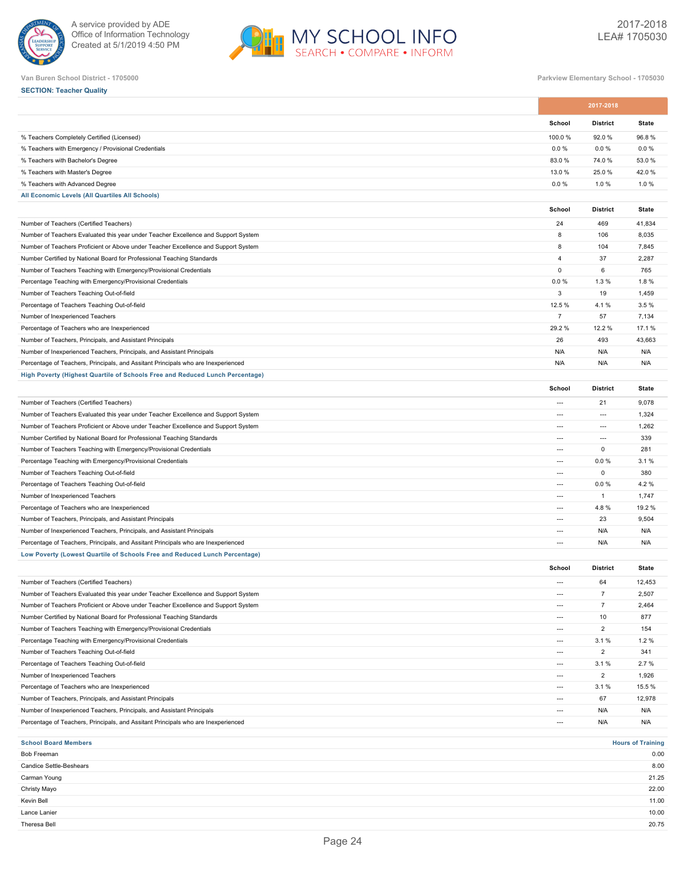



| <b>SECTION: Teacher Quality</b>                                                                                                    |                          |                          |                          |
|------------------------------------------------------------------------------------------------------------------------------------|--------------------------|--------------------------|--------------------------|
|                                                                                                                                    |                          | 2017-2018                |                          |
|                                                                                                                                    | School                   | <b>District</b>          | State                    |
| % Teachers Completely Certified (Licensed)                                                                                         | 100.0%                   | 92.0%                    | 96.8%                    |
| % Teachers with Emergency / Provisional Credentials                                                                                | $0.0 \%$                 | 0.0%                     | 0.0%                     |
| % Teachers with Bachelor's Degree                                                                                                  | 83.0%                    | 74.0%                    | 53.0 %                   |
| % Teachers with Master's Degree                                                                                                    | 13.0 %                   | 25.0%                    | 42.0%                    |
| % Teachers with Advanced Degree                                                                                                    | 0.0%                     | 1.0%                     | 1.0%                     |
| All Economic Levels (All Quartiles All Schools)                                                                                    |                          |                          |                          |
|                                                                                                                                    | School                   | <b>District</b>          | <b>State</b>             |
| Number of Teachers (Certified Teachers)                                                                                            | 24                       | 469                      | 41,834                   |
| Number of Teachers Evaluated this year under Teacher Excellence and Support System                                                 | 8                        | 106                      | 8,035                    |
| Number of Teachers Proficient or Above under Teacher Excellence and Support System                                                 | 8                        | 104                      | 7,845                    |
| Number Certified by National Board for Professional Teaching Standards                                                             | $\overline{4}$           | 37                       | 2,287                    |
| Number of Teachers Teaching with Emergency/Provisional Credentials                                                                 | 0                        | 6                        | 765                      |
| Percentage Teaching with Emergency/Provisional Credentials                                                                         | 0.0%                     | 1.3%                     | 1.8%                     |
| Number of Teachers Teaching Out-of-field                                                                                           | 3                        | 19                       | 1,459                    |
| Percentage of Teachers Teaching Out-of-field                                                                                       | 12.5 %                   | 4.1%                     | 3.5%                     |
| Number of Inexperienced Teachers                                                                                                   | $\overline{7}$           | 57                       | 7,134                    |
| Percentage of Teachers who are Inexperienced                                                                                       | 29.2 %                   | 12.2%                    | 17.1 %                   |
| Number of Teachers, Principals, and Assistant Principals                                                                           | 26                       | 493                      | 43,663                   |
| Number of Inexperienced Teachers, Principals, and Assistant Principals                                                             | N/A                      | N/A                      | N/A                      |
| Percentage of Teachers, Principals, and Assitant Principals who are Inexperienced                                                  | N/A                      | N/A                      | N/A                      |
| High Poverty (Highest Quartile of Schools Free and Reduced Lunch Percentage)                                                       |                          |                          |                          |
|                                                                                                                                    | School                   | <b>District</b>          | <b>State</b>             |
| Number of Teachers (Certified Teachers)                                                                                            | $\overline{a}$           | 21                       | 9,078                    |
| Number of Teachers Evaluated this year under Teacher Excellence and Support System                                                 | $\overline{\phantom{a}}$ | $\overline{\phantom{a}}$ | 1,324                    |
| Number of Teachers Proficient or Above under Teacher Excellence and Support System                                                 | ---                      | $\overline{a}$           | 1,262                    |
| Number Certified by National Board for Professional Teaching Standards                                                             | $\overline{\phantom{a}}$ | ---                      | 339                      |
| Number of Teachers Teaching with Emergency/Provisional Credentials                                                                 | ---                      | $\mathsf 0$              | 281                      |
| Percentage Teaching with Emergency/Provisional Credentials                                                                         | $\overline{a}$           | 0.0%                     | 3.1%                     |
| Number of Teachers Teaching Out-of-field                                                                                           | ---                      | $\mathsf 0$              | 380                      |
| Percentage of Teachers Teaching Out-of-field                                                                                       | $\overline{a}$           | 0.0%                     | 4.2%                     |
| Number of Inexperienced Teachers                                                                                                   | ---                      | $\mathbf{1}$             | 1,747                    |
| Percentage of Teachers who are Inexperienced                                                                                       | $\overline{a}$<br>$---$  | 4.8%                     | 19.2 %                   |
| Number of Teachers, Principals, and Assistant Principals<br>Number of Inexperienced Teachers, Principals, and Assistant Principals | ---                      | 23<br>N/A                | 9,504<br>N/A             |
| Percentage of Teachers, Principals, and Assitant Principals who are Inexperienced                                                  | $---$                    | N/A                      | N/A                      |
| Low Poverty (Lowest Quartile of Schools Free and Reduced Lunch Percentage)                                                         |                          |                          |                          |
|                                                                                                                                    | School                   | <b>District</b>          | State                    |
| Number of Teachers (Certified Teachers)                                                                                            | $\overline{a}$           | 64                       | 12,453                   |
| Number of Teachers Evaluated this year under Teacher Excellence and Support System                                                 | $\overline{a}$           | $\overline{7}$           | 2,507                    |
| Number of Teachers Proficient or Above under Teacher Excellence and Support System                                                 | $\overline{\phantom{a}}$ | $\overline{7}$           | 2,464                    |
| Number Certified by National Board for Professional Teaching Standards                                                             | ---                      | 10                       | 877                      |
| Number of Teachers Teaching with Emergency/Provisional Credentials                                                                 | $\overline{a}$           | $\overline{2}$           | 154                      |
| Percentage Teaching with Emergency/Provisional Credentials                                                                         | ---                      | 3.1%                     | 1.2%                     |
| Number of Teachers Teaching Out-of-field                                                                                           | $\overline{a}$           | $\overline{2}$           | 341                      |
| Percentage of Teachers Teaching Out-of-field                                                                                       | ---                      | 3.1%                     | 2.7%                     |
| Number of Inexperienced Teachers                                                                                                   | ---                      | $\overline{2}$           | 1,926                    |
| Percentage of Teachers who are Inexperienced                                                                                       | ---                      | 3.1%                     | 15.5 %                   |
| Number of Teachers, Principals, and Assistant Principals                                                                           | ---                      | 67                       | 12,978                   |
| Number of Inexperienced Teachers, Principals, and Assistant Principals                                                             | $---$                    | N/A                      | N/A                      |
| Percentage of Teachers, Principals, and Assitant Principals who are Inexperienced                                                  | $---$                    | N/A                      | N/A                      |
| <b>School Board Members</b>                                                                                                        |                          |                          | <b>Hours of Training</b> |
| Bob Freeman                                                                                                                        |                          |                          | 0.00                     |
| Candice Settle-Beshears                                                                                                            |                          |                          | 8.00                     |
| Carman Young                                                                                                                       |                          |                          | 21.25                    |
| Christy Mayo                                                                                                                       |                          |                          | 22.00                    |
| Kevin Bell                                                                                                                         |                          |                          | 11.00                    |
| Lance Lanier                                                                                                                       |                          |                          | 10.00                    |

Theresa Bell 20.75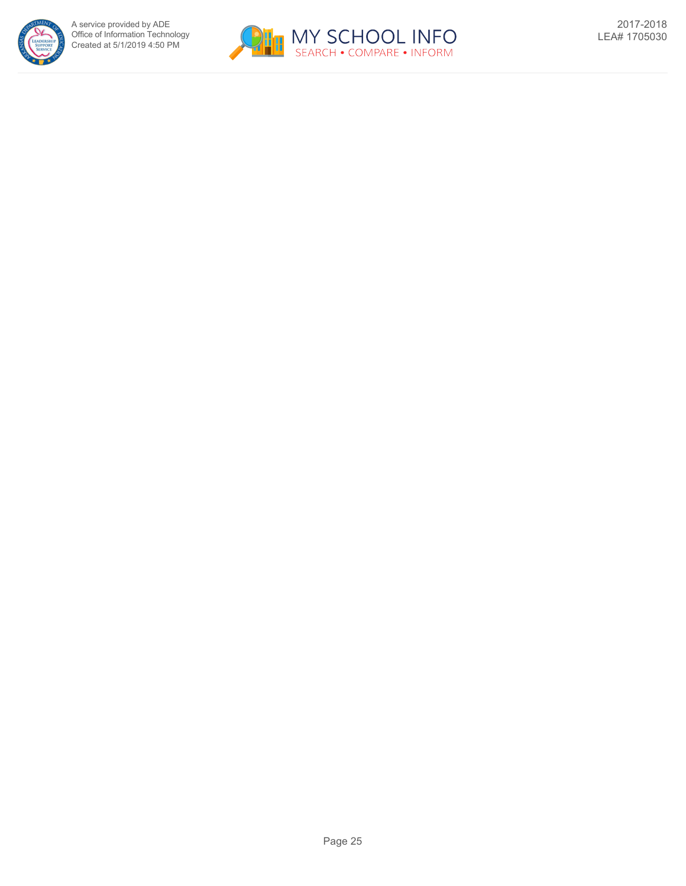

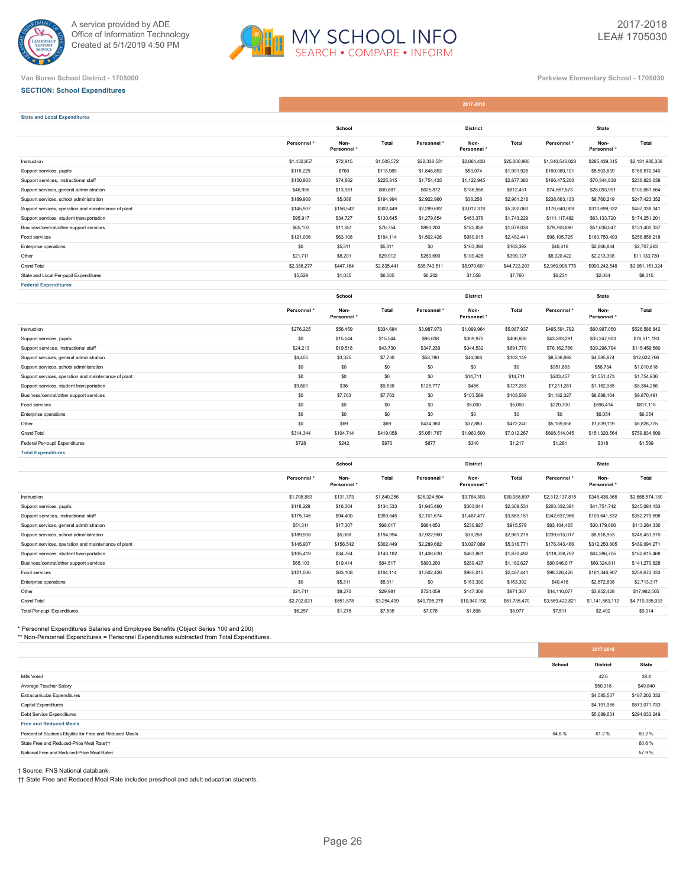



## **SECTION: School Expenditures**

|                                                      |             |                                |             |                        | 2017-2018           |              |                 |                                |                 |
|------------------------------------------------------|-------------|--------------------------------|-------------|------------------------|---------------------|--------------|-----------------|--------------------------------|-----------------|
| <b>State and Local Expenditures</b>                  |             |                                |             |                        |                     |              |                 |                                |                 |
|                                                      |             | School                         |             |                        | <b>District</b>     |              |                 | <b>State</b>                   |                 |
|                                                      | Personnel * | Non-<br>Personnel <sup>'</sup> | Total       | Personnel <sup>*</sup> | Non-<br>Personnel   | Total        | Personnel *     | Non-<br>Personnel <sup>'</sup> | Total           |
| Instruction                                          | \$1,432,657 | \$72,915                       | \$1,505,572 | \$22,336,531           | \$2,664,430         | \$25,000,960 | \$1,846,546,023 | \$285,439,315                  | \$2,131,985,338 |
| Support services, pupils                             | \$118,229   | \$760                          | \$118,989   | \$1,848,852            | \$53,074            | \$1,901,926  | \$160,069,101   | \$8,503,839                    | \$168,572,940   |
| Support services, instructional staff                | \$150,933   | \$74,882                       | \$225,815   | \$1,754,435            | \$1,122,945         | \$2,877,380  | \$166,475,200   | \$70,344,838                   | \$236,820,038   |
| Support services, general administration             | \$46,905    | \$13,981                       | \$60,887    | \$625,872              | \$186,558           | \$812,431    | \$74,567,573    | \$26,093,991                   | \$100,661,564   |
| Support services, school administration              | \$189,908   | \$5,086                        | \$194,994   | \$2,922,960            | \$38,258            | \$2,961,218  | \$238,663,133   | \$8,760,219                    | \$247,423,352   |
| Support services, operation and maintenance of plant | \$145,907   | \$156,542                      | \$302,449   | \$2,289,682            | \$3,012,378         | \$5,302,060  | \$176,640,009   | \$310,699,332                  | \$487,339,341   |
| Support services, student transportation             | \$95,917    | \$34,727                       | \$130,645   | \$1,279,854            | \$463,376           | \$1,743,229  | \$111,117,482   | \$63,133,720                   | \$174,251,201   |
| Business/central/other support services              | \$65,103    | \$11,651                       | \$76,754    | \$893,200              | \$185,838           | \$1,079,038  | \$79,763,690    | \$51,636,647                   | \$131,400,337   |
| Food services                                        | \$121,006   | \$63,108                       | \$184,114   | \$1,502,426            | \$980,015           | \$2,482,441  | \$98,105,725    | \$160,750,493                  | \$258,856,218   |
| Enterprise operations                                | \$0         | \$5,311                        | \$5,311     | \$0                    | \$163,392           | \$163,392    | \$40,418        | \$2,666,844                    | \$2,707,263     |
| Other                                                | \$21,711    | \$8,201                        | \$29,912    | \$289,699              | \$109,428           | \$399,127    | \$8,920,422     | \$2,213,308                    | \$11,133,730    |
| <b>Grand Total</b>                                   | \$2,388,277 | \$447,164                      | \$2,835,441 | \$35,743,511           | \$8,979,691         | \$44,723,203 | \$2,960,908,776 | \$990,242,548                  | \$3,951,151,324 |
| State and Local Per-pupil Expenditures               | \$5,529     | \$1.035                        | \$6,565     | \$6,202                | \$1,558             | \$7,760      | \$6,231         | \$2,084                        | \$8,315         |
| <b>Federal Expenditures</b>                          |             |                                |             |                        |                     |              |                 |                                |                 |
|                                                      |             | School                         |             |                        | <b>District</b>     |              |                 | <b>State</b>                   |                 |
|                                                      | Personnel * | Non-                           | Total       | Personnel *            | Non-                | Total        | Personnel *     | Non-                           | Total           |
|                                                      |             | Personnel *                    |             |                        | Personnel *         |              |                 | Personnel <sup>*</sup>         |                 |
| Instruction                                          | \$276,225   | \$58,459                       | \$334,684   | \$3,987,973            | \$1,099,964         | \$5,087,937  | \$465,591,792   | \$60,997,050                   | \$526,588,842   |
| Support services, pupils                             | \$0         | \$15,544                       | \$15,544    | \$96,638               | \$309,970           | \$406,608    | \$43,263,291    | \$33,247,903                   | \$76,511,193    |
| Support services, instructional staff                | \$24,213    | \$19,518                       | \$43,730    | \$347,239              | \$344,532           | \$691,770    | \$76,162,766    | \$39,296,794                   | \$115,459,560   |
| Support services, general administration             | \$4,405     | \$3,325                        | \$7,730     | \$58,780               | \$44,368            | \$103,149    | \$8,536,892     | \$4,085,874                    | \$12,622,766    |
| Support services, school administration              | \$0         | \$0                            | \$0         | \$0                    | \$0                 | \$0          | \$951,883       | \$58,734                       | \$1,010,618     |
| Support services, operation and maintenance of plant | \$0         | \$0                            | \$0         | \$0                    | \$14,711            | \$14,711     | \$203,457       | \$1,551,473                    | \$1,754,930     |
| Support services, student transportation             | \$9,501     | \$36                           | \$9,538     | \$126,777              | \$486               | \$127,263    | \$7,211,281     | \$1,152,985                    | \$8,364.266     |
| Business/central/other support services              | \$0         | \$7,763                        | \$7,763     | \$0                    | \$103,589           | \$103,589    | \$1,182,327     | \$8,688,164                    | \$9,870,491     |
| Food services                                        | \$0         | \$0                            | \$0         | \$0                    | \$5,000             | \$5,000      | \$220,700       | \$596,414                      | \$817,115       |
| Enterprise operations                                | \$0         | \$0                            | \$0         | \$0                    | \$0                 | \$0          | \$0             | \$6,054                        | \$6,054         |
| Other                                                | \$0         | \$69                           | \$69        | \$434,360              | \$37,880            | \$472,240    | \$5,189,656     | \$1,639,119                    | \$6,828,775     |
| <b>Grand Total</b>                                   | \$314,344   | \$104,714                      | \$419,058   | \$5,051,767            | \$1,960,500         | \$7,012,267  | \$608,514,045   | \$151,320,564                  | \$759,834,609   |
| Federal Per-pupil Expenditures                       | \$728       | \$242                          | \$970       | \$877                  | \$340               | \$1,217      | \$1,281         | \$318                          | \$1,599         |
| <b>Total Expenditures</b>                            |             |                                |             |                        |                     |              |                 |                                |                 |
|                                                      |             | School                         |             |                        | <b>District</b>     |              |                 | <b>State</b>                   |                 |
|                                                      | Personnel * | Non-<br>Personnel <sup>'</sup> | Total       | Personnel *            | Non-<br>Personnel * | Total        | Personnel *     | Non-<br>Personnel <sup>*</sup> | Total           |
| Instruction                                          | \$1,708,883 | \$131,373                      | \$1,840,256 | \$26,324,504           | \$3,764,393         | \$30,088,897 | \$2,312,137,815 | \$346,436,365                  | \$2,658,574,180 |
| Support services, pupils                             | \$118,229   | \$16,304                       | \$134,533   | \$1,945,490            | \$363,044           | \$2,308,534  | \$203,332,391   | \$41,751,742                   | \$245,084,133   |

| Support services, instructional staff                | \$175,145   | \$94,400  | \$269,545   | \$2,101,674  | \$1,467,477  | \$3,569,151  | \$242,637,966   | \$109.641.632   | \$352,279.598   |
|------------------------------------------------------|-------------|-----------|-------------|--------------|--------------|--------------|-----------------|-----------------|-----------------|
| Support services, general administration             | \$51,311    | \$17,307  | \$68,617    | \$684,653    | \$230,927    | \$915,579    | \$83,104,465    | \$30,179,866    | \$113,284,330   |
| Support services, school administration              | \$189,908   | \$5,086   | \$194,994   | \$2,922,960  | \$38,258     | \$2,961,218  | \$239,615,017   | \$8,818,953     | \$248,433,970   |
| Support services, operation and maintenance of plant | \$145,907   | \$156,542 | \$302.449   | \$2,289,682  | \$3,027,089  | \$5,316,771  | \$176,843,466   | \$312,250,805   | \$489,094.271   |
| Support services, student transportation             | \$105,419   | \$34,764  | \$140,182   | \$1,406,630  | \$463,861    | \$1,870,492  | \$118,328,762   | \$64,286,705    | \$182,615,468   |
| Business/central/other support services              | \$65,103    | \$19,414  | \$84,517    | \$893,200    | \$289,427    | \$1,182,627  | \$80,946,017    | \$60,324,811    | \$141,270,828   |
| Food services                                        | \$121,006   | \$63,108  | \$184.114   | \$1,502,426  | \$985,015    | \$2,487,441  | \$98,326,426    | \$161.346.907   | \$259,673,333   |
| Enterprise operations                                | \$0         | \$5,311   | \$5,311     | \$0          | \$163,392    | \$163,392    | \$40,418        | \$2,672,898     | \$2,713,317     |
| Other                                                | \$21,711    | \$8,270   | \$29,981    | \$724,059    | \$147,308    | \$871,367    | \$14,110,077    | \$3,852,428     | \$17,962,505    |
| <b>Grand Total</b>                                   | \$2,702.621 | \$551,878 | \$3,254,499 | \$40,795,278 | \$10,940.192 | \$51,735,470 | \$3,569,422,821 | \$1.141.563.112 | \$4,710,985,933 |
| <b>Total Per-pupil Expenditures</b>                  | \$6,257     | \$1,278   | \$7,535     | \$7,078      | \$1,898      | \$8,977      | \$7.511         | \$2,402         | \$9,914         |

\* Personnel Expenditures Salaries and Employee Benefits (Object Series 100 and 200)

\*\* Non-Personnel Expenditures = Personnel Expenditures subtracted from Total Expenditures.

|                                                         |        | 2017-2018       |               |
|---------------------------------------------------------|--------|-----------------|---------------|
|                                                         | School | <b>District</b> | State         |
| Mills Voted                                             |        | 42.6            | 38.4          |
| Average Teacher Salary                                  |        | \$50,318        | \$49,840      |
| <b>Extracurricular Expenditures</b>                     |        | \$4,585,507     | \$187,202,332 |
| Capital Expenditures                                    |        | \$4,191,955     | \$573,071,733 |
| Debt Service Expenditures                               |        | \$5,089,631     | \$294,033,249 |
| <b>Free and Reduced Meals</b>                           |        |                 |               |
| Percent of Students Eligible for Free and Reduced Meals | 54.8%  | 61.2%           | 60.2%         |
| State Free and Reduced-Price Meal Rate++                |        |                 | 60.6%         |
| National Free and Reduced-Price Meal Rate+              |        |                 | 57.9%         |
|                                                         |        |                 |               |

† Source: FNS National databank.

†† State Free and Reduced Meal Rate includes preschool and adult education students.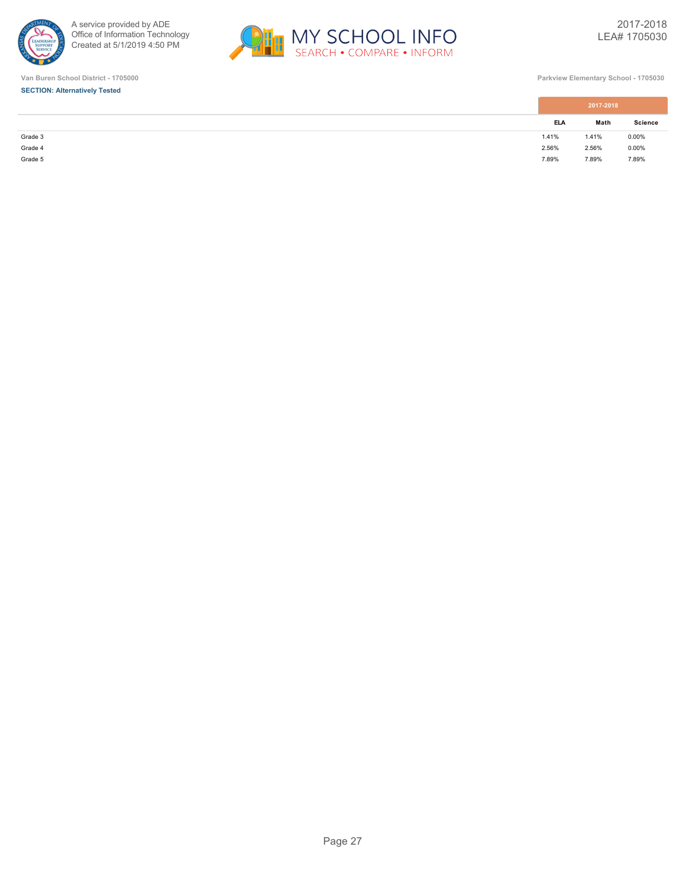

A service provided by ADE Office of Information Technology Created at 5/1/2019 4:50 PM





|                    |            | 2017-2018 |                |
|--------------------|------------|-----------|----------------|
|                    | <b>ELA</b> | Math      | <b>Science</b> |
|                    | 1.41%      | 1.41%     | 0.00%          |
| Grade 3<br>Grade 4 | 2.56%      | 2.56%     | 0.00%          |
| Grade 5            | 7.89%      | 7.89%     | 7.89%          |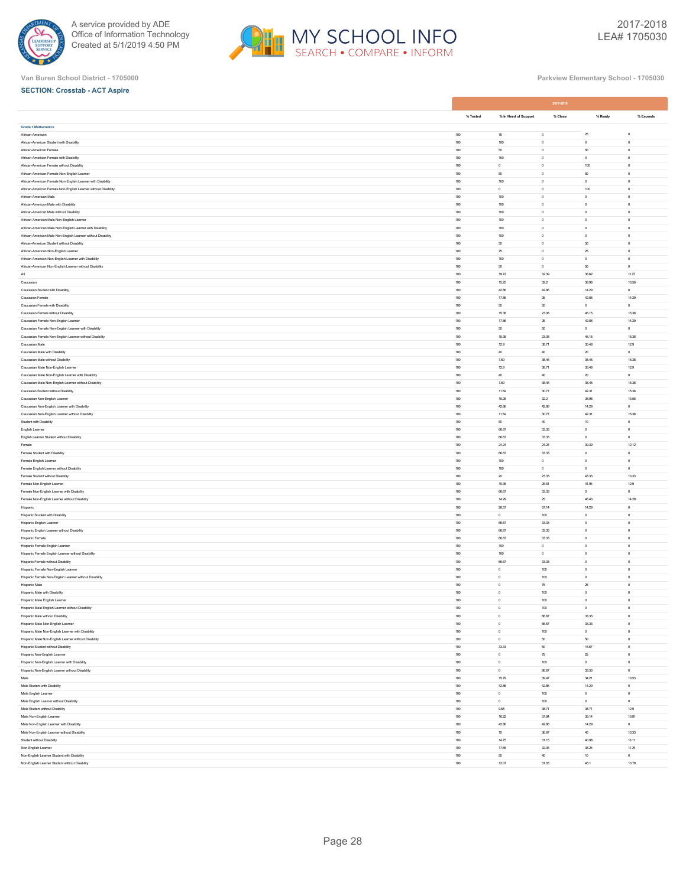



|                                                                                         |                |                      | 2017-2018                  |                         |                      |
|-----------------------------------------------------------------------------------------|----------------|----------------------|----------------------------|-------------------------|----------------------|
|                                                                                         | % Tested       | % In Need of Support | % Close                    | % Ready                 | % Exceeds            |
| <b>Grade 3 Mathematics</b>                                                              |                |                      |                            |                         |                      |
| African-American                                                                        | 100            | $7\!$                | $\mathbf 0$                | $\rm{25}$               | $\mathbb O$          |
| African-American Student with Disability                                                | $100\,$        | 100                  | $\circ$                    | $\mathbb O$             | $\circ$              |
| African-American Female                                                                 | 100            | 60                   | $\mathbf{0}$               | 60                      | $^{\circ}$           |
| African-American Female with Disability                                                 | 100            | 100                  | $\mathbf 0$                | $\circ$                 | $\,$ 0               |
| African-American Female without Disability                                              | 100            | $\,$ 0 $\,$          | $\mathbf 0$                | 100                     | $\,$ 0               |
| African-American Female Non-English Learner                                             | 100            | $_{50}$              | $\circ$                    | 60                      | $\circ$              |
| African-American Female Non-English Learner with Disability                             | $100\,$        | 100<br>$\,$ 0        | $\mathbf 0$<br>$\mathbb O$ | $\mathsf{o}$<br>100     | $\circ$              |
| African-American Female Non-English Learner without Disability<br>African-American Male | 100<br>100     | 100                  | $\mathbf 0$                | $\mathbb O$             | $\,$ 0<br>$\circ$    |
| African-American Male with Disability                                                   | $100\,$        | $100\,$              | $\circ$                    | $\mathbb O$             | $\mathbb O$          |
| African-American Male without Disability                                                | 100            | 100                  | $\mathbf{0}$               | $\circ$                 | $\circ$              |
| African-American Male Non-English Learner                                               | 100            | 100                  | $\,$ 0 $\,$                | $\circ$                 | $\circ$              |
| African-American Male Non-English Learner with Disability                               | 100            | 100                  | $\mathbb O$                | $\circ$                 | $\,$ 0               |
| African-American Male Non-English Learner without Disability                            | 100            | 100                  | $\mathbf{0}$               | $\circ$                 | $^{\circ}$           |
| African-American Student without Disability                                             | $100\,$        | $_{\rm 50}$          | $\mathbf 0$                | $_{50}$                 | $\circ$              |
| African-American Non-English Learner                                                    | 100            | $75\,$               | $\mathbf 0$                | $\rm 25$                | $\circ$              |
| African-American Non-English Learner with Disability                                    | 100            | 100                  | $\,0\,$                    | $\circ$                 | $\,$ 0               |
| African-American Non-English Learner without Disability<br>All                          | $100\,$<br>100 | $_{\rm 50}$<br>19.72 | $\mathbf 0$<br>32.39       | $_{50}$<br>36.62        | $\circ$<br>11.27     |
| Caucasian                                                                               | 100            | 15.25                | 322                        | 38.98                   | 13.56                |
| Caucasian Student with Disability                                                       | 100            | 42.86                | 42.86                      | 14.29                   | $\,0\,$              |
| Caucasian Female                                                                        | 100            | 17.86                | $2\!$                      | 42.86                   | 14.29                |
| Caucasian Female with Disability                                                        | $100\,$        | $_{\rm 50}$          | $_{\rm 50}$                | $\mathbb O$             | $\mathbb O$          |
| Caucasian Female without Disability                                                     | 100            | 15.38                | 23.08                      | 46.15                   | 15.38                |
| Caucasian Female Non-English Learner                                                    | 100            | 17.86                | $\rm{z}\rm{s}$             | 42.86                   | 14.29                |
| Caucasian Female Non-English Learner with Disability                                    | $100\,$        | $_{\rm 50}$          | $_{\rm 50}$                | $\mathsf{o}$            | $\mathsf{o}$         |
| Caucasian Female Non-English Learner without Disability                                 | 100            | 15.38                | 23.08                      | 46.15                   | 15.38                |
| Caucasian Male                                                                          | 100            | 12.9                 | 38.71                      | 35.48<br>$20\,$         | 12.9<br>$\mathbb O$  |
| Caucasian Male with Disability<br>Caucasian Male without Disability                     | 100<br>100     | $40\,$<br>7.69       | $40\,$<br>38.46            | 38.46                   | 15.38                |
| Caucasian Male Non-English Learner                                                      | $100\,$        | 12.9                 | 38.71                      | 35.48                   | 12.9                 |
| Caucasian Male Non-English Learner with Disability                                      | 100            | $40\,$               | 40                         | 20                      | $\circ$              |
| Caucasian Male Non-English Learner without Disability                                   | 100            | 7.69                 | 38.46                      | 38.46                   | 15.38                |
| Caucasian Student without Disability                                                    | $100\,$        | 11.54                | 30.77                      | 42.31                   | 15.38                |
| Caucasian Non-English Learner                                                           | 100            | 15.25                | 32.2                       | 38.98                   | 13.56                |
| Caucasian Non-English Learner with Disability                                           | 100            | 42.86                | 42.86                      | 14.29                   | $\,$ 0               |
| Caucasian Non-English Learner without Disability                                        | 100            | 11.54                | 30.77                      | 42.31                   | 15.38                |
| Student with Disability                                                                 | 100            | 60                   | 40                         | 10 <sup>10</sup>        | $\circ$              |
| English Learner                                                                         | $100\,$        | 66.67                | 33.33                      | $\mathsf{o}$<br>$\,0\,$ | $\mathbb O$          |
| English Learner Student without Disability<br>Female                                    | 100<br>100     | 66.67<br>24.24       | 33.33<br>24.24             | 39.39                   | $\,$ 0<br>12.12      |
| Female Student with Disability                                                          | $100\,$        | 66.67                | 33.33                      | $\mathsf{o}$            | $\mathbb O$          |
| Female English Learner                                                                  | 100            | 100                  | $\circ$                    | $^{\circ}$              | $\circ$              |
| Female English Learner without Disability                                               | 100            | 100                  | $\mathbf 0$                | $\circ$                 | $\circ$              |
| Female Student without Disability                                                       | 100            | 20                   | 23.33                      | 43.33                   | 13.33                |
| Female Non-English Learner                                                              | 100            | 19.35                | 25.81                      | 41.94                   | 12.9                 |
| Female Non-English Learner with Disability                                              | $100\,$        | 66.67                | 33.33                      | $\circ$                 | $\circ$              |
| Female Non-English Learner without Disability                                           | 100            | 14.29                | $\rm{2S}$                  | 46.43                   | 14.29                |
| Hispanic                                                                                | 100            | 28.57<br>$\,$ 0 $\,$ | 57.14                      | 14.29<br>$\mathsf{o}$   | $\circ$<br>$\circ$   |
| Hispanic Student with Disability<br>Hispanic English Learner                            | $100\,$<br>100 | 66.67                | $100\,$<br>33.33           | $\circ$                 | $\circ$              |
| Hispanic English Learner without Disability                                             | 100            | 66.67                | 33.33                      | $\circ$                 | $\circ$              |
| Hispanic Female                                                                         | 100            | 66.67                | 33.33                      | $\,0\,$                 | $\,$ 0               |
| Hispanic Female English Learner                                                         | 100            | $100\,$              | $\mathbf{0}$               | $\circ$                 | $\circ$              |
| Hispanic Female English Learner without Disability                                      | $100\,$        | 100                  | $\circ$                    | $\mathsf{o}$            | $\mathbb O$          |
| Hispanic Female without Disability                                                      | 100            | 66.67                | 33.33                      | $\circ$                 | $\,$ 0               |
| Hispanic Female Non-English Learner                                                     | 100            | $\circ$              | 100                        | $\circ$                 | $\circ$              |
| Hispanic Female Non-English Learner without Disability                                  | $100\,$        | $\circ$              | $100\,$                    | $\mathsf{o}$            | $\mathbb O$          |
| Hispanic Male<br>Hispanic Male with Disability                                          | 100<br>100     | $\circ$<br>$\circ$   | 75<br>100                  | 25<br>$\mathbb O$       | $\,$ 0<br>$\circ$    |
| Hispanic Male English Learner                                                           | 100            | $\circ$              | 100                        | $\circ$                 | $\circ$              |
| Hispanic Male English Learner without Disability                                        | 100            | $\circ$              | 100                        | $^{\circ}$              | $\circ$              |
| Hispanic Male without Disability                                                        | 100            | $\circ$              | 66.67                      | 33.33                   | $\circ$              |
| Hispanic Male Non-English Learner                                                       | 100            | $\,$ 0 $\,$          | 66.67                      | 33.33                   | $\,$ 0               |
| Hispanic Male Non-English Learner with Disability                                       | 100            | $\,$ 0 $\,$          | 100                        | $\,$ 0 $\,$             | $\,$ 0 $\,$          |
| Hispanic Male Non-English Learner without Disability                                    | $100\,$        | $\,$ 0 $\,$          | $_{\rm 50}$                | $_{50}$                 | $\circ$              |
| Hispanic Student without Disability                                                     | 100            | 33.33                | 50                         | 16.67                   | $\circ$              |
| Hispanic Non-English Learner                                                            | 100            | $\,$ 0 $\,$          | $75\,$                     | $\rm{25}$               | $\,$ 0 $\,$          |
| Hispanic Non-English Learner with Disability                                            | 100            | $\,0\,$              | 100                        | $\,$ 0                  | $\circ$              |
| Hispanic Non-English Learner without Disability<br>Male                                 | 100<br>$100\,$ | $\circ$<br>15.79     | 66.67<br>39.47             | 33.33<br>34.21          | $\circ$<br>10.53     |
| Male Student with Disability                                                            | 100            | 42.86                | 42.86                      | 14.29                   | $\,0\,$              |
| Male English Learner                                                                    | 100            | $\,$ 0 $\,$          | 100                        | $\,$ 0                  | $\,$ 0 $\,$          |
| Male English Learner without Disability                                                 | $100\,$        | $\,$ 0               | 100                        | $\mathsf{o}$            | $\mathbf 0$          |
| Male Student without Disability                                                         | 100            | 9.68                 | 38.71                      | 38.71                   | 12.9                 |
| Male Non-English Learner                                                                | 100            | 16.22                | 37.84                      | 35.14                   | 10.81                |
| Male Non-English Learner with Disability                                                | 100            | 42.86                | 42.86                      | 14.29                   | $\circ$              |
| Male Non-English Learner without Disability                                             | 100            | 10                   | 36.67                      | 40                      | 13.33                |
| Student without Disability                                                              | $100\,$        | 14.75                | 31.15                      | 40.98                   | 13.11                |
| Non-English Learner<br>Non-English Learner Student with Disability                      | 100<br>100     | 17.65<br>$_{50}$     | 32.35<br>$40\,$            | 38.24<br>$10\,$         | 11.76<br>$\,$ 0 $\,$ |
| Non-English Learner Student without Disability                                          | $100\,$        | 12.07                | 31.03                      | 43.1                    | 13.79                |
|                                                                                         |                |                      |                            |                         |                      |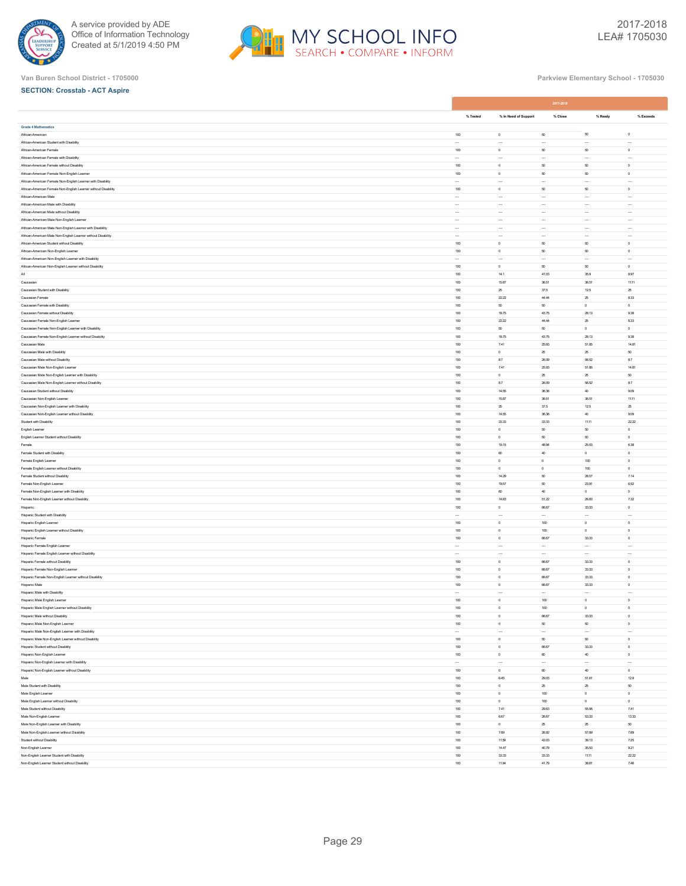



|                                                                                                   |                |                            | 2017-2018       |                     |                        |
|---------------------------------------------------------------------------------------------------|----------------|----------------------------|-----------------|---------------------|------------------------|
|                                                                                                   | % Tested       | % In Need of Support       | % Close         | % Ready             | % Exceeds              |
| <b>Grade 4 Mathematics</b>                                                                        |                |                            |                 |                     |                        |
| African-American                                                                                  | 100            | $\,$ 0                     | 60              | $_{50}$             | $\,0\,$                |
| African-American Student with Disability                                                          |                | $\cdots$                   | $\cdots$        | $\ddotsc$           | $\cdots$               |
| African-American Female                                                                           | 100            | $\circ$                    | 50              | 50                  | $^{\circ}$             |
| African-American Female with Disability                                                           | $\cdots$       | $\cdots$                   | $\cdots$        | $\cdots$            | $\cdots$               |
| African-American Female without Disability                                                        | 100            | $\,0\,$                    | 50              | $_{50}$             | $\,0\,$                |
| African-American Female Non-English Learner                                                       | 100            | $\circ$                    | 60              | 50                  | $\circ$                |
| African-American Female Non-English Learner with Disability                                       |                | $\ddot{\phantom{a}}$       |                 |                     |                        |
| African-American Female Non-English Learner without Disability<br>African-American Male           | 100<br>        | $\,0\,$<br>$\cdots$        | 50<br>$\cdots$  | $_{50}$<br>$\cdots$ | $\,0\,$<br>$\ldots$    |
| African-American Male with Disability                                                             |                | $\cdots$                   | $\cdots$        | $\cdots$            | $\cdots$               |
| African-American Male without Disability                                                          | $\cdots$       | $\cdots$                   | $\cdots$        | $\cdots$            | $\cdots$               |
| African-American Male Non-English Learner                                                         | $\cdots$       | $\cdots$                   | $\cdots$        | $\cdots$            | $\ldots$               |
| African-American Male Non-English Learner with Disability                                         |                | ä,                         | $\sim$          |                     |                        |
| African-American Male Non-English Learner without Disability                                      | $\cdots$       | $\cdots$                   | $\cdots$        | $\cdots$            | $\cdots$               |
| African-American Student without Disability                                                       | 100            | $\,$ 0 $\,$                | $_{\rm 50}$     | $_{50}$             | $\,$ 0                 |
| African-American Non-English Learner                                                              | 100            | $\,$ 0                     | 50              | $_{50}$             | $\circ$                |
| African-American Non-English Learner with Disability                                              |                | $\cdots$                   | $\cdots$        | $\cdots$            | $\cdots$               |
| African-American Non-English Learner without Disability                                           | 100            | $\,$ 0 $\,$                | $_{\rm 50}$     | $_{50}$             | $\,$ 0                 |
| All                                                                                               | 100            | 14.1                       | 41.03           | 35.9                | 8.97                   |
| Caucasian<br>Caucasian Student with Disability                                                    | 100<br>100     | 15.87<br>$_{\rm 25}$       | 36.51<br>37.5   | 36.51<br>12.5       | 11.11<br>$25\,$        |
| Caucasian Female                                                                                  | 100            | 22.22                      | 44.44           | 25                  | 8.33                   |
| Caucasian Female with Disability                                                                  | $100\,$        | 60                         | $_{\rm 50}$     | $\circ$             | $\circ$                |
| Caucasian Female without Disability                                                               | 100            | 18.75                      | 43.75           | 28.13               | 9.38                   |
| Caucasian Female Non-English Learner                                                              | 100            | 22.22                      | 44.44           | $\rm 25$            | 8.33                   |
| Caucasian Female Non-English Learner with Disability                                              | $100\,$        | $_{50}$                    | $_{50}$         | $\,$ 0 $\,$         | $\circ$                |
| Caucasian Female Non-English Learner without Disability                                           | 100            | 18.75                      | 43.75           | 28.13               | 9.38                   |
| Caucasian Male                                                                                    | 100            | 7.41                       | 25.93           | 51.85               | 14.81                  |
| Caucasian Male with Disability                                                                    | 100            | $\,$ 0                     | $_{\rm 25}$     | $\rm 25$            | $_{50}$                |
| Caucasian Male without Disability                                                                 | 100            | 8.7                        | 26.09           | 56.52               | 8.7                    |
| Caucasian Male Non-English Learner                                                                | 100            | 7.41                       | 25.93           | 51.85               | 14.81                  |
| Caucasian Male Non-English Learner with Disability                                                | 100            | $\circ$                    | 25              | 25                  | 50                     |
| Caucasian Male Non-English Learner without Disability                                             | 100            | 8.7                        | 26.09           | 56.52               | 8.7                    |
| Caucasian Student without Disability                                                              | $100\,$        | 14.55<br>15.87             | 36.36           | $40\,$<br>36.51     | 9.09                   |
| Caucasian Non-English Learner                                                                     | 100<br>100     | $\rm{2S}$                  | 36.51<br>37.5   | 12.5                | 11.11<br>$\rm{2S}$     |
| Caucasian Non-English Learner with Disability<br>Caucasian Non-English Learner without Disability | 100            | 14.55                      | 36.36           | 40                  | 9.09                   |
| Student with Disability                                                                           | 100            | 33.33                      | 33.33           | 11.11               | 22.22                  |
| English Learner                                                                                   | 100            | $\,$ 0 $\,$                | $_{\rm 50}$     | $_{\rm 50}$         | $\circ$                |
| English Learner Student without Disability                                                        | 100            | $\,0\,$                    | 50              | $_{50}$             | $\circ$                |
| Female                                                                                            | 100            | 19.15                      | 48.94           | 25.53               | 6.38                   |
| Female Student with Disability                                                                    | $100\,$        | $_{60}$                    | $40\,$          | $\circ$             | $\circ$                |
| Female English Learner                                                                            | 100            | $^{\circ}$                 | $\overline{0}$  | 100                 | $^{\circ}$             |
| Female English Learner without Disability                                                         | 100            | $\,$ 0 $\,$                | $\,$ 0          | 100                 | $\,$ 0 $\,$            |
| Female Student without Disability                                                                 | 100            | 14.29                      | 50              | 28.57               | 7.14                   |
| Female Non-English Learner                                                                        | 100            | 19.57                      | 50              | 23.91               | 6.52                   |
| Female Non-English Learner with Disability                                                        | $100\,$        | $_{60}$                    | $40\,$          | $\,$ 0 $\,$         | $\,$ 0 $\,$            |
| Female Non-English Learner without Disability                                                     | 100            | 14.63                      | 51.22           | 26.83               | 7.32                   |
| Hispanic                                                                                          | 100            | $\,$ 0                     | 66.67           | 33.33               | $\circ$                |
| Hispanic Student with Disability                                                                  | <br>100        | $\cdots$<br>$\overline{0}$ | $\cdots$<br>100 | <br>$\circ$         | $\cdots$<br>$\circ$    |
| Hispanic English Learner<br>Hispanic English Learner without Disability                           | 100            | $\,$ 0                     | 100             | $\circ$             | $\circ$                |
| Hispanic Female                                                                                   | 100            | $\,0\,$                    | 66.67           | 33.33               | $\,0\,$                |
| Hispanic Female English Learner                                                                   |                | $\cdots$                   | $\cdots$        | $\cdots$            | $\cdots$               |
| Hispanic Female English Learner without Disability                                                |                |                            |                 |                     |                        |
| Hispanic Female without Disability                                                                | 100            | $\overline{\phantom{a}}$   | 66.67           | 33.33               | $\circ$                |
| Hispanic Female Non-English Learner                                                               | 100            | $\,$ 0 $\,$                | 66.67           | 33.33               | $\,$ 0 $\,$            |
| Hispanic Female Non-English Learner without Disability                                            | 100            | $\,$ 0 $\,$                | 66.67           | 33.33               | $\circ$                |
| Hispanic Male                                                                                     | 100            | $\overline{0}$             | 66.67           | 33.33               | $^{\circ}$             |
| Hispanic Male with Disability                                                                     |                | $\cdots$                   | $\ldots$        | $\cdots$            | $\cdots$               |
| Hispanic Male English Learner                                                                     | 100            | $\Omega$                   | 100             | $\Omega$            | $\Omega$               |
| Hispanic Male English Learner without Disability                                                  | 100            | $\,$ 0                     | 100             | $^{\circ}$          | $^{\circ}$             |
| Hispanic Male without Disability                                                                  | 100            | $\,$ 0 $\,$<br>$\,$ 0      | 66.67           | 33.33               | $\,$ 0 $\,$<br>$\circ$ |
| Hispanic Male Non-English Learner<br>Hispanic Male Non-English Learner with Disability            | 100<br>        | $\cdots$                   | 50<br>$\cdots$  | 50<br>$\cdots$      | $\cdots$               |
| Hispanic Male Non-English Learner without Disability                                              | $100\,$        | $\,$ 0 $\,$                | $_{50}$         | $_{\rm 50}$         | $\,$ 0 $\,$            |
| Hispanic Student without Disability                                                               | 100            | $\circ$                    | 66.67           | 33.33               | $\circ$                |
| Hispanic Non-English Learner                                                                      | 100            | $\,$ 0                     | 60              | 40                  | $\circ$                |
| Hispanic Non-English Learner with Disability                                                      | $\cdots$       | $\cdots$                   | $\sim$          | $\cdots$            | $\cdots$               |
| Hispanic Non-English Learner without Disability                                                   | 100            | $\circ$                    | 60              | 40                  | $\circ$                |
| Male                                                                                              | $100\,$        | $_{\rm 6.45}$              | 29.03           | 51.61               | 12.9                   |
| Male Student with Disability                                                                      | 100            | $\,$ 0                     | $_{\rm 25}$     | $\mathbf{25}$       | 50                     |
| Male English Learner                                                                              | 100            | $\,$ 0 $\,$                | 100             | $\,$ 0 $\,$         | $\,$ 0 $\,$            |
| Male English Learner without Disability                                                           | $100\,$        | $\,$ 0                     | 100             | $\,$ 0 $\,$         | $\,$ 0 $\,$            |
| Male Student without Disability                                                                   | 100            | 7.41                       | 29.63           | 55.56               | 7.41                   |
| Male Non-English Learner                                                                          | 100            | 6.67                       | 26.67           | 53.33               | 13.33                  |
| Male Non-English Learner with Disability                                                          | 100            | $\,$ 0                     | $_{\rm 25}$     | $\rm 25$            | 50                     |
| Male Non-English Learner without Disability<br>Student without Disability                         | 100<br>$100\,$ | 7.69<br>11.59              | 26.92<br>42.03  | 57.69<br>39.13      | 7.69<br>$7\,25$        |
| Non-English Learner                                                                               | 100            | 14.47                      | 40.79           | 35.53               | 9.21                   |
| Non-English Learner Student with Disability                                                       | 100            | 33.33                      | 33.33           | 11.11               | 22.22                  |
| Non-English Learner Student without Disability                                                    | $100\,$        | 11.94                      | 41.79           | 38.81               | $7.46\,$               |
|                                                                                                   |                |                            |                 |                     |                        |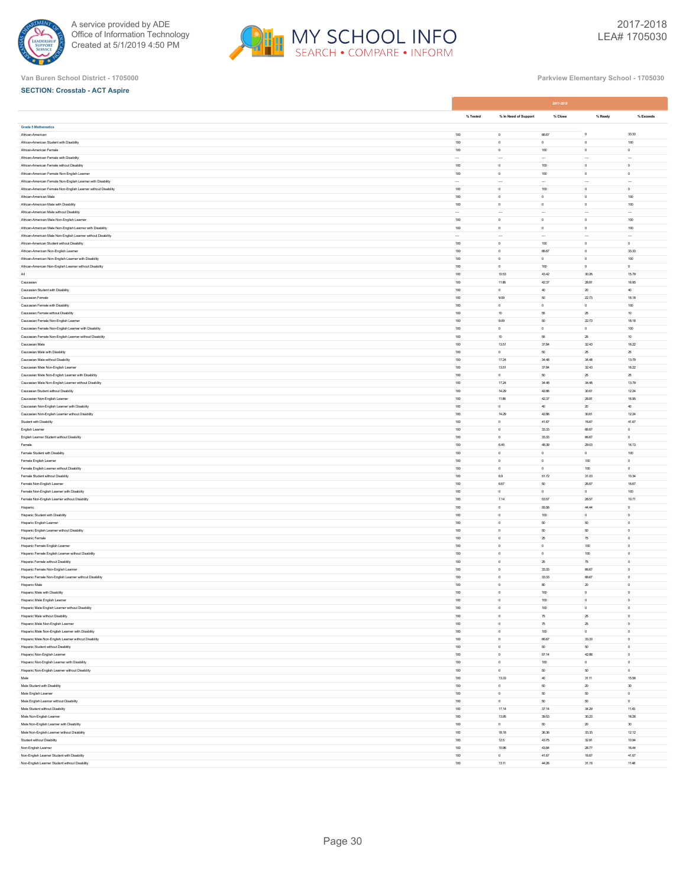



|                                                                                                        |                |                           | 2017-2018          |                         |                                 |
|--------------------------------------------------------------------------------------------------------|----------------|---------------------------|--------------------|-------------------------|---------------------------------|
|                                                                                                        | % Tested       | % In Need of Support      | % Close            | % Ready                 | % Exceeds                       |
|                                                                                                        |                |                           |                    |                         |                                 |
| <b>Grade 5 Mathematics</b><br>African-American                                                         | 100            | $\overline{\phantom{a}}$  | 66.67              | $\circ$                 | 33.33                           |
| African-American Student with Disability                                                               | 100            | $\,$ 0                    | $\,$ 0             | $\circ$                 | 100                             |
| African-American Female                                                                                | 100            | $\,0\,$                   | 100                | $\,0\,$                 | $\,0\,$                         |
| African-American Female with Disability                                                                | $\cdots$       | $\cdots$                  | $\cdots$           | $\cdots$                | $\cdots$                        |
| African-American Female without Disability                                                             | 100            | $\,$ 0 $\,$               | $100\,$            | $\circ$                 | $\,$ 0 $\,$                     |
| African-American Female Non-English Learner                                                            | 100            | $\,0\,$                   | 100                | $\circ$                 | $\circ$                         |
| African-American Female Non-English Learner with Disability                                            |                | $\cdots$                  | $\cdots$           | $\cdots$                | $\cdots$                        |
| African-American Female Non-English Learner without Disability                                         | $100\,$        | $\,$ 0 $\,$               | 100                | $\,0\,$                 | $\,$ 0 $\,$                     |
| African-American Male                                                                                  | 100            | $\circ$                   | $\circ$            | $^{\circ}$              | 100                             |
| African-American Male with Disability                                                                  | 100            | $\,$ 0                    | $\circ$            | $\circ$                 | 100                             |
| African-American Male without Disability                                                               |                | $\sim$<br>$\overline{0}$  | $\sim$<br>$\circ$  | $\ddotsc$<br>$\circ$    | $\overline{\phantom{a}}$<br>100 |
| African-American Male Non-English Learner<br>African-American Male Non-English Learner with Disability | 100<br>$100\,$ | $\,$ 0 $\,$               | $\,$ 0             | $\,$ 0 $\,$             | $100\,$                         |
| African-American Male Non-English Learner without Disability                                           |                | $\sim$                    | $\ldots$           | $\cdots$                | $\cdots$                        |
| African-American Student without Disability                                                            | 100            | $\,$ 0 $\,$               | 100                | $\circ$                 | $\,$ 0 $\,$                     |
| African-American Non-English Learner                                                                   | $100\,$        | $\,$ 0 $\,$               | 66.67              | $\circ$                 | 33.33                           |
| African-American Non-English Learner with Disability                                                   | 100            | $^{\circ}$                | $\overline{0}$     | $^{\circ}$              | 100                             |
| African-American Non-English Learner without Disability                                                | 100            | $\,$ 0 $\,$               | 100                | $\,$ 0 $\,$             | $\,$ 0 $\,$                     |
| All                                                                                                    | 100            | 10.53                     | 43.42              | 30.26                   | 15.79                           |
| Caucasian                                                                                              | 100            | 11.86                     | 42.37              | 28.81                   | 16.95                           |
| Caucasian Student with Disability                                                                      | 100            | $\,$ 0 $\,$               | $40\,$             | $20\,$                  | $40\,$                          |
| Caucasian Female                                                                                       | 100            | 9.09                      | 50                 | 22.73                   | 18.18                           |
| Caucasian Female with Disability                                                                       | 100            | $\,$ 0                    | $\circ$            | $\circ$                 | 100                             |
| Caucasian Female without Disability                                                                    | 100            | 10 <sub>10</sub>          | $_{55}$            | 25                      | $10\,$                          |
| Caucasian Female Non-English Learner                                                                   | 100            | 9.09                      | 50                 | 22.73                   | 18.18                           |
| Caucasian Female Non-English Learner with Disability                                                   | 100            | $\,$ 0                    | $\circ$            | $\circ$                 | 100                             |
| Caucasian Female Non-English Learner without Disability                                                | 100<br>100     | 10 <sub>10</sub><br>13.51 | 55<br>37.84        | $\rm 25$<br>32.43       | $10$<br>16.22                   |
| Caucasian Male<br>Caucasian Male with Disability                                                       | $100\,$        | $\,$ 0 $\,$               | $_{\rm 50}$        | 25                      | $\rm{25}$                       |
| Caucasian Male without Disability                                                                      | 100            | 17.24                     | 34.48              | 34.48                   | 13.79                           |
| Caucasian Male Non-English Learner                                                                     | 100            | 13.51                     | 37.84              | 32.43                   | 16.22                           |
| Caucasian Male Non-English Learner with Disability                                                     | $100\,$        | $\,$ 0                    | $_{\rm 50}$        | $\rm 25$                | $\rm{25}$                       |
| Caucasian Male Non-English Learner without Disability                                                  | 100            | 17.24                     | 34.48              | 34.48                   | 13.79                           |
| Caucasian Student without Disability                                                                   | 100            | 14.29                     | 42.86              | 30.61                   | 12.24                           |
| Caucasian Non-English Learner                                                                          | 100            | 11.86                     | 42.37              | 28.81                   | 16.95                           |
| Caucasian Non-English Learner with Disability                                                          | 100            | $^{\circ}$                | 40                 | 20                      | 40                              |
| Caucasian Non-English Learner without Disability                                                       | 100            | 14.29                     | 42.86              | 30.61                   | 12.24                           |
| Student with Disability                                                                                | 100            | $\,$ 0                    | 41.67              | 16.67                   | 41.67                           |
| English Learner                                                                                        | 100            | $\,$ 0                    | 33.33              | 66.67                   | $\circ$                         |
| English Learner Student without Disability                                                             | 100            | $\,$ 0 $\,$               | 33.33              | 66.67                   | $\,$ 0                          |
| Female                                                                                                 | 100            | 6.45                      | 48.39              | 29.03                   | 16.13                           |
| Female Student with Disability                                                                         | 100            | $\,$ 0                    | $\circ$            | $\circ$                 | 100                             |
| Female English Learner                                                                                 | 100            | $\,$ 0<br>$\circ$         | $\circ$<br>$\circ$ | 100<br>100              | $\circ$<br>$\circ$              |
| Female English Learner without Disability<br>Female Student without Disability                         | 100<br>100     | 6.9                       | 51.72              | 31.03                   | 10.34                           |
| Female Non-English Learner                                                                             | 100            | 6.67                      | 50                 | 26.67                   | 16.67                           |
| Female Non-English Learner with Disability                                                             | 100            | $\,$ 0 $\,$               | $\,$ 0             | $\,$ 0 $\,$             | 100                             |
| Female Non-English Learner without Disability                                                          | $100\,$        | 7.14                      | 53.57              | 28.57                   | 10.71                           |
| Hispanic                                                                                               | 100            | $\circ$                   | 55.56              | 44.44                   | $^{\circ}$                      |
| Hispanic Student with Disability                                                                       | 100            | $\,$ 0 $\,$               | 100                | $\circ$                 | $\circ$                         |
| Hispanic English Learner                                                                               | 100            | $\,$ 0                    | 50                 | $_{50}$                 | $\circ$                         |
| Hispanic English Learner without Disability                                                            | 100            | $\,$ 0                    | 50                 | 50                      | $^{\circ}$                      |
| Hispanic Female                                                                                        | $100\,$        | $\,$ 0 $\,$               | $\rm{2S}$          | $\bf 75$                | $\,$ 0                          |
| Hispanic Female English Learner                                                                        | 100            | $\circ$                   | $\circ$            | 100                     | $\circ$                         |
| Hispanic Female English Learner without Disability                                                     | 100            | $\,$ 0                    | $\circ$            | 100                     | $\circ$                         |
| Hispanic Female without Disability                                                                     | 100            | $\,$ 0 $\,$               | $\rm{2S}$          | $\bf 75$                | $\,$ 0                          |
| Hispanic Female Non-English Learner                                                                    | 100            | $\circ$                   | 33.33              | 66.67                   | $\circ$                         |
| Hispanic Female Non-English Learner without Disability                                                 | 100            | $\,$ 0<br>$\,$ 0          | 33.33              | 66.67                   | $\circ$<br>$\circ$              |
| Hispanic Male<br>Hispanic Male with Disability                                                         | 100<br>100     | $\circ$                   | 80<br>100          | $\rm{20}$<br>$^{\circ}$ | $\circ$                         |
| Hispanic Male English Learner                                                                          | 100            | $\circ$                   | 100                | $\Omega$                | $\circ$                         |
| Hispanic Male English Learner without Disability                                                       | 100            | $\,$ 0                    | 100                | $\,0\,$                 | $\circ$                         |
| Hispanic Male without Disability                                                                       | 100            | $\,$ 0 $\,$               | $75\,$             | $\rm 25$                | $\,$ 0 $\,$                     |
| Hispanic Male Non-English Learner                                                                      | $100\,$        | $\,$ 0 $\,$               | $75\,$             | $2\!$                   | $\,$ 0 $\,$                     |
| Hispanic Male Non-English Learner with Disability                                                      | 100            | $\,$ 0                    | 100                | $^{\circ}$              | $^{\circ}$                      |
| Hispanic Male Non-English Learner without Disability                                                   | 100            | $\,$ 0 $\,$               | 66.67              | 33.33                   | $\,$ 0 $\,$                     |
| Hispanic Student without Disability                                                                    | 100            | $\,$ 0                    | 50                 | 50                      | $\circ$                         |
| Hispanic Non-English Learner                                                                           | 100            | $\circ$                   | 57.14              | 42.86                   | $^{\circ}$                      |
| Hispanic Non-English Learner with Disability                                                           | $100\,$        | $\,$ 0 $\,$               | 100                | $\,$ 0 $\,$             | $\,$ 0 $\,$                     |
| Hispanic Non-English Learner without Disability                                                        | 100            | $\,$ 0                    | 50                 | 50                      | $\circ$                         |
| Male                                                                                                   | 100            | 13.33                     | 40                 | 31.11                   | 15.56                           |
| Male Student with Disability                                                                           | $100\,$        | $\,$ 0 $\,$               | 60                 | $20\,$                  | $30\,$                          |
| Male English Learner                                                                                   | 100            | $\circ$                   | 50                 | 50                      | $\circ$                         |
| Male English Learner without Disability                                                                | 100            | $\,$ 0<br>17.14           | 60<br>37.14        | $_{50}$<br>34.29        | $\circ$                         |
| Male Student without Disability<br>Male Non-English Learner                                            | 100<br>100     | 13.95                     | 39.53              | 30.23                   | 11.43<br>16.28                  |
| Male Non-English Learner with Disability                                                               | $100\,$        | $\,$ 0                    | $_{50}$            | $20\,$                  | $30\,$                          |
| Male Non-English Learner without Disability                                                            | 100            | 18.18                     | 36.36              | 33.33                   | 12.12                           |
| Student without Disability                                                                             | 100            | 12.5                      | 43.75              | 32.81                   | 10.94                           |
| Non-English Learner                                                                                    | $100\,$        | 10.96                     | 43.84              | 28.77                   | 16.44                           |
| Non-English Learner Student with Disability                                                            | 100            | $^{\circ}$                | 41.67              | 16.67                   | 41.67                           |
| Non-English Learner Student without Disability                                                         | 100            | 13.11                     | 44.26              | 31.15                   | 11.48                           |
|                                                                                                        |                |                           |                    |                         |                                 |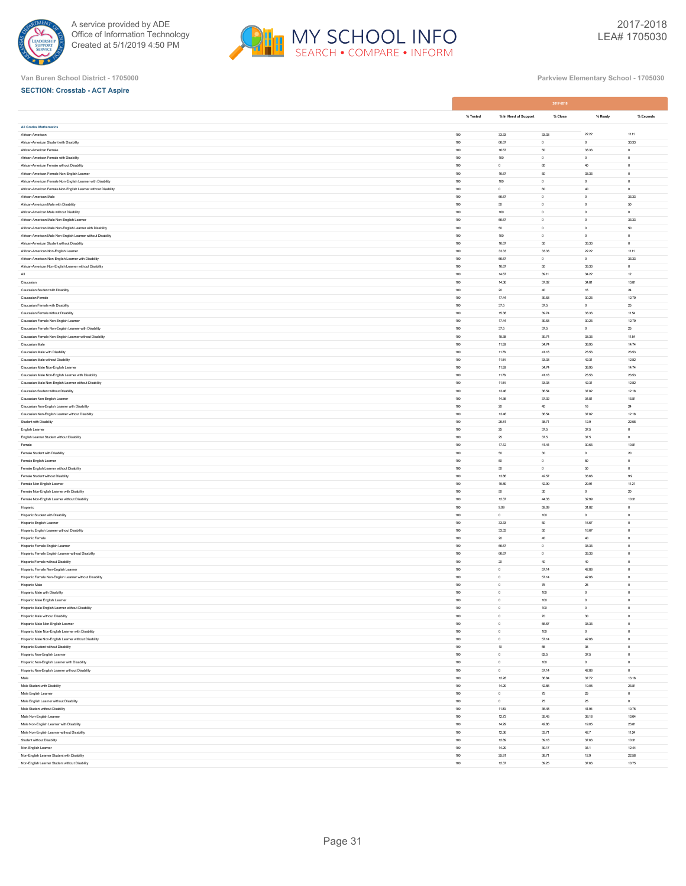



|                                                                                                           |                |                        | 2017-2018                  |                      |                        |
|-----------------------------------------------------------------------------------------------------------|----------------|------------------------|----------------------------|----------------------|------------------------|
|                                                                                                           | $%$ Tested     | % In Need of Support   | % Close                    | % Ready              | % Exceeds              |
| <b>All Grades Mathematics</b>                                                                             |                |                        |                            |                      |                        |
| African-American                                                                                          | 100            | 33.33                  | 33.33                      | 22.22                | 11.11                  |
| African-American Student with Disability                                                                  | 100            | 66.67                  | $\mathbf 0$                | $\,$ 0               | 33.33                  |
| African-American Female                                                                                   | 100            | 16.67                  | $_{50}$                    | 33.33                | $\circ$                |
| African-American Female with Disability                                                                   | 100            | 100                    | $\circ$                    | $\circ$              | $\circ$                |
| African-American Female without Disability                                                                | $100\,$        | $\,$ 0 $\,$            | $_{60}$                    | $40\,$               | $\circ$                |
| African-American Female Non-English Learner                                                               | 100            | 16.67                  | $_{50}$                    | 33.33                | $\,$ 0                 |
| African-American Female Non-English Learner with Disability                                               | 100            | 100                    | $\mathbf 0$                | $\mathbf 0$          | $\circ$                |
| African-American Female Non-English Learner without Disability                                            | $100\,$        | $\,$ 0 $\,$            | $_{60}$                    | $40\,$               | $\circ$                |
| African-American Male                                                                                     | 100            | 66.67                  | $\circ$                    | $\circ$              | 33.33                  |
| African-American Male with Disability<br>African-American Male without Disability                         | 100<br>100     | $_{50}$<br>100         | $\mathbf 0$<br>$\mathbf 0$ | $\circ$<br>$\circ$   | 50<br>$\,$ 0           |
| African-American Male Non-English Learner                                                                 | 100            | 66.67                  | $\circ$                    | $\circ$              | 33.33                  |
| African-American Male Non-English Learner with Disability                                                 | $100\,$        | $_{\rm 50}$            | $\mathbf 0$                | $\mathbb O$          | $_{50}$                |
| African-American Male Non-English Learner without Disability                                              | 100            | 100                    | $\mathbf 0$                | $\,$ 0               | $\,$ 0                 |
| African-American Student without Disability                                                               | 100            | 16.67                  | $_{50}$                    | 33.33                | $\circ$                |
| African-American Non-English Learner                                                                      | $100\,$        | 33.33                  | 33.33                      | 22.22                | 11.11                  |
| African-American Non-English Learner with Disability                                                      | 100            | 66.67                  | $\circ$                    | $\circ$              | 33.33                  |
| African-American Non-English Learner without Disability                                                   | 100            | 16.67                  | $_{50}$                    | 33.33                | $\,$ 0 $\,$            |
| All                                                                                                       | 100            | 14.67                  | 39.11                      | 34.22                | $12\,$                 |
| Caucasian                                                                                                 | 100            | 14.36                  | 37.02                      | 34.81                | 13.81                  |
| Caucasian Student with Disability                                                                         | $100\,$        | $\mathbf{z}$           | $40\,$                     | $16\,$               | $24\,$                 |
| Caucasian Female<br>Caucasian Female with Disability                                                      | 100<br>100     | 17.44<br>37.5          | 39.53<br>37.5              | 30.23<br>$\mathbb O$ | 12.79<br>$\rm{25}$     |
| Caucasian Female without Disability                                                                       | $100\,$        | 15.38                  | 39.74                      | 33.33                | 11.54                  |
| Caucasian Female Non-English Learner                                                                      | 100            | 17.44                  | 39.53                      | 30.23                | 12.79                  |
| Caucasian Female Non-English Learner with Disability                                                      | 100            | 37.5                   | 37.5                       | $\circ$              | $2\mathrm{s}$          |
| Caucasian Female Non-English Learner without Disability                                                   | 100            | 15.38                  | 39.74                      | 33.33                | 11.54                  |
| Caucasian Male                                                                                            | 100            | 11.58                  | 34.74                      | 38.95                | 14.74                  |
| Caucasian Male with Disability                                                                            | $100\,$        | 11.76                  | 41.18                      | 23.53                | 23.53                  |
| Caucasian Male without Disability                                                                         | 100            | 11.54                  | 33.33                      | 42.31                | 12.82                  |
| Caucasian Male Non-English Learner                                                                        | 100            | 11.58                  | 34.74                      | 38.95                | 14.74                  |
| Caucasian Male Non-English Learner with Disability                                                        | $100\,$        | 11.76                  | 41.18                      | 23.53                | 23.53                  |
| Caucasian Male Non-English Learner without Disability                                                     | 100            | 11.54                  | 33.33                      | 42.31                | 12.82                  |
| Caucasian Student without Disability                                                                      | 100            | 13.46                  | 36.54                      | 37.82                | 12.18                  |
| Caucasian Non-English Learner                                                                             | 100            | 14.36                  | 37.02                      | 34.81                | 13.81                  |
| Caucasian Non-English Learner with Disability                                                             | 100            | $20\,$                 | 40                         | 16                   | 24                     |
| Caucasian Non-English Learner without Disability                                                          | $100\,$        | 13.46                  | 36.54                      | 37.82                | 12.18                  |
| Student with Disability                                                                                   | 100<br>100     | 25.81<br>$\rm{25}$     | 38.71<br>37.5              | 12.9<br>37.5         | 22.58<br>$\,$ 0        |
| English Learner<br>English Learner Student without Disability                                             | $100\,$        | $\rm{25}$              | $37.5\,$                   | 37.5                 | $\circ$                |
| Female                                                                                                    | 100            | 17.12                  | 41.44                      | 30.63                | 10.81                  |
| Female Student with Disability                                                                            | 100            | $_{50}$                | $30\,$                     | $\mathbb O$          | $20\,$                 |
| Female English Learner                                                                                    | 100            | $_{50}$                | $\mathbf 0$                | 50                   | $\,$ 0                 |
| Female English Learner without Disability                                                                 | 100            | 60                     | $\circ$                    | 60                   | $\circ$                |
| Female Student without Disability                                                                         | $100\,$        | 13.86                  | 42.57                      | 33.66                | 9.9                    |
| Female Non-English Learner                                                                                | 100            | 15.89                  | 42.99                      | 29.91                | 11.21                  |
| Female Non-English Learner with Disability                                                                | 100            | $_{50}$                | $_{30}$                    | $\circ$              | $20\,$                 |
| Female Non-English Learner without Disability                                                             | $100\,$        | 12.37                  | 44.33                      | 32.99                | 10.31                  |
| Hispanic                                                                                                  | 100            | 9.09                   | 59.09                      | 31.82                | $\circ$                |
| Hispanic Student with Disability                                                                          | 100            | $\circ$                | 100                        | $\circ$              | $\circ$                |
| Hispanic English Learner                                                                                  | 100            | 33.33                  | $_{50}$                    | 16.67                | $\circ$                |
| Hispanic English Learner without Disability                                                               | 100<br>$100\,$ | 33.33<br>$\rm{20}$     | 60<br>$40\,$               | 16.67<br>$40\,$      | $\,$ 0<br>$\circ$      |
| Hispanic Female                                                                                           |                | 66.67                  | $\mathbf 0$                | 33.33                | $\,$ 0                 |
| Hispanic Female English Learner<br>Hispanic Female English Learner without Disability                     | 100<br>100     | 66.67                  | $\,$ 0 $\,$                | 33.33                | $\circ$                |
| Hispanic Female without Disability                                                                        | $100\,$        | $\rm{20}$              | $40\,$                     | $40\,$               | $\circ$                |
| Hispanic Female Non-English Learner                                                                       | 100            | $\circ$                | 57.14                      | 42.86                | $\circ$                |
| Hispanic Female Non-English Learner without Disability                                                    | 100            | $\circ$                | 57.14                      | 42.86                | $\circ$                |
| Hispanic Male                                                                                             | 100            | $\,0\,$                | 75                         | $\rm 25$             | $\circ$                |
| Hispanic Male with Disability                                                                             | 100            | $\circ$                | 100                        | $\circ$              | $\circ$                |
| Hispanic Male English Learner                                                                             | 100            | $\circ$                | 100                        | $\mathsf{o}$         | $\mathsf{o}$           |
| Hispanic Male English Learner without Disability                                                          | 100            | $\,0\,$                | 100                        | $\,0\,$              | $\,$ 0                 |
| Hispanic Male without Disability                                                                          | 100            | $\circ$                | $70\,$                     | $30\,$               | $\circ$                |
| Hispanic Male Non-English Learner                                                                         | $100\,$        | $\bf 0$                | 66.67                      | 33.33                | $\circ$                |
| Hispanic Male Non-English Learner with Disability<br>Hispanic Male Non-English Learner without Disability | 100<br>100     | $\circ$<br>$\,$ 0 $\,$ | 100<br>57.14               | $\circ$<br>42.86     | $\circ$<br>$\,$ 0 $\,$ |
|                                                                                                           | 100            | $10\,$                 | 55                         | 35                   | $\circ$                |
| Hispanic Student without Disability<br>Hispanic Non-English Learner                                       | 100            | $^{\circ}$             | 62.5                       | 37.5                 | $\circ$                |
| Hispanic Non-English Learner with Disability                                                              | $100\,$        | $\,$ 0                 | $100\,$                    | $\mathbb O$          | $\circ$                |
| Hispanic Non-English Learner without Disability                                                           | 100            | $\,$ 0                 | 57.14                      | 42.86                | $\,$ 0                 |
| Male                                                                                                      | 100            | 12.28                  | 36.84                      | 37.72                | 13.16                  |
| Male Student with Disability                                                                              | $100\,$        | 14.29                  | 42.86                      | 19.05                | 23.81                  |
| Male English Learner                                                                                      | 100            | $\circ$                | 75                         | 25                   | $\circ$                |
| Male English Learner without Disability                                                                   | 100            | $\,$ 0 $\,$            | 75                         | $\rm{25}$            | $\circ$                |
| Male Student without Disability                                                                           | 100            | 11.83                  | 35.48                      | 41.94                | 10.75                  |
| Male Non-English Learner                                                                                  | 100            | 12.73                  | 35.45                      | 38.18                | 13.64                  |
| Male Non-English Learner with Disability                                                                  | $100\,$        | 14.29                  | 42.86                      | 19.05                | 23.81                  |
| Male Non-English Learner without Disability                                                               | 100            | 12.36                  | 33.71                      | 42.7                 | 11.24                  |
| Student without Disability                                                                                | 100            | 12.89                  | 39.18                      | 37.63                | 10.31                  |
| Non-English Learner                                                                                       | $100\,$        | 14.29                  | 39.17                      | 34.1                 | 12.44                  |
| Non-English Learner Student with Disability<br>Non-English Learner Student without Disability             | 100<br>100     | 25.81<br>12.37         | 38.71<br>39.25             | 12.9<br>37.63        | 22.58<br>10.75         |
|                                                                                                           |                |                        |                            |                      |                        |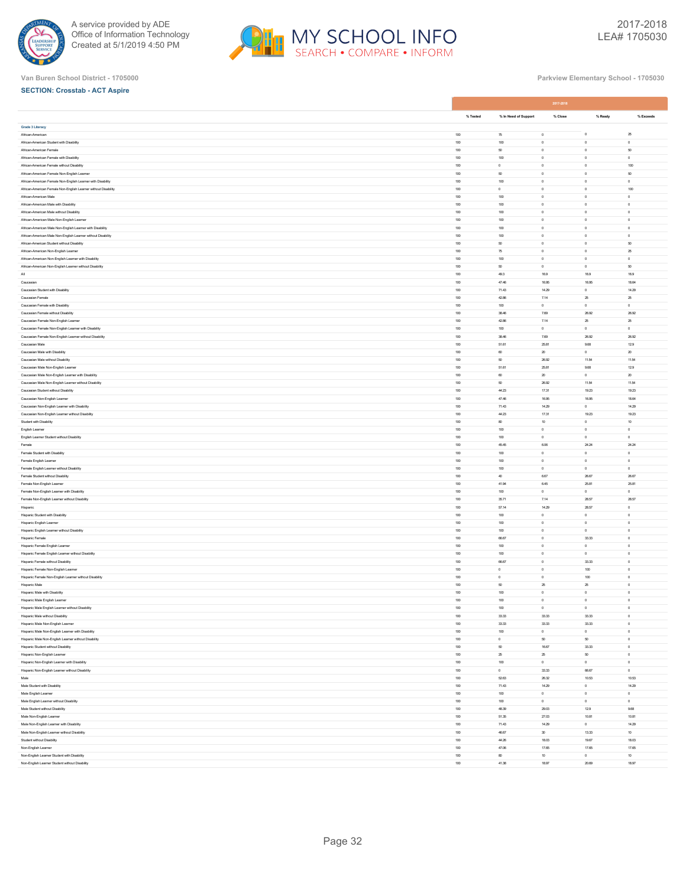



|                                                                                                             |                | 2017-2018            |                             |                         |                        |  |
|-------------------------------------------------------------------------------------------------------------|----------------|----------------------|-----------------------------|-------------------------|------------------------|--|
|                                                                                                             | $%$ Tested     | % In Need of Support | % Close                     | % Ready                 | % Exceeds              |  |
| Grade 3 Literacy                                                                                            |                |                      |                             |                         |                        |  |
| African-American                                                                                            | 100            | 75                   | $\mathbf{0}$                | $\circ$                 | $\rm{25}$              |  |
| African-American Student with Disability                                                                    | 100            | 100                  | $\mathbf 0$                 | $\circ$                 | $\circ$                |  |
| African-American Female                                                                                     | 100            | $_{50}$              | $\mathbf 0$                 | $\circ$                 | 60                     |  |
| African-American Female with Disability                                                                     | 100            | 100                  | $\circ$                     | $\circ$                 | $\circ$                |  |
| African-American Female without Disability                                                                  | $100\,$        | $\,$ 0 $\,$          | $\mathbf 0$                 | $\mathbb O$             | $100\,$                |  |
| African-American Female Non-English Learner                                                                 | 100            | $_{50}$              | $\mathbf 0$                 | $\circ$                 | 50                     |  |
| African-American Female Non-English Learner with Disability                                                 | 100            | 100                  | $\mathbf 0$                 | $\circ$                 | $\circ$                |  |
| African-American Female Non-English Learner without Disability<br>African-American Male                     | $100\,$<br>100 | $\,$ 0 $\,$<br>100   | $\mathbf 0$<br>$\mathbf{0}$ | $\circ$<br>$\circ$      | $100\,$<br>$\circ$     |  |
| African-American Male with Disability                                                                       | 100            | 100                  | $\mathbf 0$                 | $\circ$                 | $\,$ 0                 |  |
| African-American Male without Disability                                                                    | 100            | 100                  | $\mathbb O$                 | $\circ$                 | $\,$ 0                 |  |
| African-American Male Non-English Learner                                                                   | 100            | 100                  | $\mathbf{0}$                | $\circ$                 | $\circ$                |  |
| African-American Male Non-English Learner with Disability                                                   | $100\,$        | 100                  | $\mathbf 0$                 | $\mathbb O$             | $\circ$                |  |
| African-American Male Non-English Learner without Disability                                                | 100            | 100                  | $\,0\,$                     | $\circ$                 | $\,$ 0                 |  |
| African-American Student without Disability                                                                 | 100            | $_{50}$              | $\mathbf 0$                 | $\circ$                 | $_{50}$                |  |
| African-American Non-English Learner                                                                        | $100\,$        | $7\!$                | $\mathbf 0$                 | $\mathsf{o}$            | $\rm{25}$              |  |
| African-American Non-English Learner with Disability                                                        | 100            | 100                  | $\circ$                     | $\circ$                 | $^{\circ}$             |  |
| African-American Non-English Learner without Disability                                                     | 100            | $_{50}$              | $\,$ 0 $\,$                 | $\circ$                 | 60                     |  |
| All                                                                                                         | 100            | 49.3                 | 16.9                        | 16.9                    | 16.9                   |  |
| Caucasian                                                                                                   | 100            | 47.46                | 16.95                       | 16.95<br>$\mathbb O$    | 18.64                  |  |
| Caucasian Student with Disability<br>Caucasian Female                                                       | $100\,$<br>100 | 71.43<br>42.86       | 14.29<br>7.14               | 25                      | 14.29<br>$\rm 25$      |  |
| Caucasian Female with Disability                                                                            | 100            | 100                  | $\mathbf 0$                 | $\mathbb O$             | $\circ$                |  |
| Caucasian Female without Disability                                                                         | $100\,$        | 38.46                | 7.69                        | 26.92                   | 26.92                  |  |
| Caucasian Female Non-English Learner                                                                        | 100            | 42.86                | 7.14                        | $\overline{\mathbf{z}}$ | 25                     |  |
| Caucasian Female Non-English Learner with Disability                                                        | 100            | 100                  | $\mathbf 0$                 | $\circ$                 | $\circ$                |  |
| Caucasian Female Non-English Learner without Disability                                                     | 100            | 38.46                | 7.69                        | 26.92                   | 26.92                  |  |
| Caucasian Male                                                                                              | 100            | 51.61                | 25.81                       | 9.68                    | 12.9                   |  |
| Caucasian Male with Disability                                                                              | $100\,$        | $_{60}$              | $20\,$                      | $\mathsf{o}$            | $\rm 20$               |  |
| Caucasian Male without Disability                                                                           | 100            | $_{50}$              | 26.92                       | 11.54                   | 11.54                  |  |
| Caucasian Male Non-English Learner                                                                          | 100            | 51.61                | 25.81                       | 9.68                    | 12.9                   |  |
| Caucasian Male Non-English Learner with Disability<br>Caucasian Male Non-English Learner without Disability | $100\,$<br>100 | $_{60}$<br>$_{50}$   | $20\,$<br>26.92             | $\mathsf{o}$<br>11.54   | $\rm 20$<br>11.54      |  |
| Caucasian Student without Disability                                                                        | 100            | 44.23                | 17.31                       | 19.23                   | 19.23                  |  |
| Caucasian Non-English Learner                                                                               | 100            | 47.46                | 16.95                       | 16.95                   | 18.64                  |  |
| Caucasian Non-English Learner with Disability                                                               | 100            | 71.43                | 14.29                       | $\circ$                 | 14.29                  |  |
| Caucasian Non-English Learner without Disability                                                            | $100\,$        | 44.23                | 17.31                       | 19.23                   | 19.23                  |  |
| Student with Disability                                                                                     | 100            | $80\,$               | $10$                        | $\,0\,$                 | $10$                   |  |
| English Learner                                                                                             | 100            | 100                  | $\mathbf 0$                 | $\circ$                 | $\circ$                |  |
| English Learner Student without Disability                                                                  | $100\,$        | 100                  | $\mathbf 0$                 | $\mathbb O$             | $\circ$                |  |
| Female                                                                                                      | 100            | 45.45                | 6.06                        | 24.24                   | 24.24                  |  |
| Female Student with Disability                                                                              | 100            | 100                  | $\mathbf 0$                 | $\circ$                 | $\circ$                |  |
| Female English Learner                                                                                      | 100<br>100     | 100<br>100           | $\,0\,$<br>$\circ$          | $\circ$<br>$\circ$      | $\,0\,$<br>$\circ$     |  |
| Female English Learner without Disability<br>Female Student without Disability                              | $100\,$        | $40\,$               | 6.67                        | 26.67                   | 26.67                  |  |
| Female Non-English Learner                                                                                  | 100            | 41.94                | 6.45                        | 25.81                   | 25.81                  |  |
| Female Non-English Learner with Disability                                                                  | 100            | 100                  | $\mathbf 0$                 | $\circ$                 | $\circ$                |  |
| Female Non-English Learner without Disability                                                               | $100\,$        | 35.71                | $7.14\,$                    | 28.57                   | 28.57                  |  |
| Hispanic                                                                                                    | 100            | 57.14                | 14.29                       | 28.57                   | $\circ$                |  |
| Hispanic Student with Disability                                                                            | 100            | 100                  | $\mathbf 0$                 | $\,$ 0 $\,$             | $\,$ 0 $\,$            |  |
| Hispanic English Learner                                                                                    | 100            | 100                  | $\mathbb O$                 | $\circ$                 | $\circ$                |  |
| Hispanic English Learner without Disability                                                                 | 100            | 100                  | $\mathbf{0}$                | $\circ$                 | $\,$ 0                 |  |
| Hispanic Female                                                                                             | $100\,$        | 66.67                | $\mathbf 0$                 | 33.33                   | $\circ$                |  |
| Hispanic Female English Learner                                                                             | 100            | 100                  | $\mathbf 0$                 | $\circ$                 | $\,$ 0                 |  |
| Hispanic Female English Learner without Disability<br>Hispanic Female without Disability                    | 100<br>$100\,$ | 100<br>66.67         | $\mathbf 0$<br>$\mathbf 0$  | $\mathbb O$<br>33.33    | $\circ$<br>$\circ$     |  |
| Hispanic Female Non-English Learner                                                                         | 100            | $\circ$              | $\circ$                     | 100                     | $\circ$                |  |
| Hispanic Female Non-English Learner without Disability                                                      | 100            | $\circ$              | $\mathbf 0$                 | 100                     | $\circ$                |  |
| Hispanic Male                                                                                               | 100            | $_{50}$              | $\rm{2S}$                   | $\rm 25$                | $\circ$                |  |
| Hispanic Male with Disability                                                                               | 100            | 100                  | $\circ$                     | $\circ$                 | $\circ$                |  |
| Hispanic Male English Learner                                                                               | 100            | 100                  | $\circ$                     | $\mathsf{o}$            | $\mathsf{o}$           |  |
| Hispanic Male English Learner without Disability                                                            | 100            | 100                  | $\,0\,$                     | $\,0\,$                 | $\,$ 0                 |  |
| Hispanic Male without Disability                                                                            | 100            | 33.33                | 33.33                       | 33.33                   | $\circ$                |  |
| Hispanic Male Non-English Learner                                                                           | $100\,$        | 33.33                | 33.33                       | 33.33                   | $\circ$                |  |
| Hispanic Male Non-English Learner with Disability                                                           | 100            | 100                  | $\,0\,$                     | $\circ$                 | $\circ$                |  |
| Hispanic Male Non-English Learner without Disability                                                        | 100            | $\,$ 0 $\,$          | $_{50}$<br>16.67            | 60<br>33.33             | $\,$ 0 $\,$<br>$\circ$ |  |
| Hispanic Student without Disability<br>Hispanic Non-English Learner                                         | 100<br>100     | $_{50}$<br>$\rm{25}$ | 25                          | 50                      | $\circ$                |  |
| Hispanic Non-English Learner with Disability                                                                | $100\,$        | $100\,$              | $\mathbf 0$                 | $\circ$                 | $\circ$                |  |
| Hispanic Non-English Learner without Disability                                                             | 100            | $\,$ 0               | 33.33                       | 66.67                   | $\,$ 0                 |  |
| Male                                                                                                        | 100            | 52.63                | 26.32                       | 10.53                   | 10.53                  |  |
| Male Student with Disability                                                                                | $100\,$        | 71.43                | 14.29                       | $\circ$                 | 14.29                  |  |
| Male English Learner                                                                                        | 100            | 100                  | $\mathbf{0}$                | $\circ$                 | $\circ$                |  |
| Male English Learner without Disability                                                                     | 100            | $100\,$              | $\mathbf 0$                 | $\,$ 0                  | $\circ$                |  |
| Male Student without Disability                                                                             | 100            | 48.39                | 29.03                       | 12.9                    | 9.68                   |  |
| Male Non-English Learner                                                                                    | 100            | 51.35                | 27.03                       | 10.81                   | 10.81                  |  |
| Male Non-English Learner with Disability                                                                    | $100\,$        | 71.43                | 14.29                       | $\,0\,$                 | 14.29                  |  |
| Male Non-English Learner without Disability                                                                 | 100            | 46.67                | $30\,$                      | 13.33                   | $10\,$                 |  |
| Student without Disability                                                                                  | 100            | 44.26                | 18.03                       | 19.67                   | 18.03                  |  |
| Non-English Learner<br>Non-English Learner Student with Disability                                          | $100\,$<br>100 | 47.06<br>$_{80}$     | 17.65<br>10                 | 17.65<br>$\circ$        | 17.65<br>$10$          |  |
| Non-English Learner Student without Disability                                                              | 100            | 41.38                | 18.97                       | 20.69                   | 18.97                  |  |
|                                                                                                             |                |                      |                             |                         |                        |  |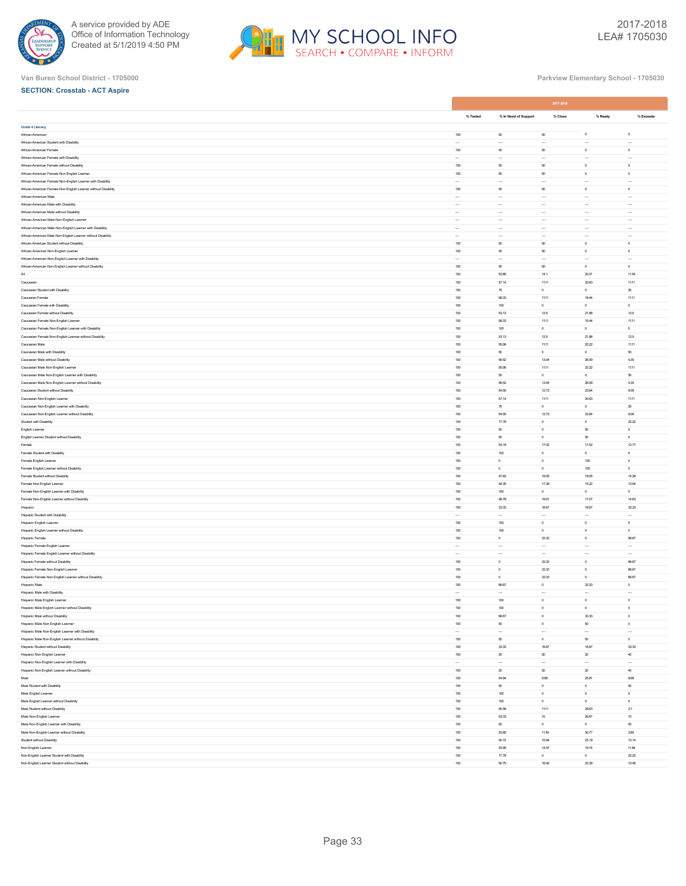



|                                                                                                             |                      | 2017-2018            |                            |                              |                             |  |  |
|-------------------------------------------------------------------------------------------------------------|----------------------|----------------------|----------------------------|------------------------------|-----------------------------|--|--|
|                                                                                                             | $%$ Tested           | % In Need of Support | % Close                    | % Ready                      | % Exceeds                   |  |  |
| Grade 4 Literacy                                                                                            |                      |                      |                            |                              |                             |  |  |
| African-American                                                                                            | 100                  | 60                   | $_{50}$                    | $\circ$                      | $\circ$                     |  |  |
| African-American Student with Disability                                                                    | $\cdots$             | $\cdots$             | $\cdots$                   | $\cdots$                     |                             |  |  |
| African-American Female                                                                                     | 100                  | $_{50}$              | $_{50}$                    | $\,0\,$                      | $\mathbb O$                 |  |  |
| African-American Female with Disability                                                                     | $\cdots$             | $\cdots$             | $\ddotsc$                  | $\cdots$                     | $\cdots$                    |  |  |
| African-American Female without Disability                                                                  | $100\,$              | $_{\rm 50}$          | $_{\rm 50}$                | $\mathbb O$                  | $\circ$                     |  |  |
| African-American Female Non-English Learner<br>African-American Female Non-English Learner with Disability  | 100<br>$\cdots$      | $_{50}$<br>$\cdots$  | $_{50}$<br>$\cdots$        | $\circ$<br>                  | $\,0\,$<br>                 |  |  |
| African-American Female Non-English Learner without Disability                                              | $100\,$              | $_{\rm 50}$          | $_{\rm 50}$                | $\circ$                      | $\circ$                     |  |  |
| African-American Male                                                                                       | $\cdots$             | $\cdots$             | $\ddotsc$                  | $\cdots$                     |                             |  |  |
| African-American Male with Disability                                                                       | $\cdots$             | $\cdots$             | $\cdots$                   |                              |                             |  |  |
| African-American Male without Disability                                                                    | $\cdots$             | $\cdots$             | $\ldots$                   |                              | $\cdots$                    |  |  |
| African-American Male Non-English Learner                                                                   | $\cdots$             | $\cdots$             | $\cdots$                   | $\cdots$                     | $\cdots$                    |  |  |
| African-American Male Non-English Learner with Disability                                                   | $\cdots$             | $\ddot{\phantom{0}}$ |                            |                              |                             |  |  |
| African-American Male Non-English Learner without Disability<br>African-American Student without Disability | $\cdots$<br>100      | $\cdots$<br>$_{50}$  | $\ldots$<br>$_{50}$        | <br>$\circ$                  | <br>$\circ$                 |  |  |
| African-American Non-English Learner                                                                        | $100\,$              | $_{\rm 50}$          | $_{\rm 50}$                | $\mathbb O$                  | $\circ$                     |  |  |
| African-American Non-English Learner with Disability                                                        | $\cdots$             | $\cdots$             | $\ddotsc$                  | $\cdots$                     | $\cdots$                    |  |  |
| African-American Non-English Learner without Disability                                                     | 100                  | $_{50}$              | $_{50}$                    | $\circ$                      | $\,$ 0 $\,$                 |  |  |
| All                                                                                                         | 100                  | 53.85                | 14.1                       | 20.51                        | 11.54                       |  |  |
| Caucasian                                                                                                   | 100                  | 57.14                | 11.11                      | 20.63                        | 11.11                       |  |  |
| Caucasian Student with Disability                                                                           | $100\,$              | $7\!$                | $\mathbf 0$                | $\,$ 0                       | $2\!$                       |  |  |
| Caucasian Female<br>Caucasian Female with Disability                                                        | 100<br>100           | 58.33<br>100         | 11.11<br>$\mathbf 0$       | 19.44<br>$\circ$             | 11.11<br>$\circ$            |  |  |
| Caucasian Female without Disability                                                                         | $100\,$              | 53.13                | $12.5\,$                   | 21.88                        | 12.5                        |  |  |
| Caucasian Female Non-English Learner                                                                        | 100                  | 58.33                | 11.11                      | 19.44                        | 11.11                       |  |  |
| Caucasian Female Non-English Learner with Disability                                                        | 100                  | 100                  | $\mathbf 0$                | $\circ$                      | $\,$ 0                      |  |  |
| Caucasian Female Non-English Learner without Disability                                                     | 100                  | 53.13                | 12.5                       | 21.88                        | 12.5                        |  |  |
| Caucasian Male                                                                                              | 100                  | 55.56                | 11.11                      | 22.22                        | 11.11                       |  |  |
| Caucasian Male with Disability                                                                              | $100\,$              | $_{\rm 50}$          | $\mathbf 0$                | $\mathsf{o}$                 | $_{50}$                     |  |  |
| Caucasian Male without Disability<br>Caucasian Male Non-English Learner                                     | 100<br>100           | 56.52<br>55.56       | 13.04<br>11.11             | 26.09<br>22.22               | 4.35<br>11.11               |  |  |
| Caucasian Male Non-English Learner with Disability                                                          | $100\,$              | $_{\rm 50}$          | $\mathbf 0$                | $\mathsf{o}$                 | $_{50}$                     |  |  |
| Caucasian Male Non-English Learner without Disability                                                       | 100                  | 56.52                | 13.04                      | 26.09                        | 4.35                        |  |  |
| Caucasian Student without Disability                                                                        | 100                  | 54.55                | 12.73                      | 23.64                        | 9.09                        |  |  |
| Caucasian Non-English Learner                                                                               | 100                  | 57.14                | 11.11                      | 20.63                        | 11.11                       |  |  |
| Caucasian Non-English Learner with Disability                                                               | 100                  | 75                   | $\circ$                    | $\circ$                      | 25                          |  |  |
| Caucasian Non-English Learner without Disability                                                            | $100\,$              | 54.55                | 12.73                      | 23.64                        | 9.09                        |  |  |
| Student with Disability<br>English Learner                                                                  | 100<br>100           | 77.78<br>$_{50}$     | $\mathbb O$<br>$\mathbf 0$ | $\circ$<br>$_{50}$           | 22.22<br>$\,$ 0             |  |  |
| English Learner Student without Disability                                                                  | $100\,$              | $_{\rm 50}$          | $\mathbf 0$                | $_{50}$                      | $\circ$                     |  |  |
| Female                                                                                                      | 100                  | 53.19                | 17.02                      | 17.02                        | 12.77                       |  |  |
| Female Student with Disability                                                                              | 100                  | 100                  | $\mathbf 0$                | $\circ$                      | $\circ$                     |  |  |
| Female English Learner                                                                                      | 100                  | $\,$ 0 $\,$          | $\mathbf 0$                | 100                          | $\,0\,$                     |  |  |
| Female English Learner without Disability                                                                   | 100                  | $\circ$              | $\circ$                    | 100                          | $\circ$                     |  |  |
| Female Student without Disability                                                                           | $100\,$              | 47.62                | 19.05                      | 19.05                        | 14.29                       |  |  |
| Female Non-English Learner<br>Female Non-English Learner with Disability                                    | 100<br>100           | 54.35<br>100         | 17.39<br>$\mathbf{0}^-$    | 15.22<br>$\,$ 0 $\,$         | 13.04<br>$\,$ 0 $\,$        |  |  |
| Female Non-English Learner without Disability                                                               | $100\,$              | 48.78                | 19.51                      | 17.07                        | 14.63                       |  |  |
| Hispanic                                                                                                    | 100                  | 33.33                | 16.67                      | 16.67                        | 33.33                       |  |  |
| Hispanic Student with Disability                                                                            | $\cdots$             | $\cdots$             | $\ldots$                   |                              |                             |  |  |
| Hispanic English Learner                                                                                    | 100                  | 100                  | $\mathbb O$                | $\circ$                      | $\circ$                     |  |  |
| Hispanic English Learner without Disability                                                                 | 100                  | 100                  | $\,0\,$                    | $\circ$                      | $\,$ 0                      |  |  |
| Hispanic Female                                                                                             | $100\,$<br>$\ddotsc$ | $\,$ 0 $\,$<br>      | 33.33<br>                  | $\mathbb O$<br>$\cdots$      | 66.67<br>                   |  |  |
| Hispanic Female English Learner<br>Hispanic Female English Learner without Disability                       | $\cdots$             | $\cdots$             | $\cdots$                   |                              | $\cdots$                    |  |  |
| Hispanic Female without Disability                                                                          | $100\,$              | $\bf{0}$             | 33.33                      | $\circ$                      | 66.67                       |  |  |
| Hispanic Female Non-English Learner                                                                         | 100                  | $^{\circ}$           | 33.33                      | $\circ$                      | 66.67                       |  |  |
| Hispanic Female Non-English Learner without Disability                                                      | 100                  | $\,$ 0               | 33.33                      | $\circ$                      | 66.67                       |  |  |
| Hispanic Male                                                                                               | 100                  | 66.67                | $\,$ 0                     | 33.33                        | $\mathbb O$                 |  |  |
| Hispanic Male with Disability<br>Hispanic Male English Learner                                              | $\cdots$<br>100      | $\sim$<br>100        | $\cdots$<br>$\circ$        | $\cdots$<br>$\circ$          | <br>$\mathsf{O}\xspace$     |  |  |
| Hispanic Male English Learner without Disability                                                            | 100                  | 100                  | $\mathbf 0$                | $\,0\,$                      | $\,$ 0                      |  |  |
| Hispanic Male without Disability                                                                            | 100                  | 66.67                | $\mathbf 0$                | 33.33                        | $\,$ 0 $\,$                 |  |  |
| Hispanic Male Non-English Learner                                                                           | $100\,$              | $_{\rm 50}$          | $\,$ 0 $\,$                | $_{50}$                      | $\,$ 0 $\,$                 |  |  |
| Hispanic Male Non-English Learner with Disability                                                           | $\cdots$             | $\cdots$             | $\cdots$                   | $\cdots$                     |                             |  |  |
| Hispanic Male Non-English Learner without Disability                                                        | 100                  | $_{50}$              | $\mathbf 0$                | $_{50}$                      | $\,$ 0 $\,$                 |  |  |
| Hispanic Student without Disability                                                                         | 100                  | 33.33                | 16.67                      | 16.67                        | 33.33                       |  |  |
| Hispanic Non-English Learner<br>Hispanic Non-English Learner with Disability                                | 100<br>$\cdots$      | 20<br>$\cdots$       | 20<br>                     | 20<br>                       | 40<br>                      |  |  |
| Hispanic Non-English Learner without Disability                                                             | 100                  | $\rm{20}$            | $\rm{20}$                  | $20\,$                       | 40                          |  |  |
| Male                                                                                                        | 100                  | 54.84                | 9.68                       | 25.81                        | 9.68                        |  |  |
| Male Student with Disability                                                                                | $100\,$              | $_{\rm 50}$          | $\mathbf 0$                | $\circ$                      | $_{50}$                     |  |  |
| Male English Learner                                                                                        | 100                  | 100                  | $\mathbf{0}$               | $\circ$                      | $\circ$                     |  |  |
| Male English Learner without Disability                                                                     | 100                  | 100                  | $\mathbf{0}^-$             | $\,$ 0                       | $\,$ 0                      |  |  |
| Male Student without Disability                                                                             | 100                  | 55.56                | 11.11                      | 29.63                        | 3.7                         |  |  |
| Male Non-English Learner                                                                                    | 100<br>$100\,$       | 53.33<br>$_{\rm 50}$ | 10<br>$\mathbf 0$          | 26.67<br>$\mathsf{O}\xspace$ | 10 <sup>10</sup><br>$_{50}$ |  |  |
| Male Non-English Learner with Disability<br>Male Non-English Learner without Disability                     | 100                  | 53.85                | 11.54                      | 30.77                        | 3.85                        |  |  |
| Student without Disability                                                                                  | 100                  | 50.72                | 15.94                      | 23.19                        | 10.14                       |  |  |
| Non-English Learner                                                                                         | $100\,$              | 53.95                | 14.47                      | 19.74                        | 11.84                       |  |  |
| Non-English Learner Student with Disability                                                                 | 100                  | 77.78                | $\circ$                    | $\circ$                      | 22.22                       |  |  |
| Non-English Learner Student without Disability                                                              | 100                  | 50.75                | 16.42                      | 22.39                        | 10.45                       |  |  |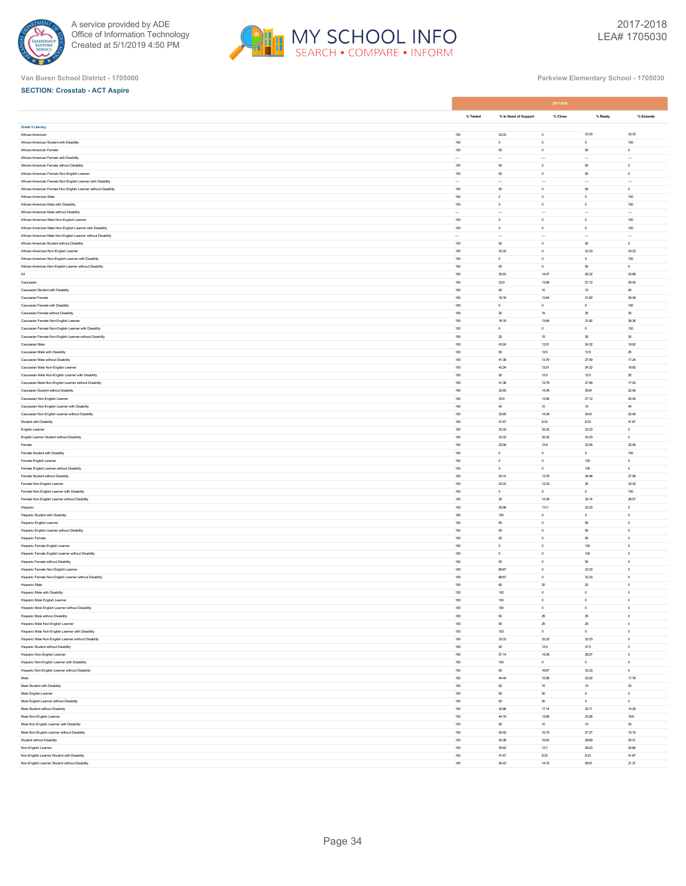



|                                                                                                             |                  | 2017-2018            |                            |                                   |                            |
|-------------------------------------------------------------------------------------------------------------|------------------|----------------------|----------------------------|-----------------------------------|----------------------------|
|                                                                                                             | % Tested         | % In Need of Support | % Close                    | % Ready                           | % Exceeds                  |
| Grade 5 Literacy                                                                                            |                  |                      |                            |                                   |                            |
| African-American                                                                                            | 100              | 33.33                | $\mathbf 0$                | 33.33                             | 33.33                      |
| African-American Student with Disability                                                                    | 100              | $\,$ 0 $\,$          | $\,$ 0 $\,$                | $\,$ 0 $\,$                       | 100                        |
| African-American Female                                                                                     | 100              | 60                   | $\,$ 0 $\,$                | $_{\rm 50}$                       | $\,$ 0                     |
| African-American Female with Disability                                                                     | $\cdots$         | $\cdots$             | $\cdots$                   | $\cdots$                          | $\cdots$                   |
| African-American Female without Disability                                                                  | $100\,$          | $_{50}$              | $\,$ 0 $\,$                | $_{\rm 50}$                       | $\mathbb O$                |
| African-American Female Non-English Learner<br>African-American Female Non-English Learner with Disability  | 100<br>$\cdots$  | 60<br>$\cdots$       | $\,$ 0 $\,$<br>$\cdots$    | $_{\rm 50}$<br>$\cdots$           | $\,$ 0 $\,$<br>$\cdots$    |
| African-American Female Non-English Learner without Disability                                              | $100\,$          | $_{50}$              | $\,$ 0 $\,$                | $_{\rm 50}$                       | $\mathbb O$                |
| African-American Male                                                                                       | 100              | $^{\circ}$           | $\circ$                    | $^{\circ}$                        | 100                        |
| African-American Male with Disability                                                                       | 100              | $\circ$              | $\circ$                    | $\mathbb O$                       | 100                        |
| African-American Male without Disability                                                                    | $\sim$           | $\sim$               | $\ddot{\phantom{0}}$       |                                   | $\overline{\phantom{a}}$   |
| African-American Male Non-English Learner                                                                   | 100              | $^{\circ}$           | $\circ$                    | $\mathbf{0}$                      | 100                        |
| African-American Male Non-English Learner with Disability                                                   | $100\,$          | $\,$ 0 $\,$          | $\,$ 0 $\,$                | $\,$ 0 $\,$                       | $100\,$                    |
| African-American Male Non-English Learner without Disability<br>African-American Student without Disability | $\ddotsc$<br>100 | $\cdots$<br>60       | $\ddotsc$<br>$\,$ 0 $\,$   | $\cdots$<br>$_{50}$               | $\cdots$<br>$\,$ 0 $\,$    |
| African-American Non-English Learner                                                                        | $100\,$          | 33.33                | $\,$ 0 $\,$                | 33.33                             | 33.33                      |
| African-American Non-English Learner with Disability                                                        | 100              | $\circ$              | $\circ$                    | $\circ$                           | 100                        |
| African-American Non-English Learner without Disability                                                     | 100              | $_{50}$              | $\,$ 0 $\,$                | $_{\rm 50}$                       | $\,$ 0 $\,$                |
| All                                                                                                         | 100              | 35.53                | 14.47                      | 26.32                             | 23.68                      |
| Caucasian                                                                                                   | 100              | 33.9                 | 13.56                      | 27.12                             | 25.42                      |
| Caucasian Student with Disability                                                                           | $100\,$          | $40$                 | $10$                       | $10\,$                            | $40\,$                     |
| Caucasian Female<br>Caucasian Female with Disability                                                        | 100<br>100       | 18.18<br>$\circ$     | 13.64<br>$\circ$           | 31.82<br>$\mathbb O$              | 36.36<br>100               |
| Caucasian Female without Disability                                                                         | $100\,$          | $\rm{20}$            | 15                         | $35\,$                            | $_{\rm 30}$                |
| Caucasian Female Non-English Learner                                                                        | 100              | 18.18                | 13.64                      | 31.82                             | 36.36                      |
| Caucasian Female Non-English Learner with Disability                                                        | 100              | $\circ$              | $\mathbf 0$                | $\,$ 0 $\,$                       | 100                        |
| Caucasian Female Non-English Learner without Disability                                                     | 100              | $\rm{20}$            | 15                         | $35\,$                            | $30\,$                     |
| Caucasian Male                                                                                              | 100              | 43.24                | 13.51                      | 24.32                             | 18.92                      |
| Caucasian Male with Disability                                                                              | $100\,$          | $_{50}$              | $12.5\,$                   | 12.5                              | $\rm{25}$                  |
| Caucasian Male without Disability<br>Caucasian Male Non-English Learner                                     | 100<br>100       | 41.38<br>43.24       | 13.79<br>13.51             | 27.59<br>24.32                    | 17.24<br>18.92             |
| Caucasian Male Non-English Learner with Disability                                                          | $100\,$          | $_{50}$              | $12.5\,$                   | 12.5                              | $\rm{25}$                  |
| Caucasian Male Non-English Learner without Disability                                                       | 100              | 41.38                | 13.79                      | 27.59                             | 17.24                      |
| Caucasian Student without Disability                                                                        | 100              | 32.65                | 14.29                      | 30.61                             | 22.45                      |
| Caucasian Non-English Learner                                                                               | 100              | 33.9                 | 13.56                      | 27.12                             | 25.42                      |
| Caucasian Non-English Learner with Disability                                                               | 100              | 40                   | 10                         | 10                                | 40                         |
| Caucasian Non-English Learner without Disability                                                            | $100\,$          | 32.65<br>41.67       | 14.29                      | 30.61                             | 22.45                      |
| Student with Disability<br>English Learner                                                                  | 100<br>100       | 33.33                | 8.33<br>33.33              | 8.33<br>33.33                     | 41.67<br>$\,$ 0 $\,$       |
| English Learner Student without Disability                                                                  | $100\,$          | 33.33                | 33.33                      | 33.33                             | $\mathbb O$                |
| Female                                                                                                      | 100              | 22.58                | 129                        | 32.26                             | 32.26                      |
| Female Student with Disability                                                                              | 100              | $\circ$              | $\circ$                    | $\mathbb O$                       | 100                        |
| Female English Learner                                                                                      | 100              | $\,$ 0 $\,$          | $\,$ 0 $\,$                | 100                               | $\,$ 0 $\,$                |
| Female English Learner without Disability                                                                   | 100              | $^{\circ}$           | $\circ$                    | 100                               | $^{\circ}$                 |
| Female Student without Disability<br>Female Non-English Learner                                             | $100\,$<br>100   | 24.14<br>23.33       | 13.79<br>13.33             | 34.48<br>$30\,$                   | 27.59<br>33.33             |
| Female Non-English Learner with Disability                                                                  | 100              | $\,$ 0 $\,$          | $\,$ 0 $\,$                | $\circ$                           | 100                        |
| Female Non-English Learner without Disability                                                               | $100\,$          | $\rm{25}$            | 14.29                      | 32.14                             | 28.57                      |
| Hispanic                                                                                                    | 100              | 55.56                | 11.11                      | 33.33                             | $^{\circ}$                 |
| Hispanic Student with Disability                                                                            | 100              | 100                  | $\mathbf 0$                | $\,$ 0 $\,$                       | $\,$ 0 $\,$                |
| Hispanic English Learner                                                                                    | 100              | 60                   | $\,$ 0 $\,$                | $_{\rm 50}$                       | $\,$ 0 $\,$                |
| Hispanic English Learner without Disability<br>Hispanic Female                                              | 100<br>$100\,$   | 60<br>$_{50}$        | $\mathbf 0$<br>$\,$ 0 $\,$ | $_{\rm 50}$<br>$_{\rm 50}$        | $\mathbb O$<br>$\,$ 0 $\,$ |
| Hispanic Female English Learner                                                                             | 100              | $\,0\,$              | $\,0\,$                    | 100                               | $\mathbb O$                |
| Hispanic Female English Learner without Disability                                                          | 100              | $\,$ 0 $\,$          | $\,$ 0 $\,$                | 100                               | $\,$ 0 $\,$                |
| Hispanic Female without Disability                                                                          | $100\,$          | $_{50}$              | $\,$ 0 $\,$                | $_{\rm 50}$                       | $\,$ 0                     |
| Hispanic Female Non-English Learner                                                                         | 100              | 66.67                | $\circ$                    | 33.33                             | $^{\circ}$                 |
| Hispanic Female Non-English Learner without Disability                                                      | 100              | 66.67                | $\,0\,$                    | 33.33                             | $\,$ 0 $\,$                |
| Hispanic Male<br>Hispanic Male with Disability                                                              | 100<br>100       | $_{60}$<br>100       | $\rm{20}$<br>$\circ$       | $\rm{20}$<br>$\ddot{\phantom{0}}$ | $\,$ 0 $\,$<br>$\circ$     |
| Hispanic Male English Learner                                                                               | 100              | 100                  | $\circ$                    | $\circ$                           | $\circ$                    |
| Hispanic Male English Learner without Disability                                                            | 100              | 100                  | $\,$ 0 $\,$                | $\,$ 0 $\,$                       | $\,$ 0 $\,$                |
| Hispanic Male without Disability                                                                            | 100              | $_{50}$              | $\rm{2S}$                  | $\rm{25}$                         | $\,$ 0 $\,$                |
| Hispanic Male Non-English Learner                                                                           | $100\,$          | $_{50}$              | $\rm{2S}$                  | $\rm{25}$                         | $\,$ 0 $\,$                |
| Hispanic Male Non-English Learner with Disability                                                           | 100              | 100                  | $\mathbf 0$                | $\circ$                           | $\mathbb O$                |
| Hispanic Male Non-English Learner without Disability                                                        | 100<br>100       | 33.33<br>60          | 33.33<br>12.5              | 33.33<br>37.5                     | $\,$ 0 $\,$<br>$\mathbb O$ |
| Hispanic Student without Disability<br>Hispanic Non-English Learner                                         | 100              | 57.14                | 14.29                      | 28.57                             | $^{\circ}$                 |
| Hispanic Non-English Learner with Disability                                                                | $100\,$          | $100\,$              | $\,$ 0 $\,$                | $\,$ 0 $\,$                       | $\,$ 0 $\,$                |
| Hispanic Non-English Learner without Disability                                                             | 100              | $_{50}$              | 16.67                      | 33.33                             | $\,$ 0 $\,$                |
| Male                                                                                                        | 100              | 44.44                | 15.56                      | 22.22                             | 17.78                      |
| Male Student with Disability                                                                                | $100\,$          | $_{50}$              | $10$                       | $10\,$                            | $_{\rm 30}$                |
| Male English Learner<br>Male English Learner without Disability                                             | 100<br>100       | 60<br>$_{50}$        | 50<br>$_{50}$              | $^{\circ}$<br>$\,$ 0 $\,$         | $^{\circ}$<br>$\,$ 0 $\,$  |
| Male Student without Disability                                                                             | 100              | 42.86                | 17.14                      | 25.71                             | 14.29                      |
| Male Non-English Learner                                                                                    | 100              | 44.19                | 13.95                      | 23.26                             | 18.6                       |
| Male Non-English Learner with Disability                                                                    | $100\,$          | $_{50}$              | $10$                       | $10\,$                            | $_{\rm 30}$                |
| Male Non-English Learner without Disability                                                                 | 100              | 42.42                | 15.15                      | 27.27                             | 15.15                      |
| Student without Disability                                                                                  | 100              | 34.38                | 15.63                      | 29.69                             | 20.31                      |
| Non-English Learner<br>Non-English Learner Student with Disability                                          | $100\,$<br>100   | 35.62<br>41.67       | 13.7<br>8.33               | 26.03<br>8.33                     | 24.66<br>41.67             |
| Non-English Learner Student without Disability                                                              | 100              | 34.43                | 14.75                      | 29.51                             | 21.31                      |
|                                                                                                             |                  |                      |                            |                                   |                            |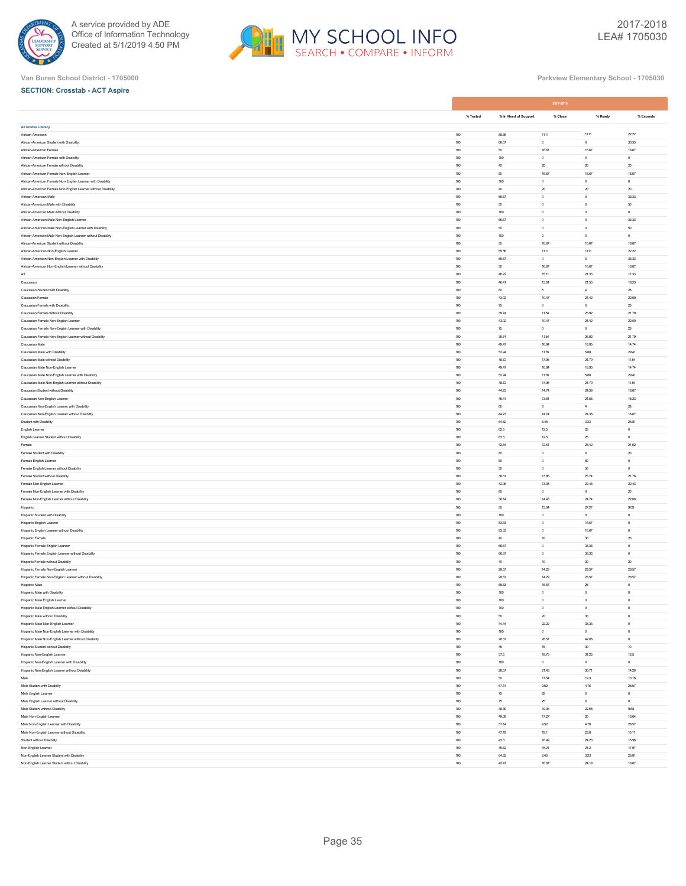



|                                                                                                                               |                |                      |                      | 2017-2018              |                        |  |
|-------------------------------------------------------------------------------------------------------------------------------|----------------|----------------------|----------------------|------------------------|------------------------|--|
|                                                                                                                               | % Tested       | % In Need of Support | % Close              | % Ready                | % Exceeds              |  |
| <b>All Grades Literacy</b>                                                                                                    |                |                      |                      |                        |                        |  |
| African-American                                                                                                              | 100            | 55.56                | 11.11                | 11.11                  | 22.22                  |  |
| African-American Student with Disability                                                                                      | 100            | 66.67                | $\circ$              | $\ddot{\phantom{0}}$   | 33.33                  |  |
| African-American Female                                                                                                       | $100\,$        | $_{50}$              | 16.67                | 16.67                  | 16.67                  |  |
| African-American Female with Disability                                                                                       | 100            | 100                  | $\,$ 0 $\,$          | $\,$ 0 $\,$            | $\mathbb O$            |  |
| African-American Female without Disability                                                                                    | 100            | $40$                 | $\rm{20}$            | $\rm{20}$              | $\rm{20}$              |  |
| African-American Female Non-English Learner                                                                                   | $100\,$<br>100 | $_{50}$<br>100       | 16.67<br>$\mathbf 0$ | 16.67<br>$\mathbb O$   | 16.67<br>$\mathbb O$   |  |
| African-American Female Non-English Learner with Disability<br>African-American Female Non-English Learner without Disability | 100            | $40$                 | $\rm{20}$            | $\rm{20}$              | $\rm{20}$              |  |
| African-American Male                                                                                                         | 100            | 66.67                | $\,$ 0 $\,$          | $\,$ 0                 | 33.33                  |  |
| African-American Male with Disability                                                                                         | 100            | 50                   | $\circ$              | $\circ$                | 50                     |  |
| African-American Male without Disability                                                                                      | $100\,$        | 100                  | $\,$ 0 $\,$          | $\,$ 0                 | $\,$ 0 $\,$            |  |
| African-American Male Non-English Learner                                                                                     | 100            | 66.67                | $\,0\,$              | $\,$ 0 $\,$            | 33.33                  |  |
| African-American Male Non-English Learner with Disability                                                                     | 100            | $_{50}$              | $\,$ 0 $\,$          | $\,$ 0 $\,$            | $_{\rm 50}$            |  |
| African-American Male Non-English Learner without Disability                                                                  | $100\,$        | 100                  | $\,$ 0 $\,$          | $\,$ 0 $\,$            | $\,$ 0 $\,$            |  |
| African-American Student without Disability<br>African-American Non-English Learner                                           | 100<br>100     | 50<br>55.56          | 16.67<br>11.11       | 16.67<br>11.11         | 16.67<br>22.22         |  |
| African-American Non-English Learner with Disability                                                                          | 100            | 66.67                | $\,$ 0 $\,$          | $\,$ 0 $\,$            | 33.33                  |  |
| African-American Non-English Learner without Disability                                                                       | 100            | 50                   | 16.67                | 16.67                  | 16.67                  |  |
| All                                                                                                                           | $100\,$        | 46.22                | 15.11                | 21.33                  | 17.33                  |  |
| Caucasian                                                                                                                     | 100            | 46.41                | 13.81                | 21.55                  | 18.23                  |  |
| Caucasian Student with Disability                                                                                             | 100            | $60$                 | $\bf 8$              | $\,$ 4 $\,$            | $\rm 28$               |  |
| Caucasian Female                                                                                                              | $100\,$        | 43.02                | 10.47                | 24.42                  | 22.09                  |  |
| Caucasian Female with Disability<br>Caucasian Female without Disability                                                       | 100<br>100     | 75<br>39.74          | $\circ$<br>11.54     | $\circ$<br>26.92       | 25<br>21.79            |  |
| Caucasian Female Non-English Learner                                                                                          | 100            | 43.02                | 10.47                | 24.42                  | 22.09                  |  |
| Caucasian Female Non-English Learner with Disability                                                                          | 100            | 75                   | $\mathbf 0$          | $\mathbb O$            | $\rm{25}$              |  |
| Caucasian Female Non-English Learner without Disability                                                                       | $100\,$        | 39.74                | 11.54                | 26.92                  | 21.79                  |  |
| Caucasian Male                                                                                                                | 100            | 49.47                | 16.84                | 18.95                  | 14.74                  |  |
| Caucasian Male with Disability                                                                                                | 100            | 52.94                | 11.76                | 5.88                   | 29.41                  |  |
| Caucasian Male without Disability                                                                                             | $100\,$<br>100 | 48.72<br>49.47       | 17.95<br>16.84       | 21.79<br>18.95         | 11.54<br>14.74         |  |
| Caucasian Male Non-English Learner<br>Caucasian Male Non-English Learner with Disability                                      | 100            | 52.94                | 11.76                | 5.88                   | 29.41                  |  |
| Caucasian Male Non-English Learner without Disability                                                                         | 100            | 48.72                | 17.95                | 21.79                  | 11.54                  |  |
| Caucasian Student without Disability                                                                                          | 100            | 44.23                | 14.74                | 24.36                  | 16.67                  |  |
| Caucasian Non-English Learner                                                                                                 | $100\,$        | 46.41                | 13.81                | 21.55                  | 18.23                  |  |
| Caucasian Non-English Learner with Disability                                                                                 | 100            | $_{60}$              | 8                    | $\sqrt{4}$             | $\rm 28$               |  |
| Caucasian Non-English Learner without Disability                                                                              | 100            | 44.23                | 14.74                | 24.36                  | 16.67                  |  |
| Student with Disability<br>English Learner                                                                                    | $100\,$<br>100 | 64.52<br>62.5        | 6.45<br>12.5         | 3.23<br>$\rm{25}$      | 25.81<br>$\mathbb O$   |  |
| English Learner Student without Disability                                                                                    | 100            | 62.5                 | 12.5                 | $\rm{25}$              | $\,$ 0 $\,$            |  |
| Female                                                                                                                        | 100            | 42.34                | 12.61                | 23.42                  | 21.62                  |  |
| Female Student with Disability                                                                                                | 100            | 80                   | $\circ$              | $\circ$                | 20                     |  |
| Female English Learner                                                                                                        | $100\,$        | $_{50}$              | $\,$ 0 $\,$          | $_{\rm 50}$            | $\mathbb O$            |  |
| Female English Learner without Disability                                                                                     | 100            | 60                   | $\mathbf 0$          | $_{\rm 50}$            | $\mathbb O$            |  |
| Female Student without Disability                                                                                             | 100            | 38.61                | 13.86                | 25.74                  | 21.78                  |  |
| Female Non-English Learner<br>Female Non-English Learner with Disability                                                      | $100\,$<br>100 | 42.06<br>80          | 13.08<br>$\circ$     | 22.43<br>$\mathbf{0}$  | 22.43<br>$\mathbf{z}$  |  |
| Female Non-English Learner without Disability                                                                                 | 100            | 38.14                | 14.43                | 24.74                  | 22.68                  |  |
| Hispanic                                                                                                                      | 100            | 60                   | 13.64                | 27.27                  | 9.09                   |  |
| Hispanic Student with Disability                                                                                              | 100            | 100                  | $\circ$              | $^{\circ}$             | $^{\circ}$             |  |
| Hispanic English Learner                                                                                                      | $100\,$        | 83.33                | $\,$ 0 $\,$          | 16.67                  | $\,$ 0                 |  |
| Hispanic English Learner without Disability                                                                                   | 100            | 83.33                | $\,$ 0 $\,$          | 16.67                  | $\,$ 0 $\,$            |  |
| Hispanic Female                                                                                                               | 100<br>$100\,$ | $40\,$<br>66.67      | 10<br>$\,$ 0 $\,$    | $_{\rm 30}$<br>33.33   | $\rm{20}$<br>$\,$ 0    |  |
| Hispanic Female English Learner<br>Hispanic Female English Learner without Disability                                         | 100            | 66.67                | $\circ$              | 33.33                  | $\circ$                |  |
| Hispanic Female without Disability                                                                                            | 100            | $40$                 | $10$                 | 30                     | $\rm{20}$              |  |
| Hispanic Female Non-English Learner                                                                                           | 100            | 28.57                | 14.29                | 28.57                  | 28.57                  |  |
| Hispanic Female Non-English Learner without Disability                                                                        | 100            | 28.57                | 14.29                | 28.57                  | 28.57                  |  |
| Hispanic Male                                                                                                                 | 100            | 58.33                | 16.67                | $\rm{25}$              | $\mathbb O$            |  |
| Hispanic Male with Disability<br>Hispanic Male English Learner                                                                | 100<br>100     | 100<br>100           | $\,0\,$<br>$\,0\,$   | $\mathbb O$<br>$\circ$ | $\mathbb O$<br>$\circ$ |  |
| Hispanic Male English Learner without Disability                                                                              | $100\,$        | 100                  | $\,$ 0 $\,$          | $\mathbb O$            | $\mathbb O$            |  |
| Hispanic Male without Disability                                                                                              | 100            | 50                   | 20                   | 30                     | $^{\circ}$             |  |
| Hispanic Male Non-English Learner                                                                                             | 100            | 44.44                | 22.22                | 33.33                  | $\,$ 0 $\,$            |  |
| Hispanic Male Non-English Learner with Disability                                                                             | 100            | 100                  | $\,$ 0 $\,$          | $\mathsf{O}$           | $\mathsf{O}$           |  |
| Hispanic Male Non-English Learner without Disability                                                                          | 100            | 28.57                | 28.57                | 42.86                  | $\mathsf{o}$           |  |
| Hispanic Student without Disability                                                                                           | $100\,$        | $45\,$               | $15\,$               | $_{\rm 30}$            | $10\,$                 |  |
| Hispanic Non-English Learner<br>Hispanic Non-English Learner with Disability                                                  | 100<br>100     | 37.5<br>100          | 18.75<br>$\,$ 0 $\,$ | 31.25<br>$\,$ 0 $\,$   | 12.5<br>$\mathsf{O}$   |  |
| Hispanic Non-English Learner without Disability                                                                               | $100\,$        | 28.57                | 21.43                | 35.71                  | 14.29                  |  |
| Male                                                                                                                          | 100            | 60                   | 17.54                | 19.3                   | 13.16                  |  |
| Male Student with Disability                                                                                                  | 100            | 57.14                | 9.52                 | 4.76                   | 28.57                  |  |
| Male English Learner                                                                                                          | 100            | 75                   | $\rm{2S}$            | $\mathbb O$            | $\mathbb O$            |  |
| Male English Learner without Disability                                                                                       | 100            | 75                   | 25                   | $^{\circ}$             | $\mathbb O$            |  |
| Male Student without Disability                                                                                               | $100\,$        | 48.39                | 19.35                | 22.58                  | 9.68                   |  |
| Male Non-English Learner<br>Male Non-English Learner with Disability                                                          | 100<br>100     | 49.09<br>57.14       | 17.27<br>9.52        | $\rm{20}$<br>4.76      | 13.64<br>28.57         |  |
| Male Non-English Learner without Disability                                                                                   | $100\,$        | 47.19                | 19.1                 | 23.6                   | 10.11                  |  |
| Student without Disability                                                                                                    | 100            | 43.3                 | 16.49                | 24.23                  | 15.98                  |  |
| Non-English Learner                                                                                                           | 100            | 45.62                | 15.21                | 21.2                   | 17.97                  |  |
| Non-English Learner Student with Disability                                                                                   | 100            | 64.52                | 6.45                 | 3.23                   | 25.81                  |  |
| Non-English Learner Student without Disability                                                                                | $100\,$        | 42.47                | 16.67                | 24.19                  | 16.67                  |  |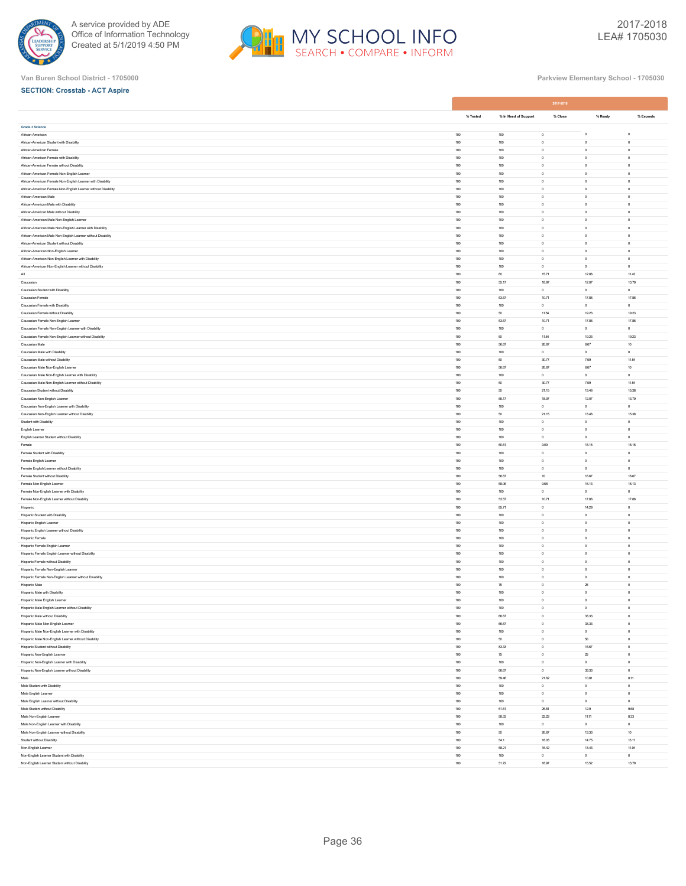



|                                                                                                   |                | 2017-2018            |                       |                         |                         |
|---------------------------------------------------------------------------------------------------|----------------|----------------------|-----------------------|-------------------------|-------------------------|
|                                                                                                   | $%$ Tested     | % In Need of Support | % Close               | % Ready                 | % Exceeds               |
| Grade 3 Science                                                                                   |                |                      |                       |                         |                         |
| African-American                                                                                  | 100            | 100                  | $\circ$               | $\circ$                 | $\circ$                 |
| African-American Student with Disability                                                          | 100            | 100                  | $\mathbf 0$           | $\circ$                 | $\circ$                 |
| African-American Female                                                                           | 100            | 100                  | $\bf 0$               | $\mathbb O$             | $\circ$                 |
| African-American Female with Disability                                                           | 100            | 100                  | $\circ$               | $^{\circ}$              | $\,$ 0                  |
| African-American Female without Disability                                                        | $100\,$        | $100\,$              | $\bf{0}$              | $\mathbf 0$             | $\circ$                 |
| African-American Female Non-English Learner                                                       | 100            | 100                  | $\mathbf 0$           | $\circ$                 | $\,$ 0                  |
| African-American Female Non-English Learner with Disability                                       | 100            | 100                  | $\circ$               | $\circ$                 | $\circ$                 |
| African-American Female Non-English Learner without Disability                                    | $100\,$        | $100\,$              | $\bf{0}$              | $\circ$                 | $\circ$                 |
| African-American Male                                                                             | 100            | 100                  | $\circ$               | $\circ$                 | $\circ$                 |
| African-American Male with Disability<br>African-American Male without Disability                 | 100<br>100     | 100<br>100           | $\,$ 0<br>$\mathbf 0$ | $\circ$<br>$\circ$      | $\,$ 0<br>$\,$ 0        |
| African-American Male Non-English Learner                                                         | 100            | 100                  | $\mathbf{0}$          | $\circ$                 | $\circ$                 |
| African-American Male Non-English Learner with Disability                                         | $100\,$        | $100\,$              | $\bf{0}$              | $\mathbb O$             | $\circ$                 |
| African-American Male Non-English Learner without Disability                                      | 100            | 100                  | $\mathbf 0$           | $\circ$                 | $\,$ 0                  |
| African-American Student without Disability                                                       | 100            | 100                  | $\circ$               | $\circ$                 | $\circ$                 |
| African-American Non-English Learner                                                              | $100\,$        | $100\,$              | $\bf{0}$              | $\mathsf{o}$            | $\mathbb O$             |
| African-American Non-English Learner with Disability                                              | 100            | 100                  | $\circ$               | $\circ$                 | $\,$ 0                  |
| African-American Non-English Learner without Disability                                           | 100            | 100                  | $\,$ 0 $\,$           | $\circ$                 | $\,$ 0 $\,$             |
| All                                                                                               | 100            | 60                   | 15.71                 | 12.86                   | 11.43                   |
| Caucasian                                                                                         | 100            | 55.17                | 18.97                 | 12.07                   | 13.79                   |
| Caucasian Student with Disability                                                                 | $100\,$        | $100\,$              | $\mathbf 0$           | $\mathbb O$             | $\circ$                 |
| Caucasian Female                                                                                  | 100            | 53.57                | 10.71                 | 17.86                   | 17.86                   |
| Caucasian Female with Disability<br>Caucasian Female without Disability                           | 100<br>$100\,$ | 100<br>$_{\rm 50}$   | $\mathbf 0$<br>11.54  | $\circ$<br>19.23        | $\circ$<br>19.23        |
| Caucasian Female Non-English Learner                                                              | 100            | 53.57                | 10.71                 | 17.86                   | 17.86                   |
| Caucasian Female Non-English Learner with Disability                                              | 100            | 100                  | $\mathbf 0$           | $\circ$                 | $\circ$                 |
| Caucasian Female Non-English Learner without Disability                                           | 100            | $_{50}$              | 11.54                 | 19.23                   | 19.23                   |
| Caucasian Male                                                                                    | 100            | 56.67                | 26.67                 | 6.67                    | 10 <sup>10</sup>        |
| Caucasian Male with Disability                                                                    | $100\,$        | $100\,$              | $\bf{0}$              | $\mathbb O$             | $\mathbb O$             |
| Caucasian Male without Disability                                                                 | 100            | $_{50}$              | 30.77                 | 7.69                    | 11.54                   |
| Caucasian Male Non-English Learner                                                                | 100            | 56.67                | 26.67                 | 6.67                    | $10$                    |
| Caucasian Male Non-English Learner with Disability                                                | $100\,$        | $100\,$              | $\bf{0}$              | $\mathbf 0$             | $\mathbf 0$             |
| Caucasian Male Non-English Learner without Disability                                             | 100            | $_{50}$              | 30.77                 | 7.69                    | 11.54                   |
| Caucasian Student without Disability                                                              | 100            | $_{50}$              | 21.15                 | 13.46                   | 15.38                   |
| Caucasian Non-English Learner                                                                     | 100<br>100     | 55.17<br>100         | 18.97<br>$\circ$      | 12.07<br>$^{\circ}$     | 13.79<br>$^{\circ}$     |
| Caucasian Non-English Learner with Disability<br>Caucasian Non-English Learner without Disability | $100\,$        | $_{\rm 50}$          | 21.15                 | 13.46                   | 15.38                   |
| Student with Disability                                                                           | 100            | 100                  | $\bf 0$               | $\circ$                 | $\circ$                 |
| English Learner                                                                                   | 100            | 100                  | $\mathbf 0$           | $\circ$                 | $\circ$                 |
| English Learner Student without Disability                                                        | $100\,$        | $100\,$              | $\bf{0}$              | $\circ$                 | $\circ$                 |
| Female                                                                                            | 100            | 60.61                | 9.09                  | 15.15                   | 15.15                   |
| Female Student with Disability                                                                    | 100            | 100                  | $\mathbf 0$           | $\circ$                 | $\,$ 0                  |
| Female English Learner                                                                            | 100            | 100                  | $\,$ 0                | $\circ$                 | $\,0\,$                 |
| Female English Learner without Disability                                                         | 100            | 100                  | $\circ$               | $\circ$                 | $\circ$                 |
| Female Student without Disability                                                                 | $100\,$        | 56.67                | $10$                  | 16.67                   | 16.67                   |
| Female Non-English Learner                                                                        | 100            | 58.06                | 9.68                  | 16.13                   | 16.13                   |
| Female Non-English Learner with Disability                                                        | 100            | 100                  | $\mathbf 0$           | $\circ$                 | $\,$ 0 $\,$             |
| Female Non-English Learner without Disability<br>Hispanic                                         | $100\,$<br>100 | 53.57<br>85.71       | 10.71<br>$\circ$      | 17.86<br>14.29          | 17.86<br>$\circ$        |
| Hispanic Student with Disability                                                                  | 100            | 100                  | $\circ$               | $\circ$                 | $\,$ 0 $\,$             |
| Hispanic English Learner                                                                          | 100            | 100                  | $\bf 0$               | $\mathbb O$             | $\circ$                 |
| Hispanic English Learner without Disability                                                       | 100            | 100                  | $\mathbf 0$           | $\circ$                 | $\,$ 0                  |
| Hispanic Female                                                                                   | $100\,$        | $100\,$              | $\bf{0}$              | $\mathbb O$             | $\circ$                 |
| Hispanic Female English Learner                                                                   | 100            | 100                  | $\mathbf 0$           | $\mathbb O$             | $\,$ 0                  |
| Hispanic Female English Learner without Disability                                                | 100            | 100                  | $\mathbf 0$           | $\circ$                 | $\circ$                 |
| Hispanic Female without Disability                                                                | $100\,$        | 100                  | $\bf{0}$              | $\circ$                 | $\circ$                 |
| Hispanic Female Non-English Learner                                                               | 100            | 100                  | $\circ$               | $\circ$                 | $\circ$                 |
| Hispanic Female Non-English Learner without Disability                                            | 100            | 100                  | $\mathbf 0$           | $\circ$                 | $\circ$                 |
| Hispanic Male                                                                                     | 100            | $75\,$               | $\bf 0$               | $\rm 25$                | $\circ$                 |
| Hispanic Male with Disability<br>Hispanic Male English Learner                                    | 100<br>100     | 100<br>100           | $\circ$<br>$\bf{0}$   | $\circ$<br>$\mathsf{o}$ | $\circ$<br>$\mathsf{o}$ |
| Hispanic Male English Learner without Disability                                                  | 100            | 100                  | $\mathbf 0$           | $\,0\,$                 | $\,$ 0                  |
| Hispanic Male without Disability                                                                  | 100            | 66.67                | $\circ$               | 33.33                   | $\circ$                 |
| Hispanic Male Non-English Learner                                                                 | $100\,$        | 66.67                | $\mathbf 0$           | 33.33                   | $\circ$                 |
| Hispanic Male Non-English Learner with Disability                                                 | 100            | 100                  | $\circ$               | $\circ$                 | $\circ$                 |
| Hispanic Male Non-English Learner without Disability                                              | 100            | $_{50}$              | $\mathbf 0$           | $_{50}$                 | $\,$ 0 $\,$             |
| Hispanic Student without Disability                                                               | 100            | 83.33                | $\mathbf 0$           | 16.67                   | $\,$ 0                  |
| Hispanic Non-English Learner                                                                      | 100            | 75                   | $\circ$               | 25                      | $\circ$                 |
| Hispanic Non-English Learner with Disability                                                      | $100\,$        | 100                  | $\mathbf 0$           | $\mathbb O$             | $\circ$                 |
| Hispanic Non-English Learner without Disability                                                   | 100            | 66.67                | $\mathbf 0$           | 33.33                   | $\,$ 0                  |
| Male                                                                                              | 100            | 59.46                | 21.62                 | 10.81                   | 8.11                    |
| Male Student with Disability                                                                      | $100\,$        | $100\,$              | $\mathbf 0$           | $\,$ 0                  | $\circ$                 |
| Male English Learner                                                                              | 100            | 100                  | $\circ$               | $\circ$                 | $\circ$                 |
| Male English Learner without Disability<br>Male Student without Disability                        | 100<br>100     | 100<br>51.61         | $\,$ 0 $\,$<br>25.81  | $\,$ 0<br>12.9          | $\,$ 0 $\,$<br>9.68     |
| Male Non-English Learner                                                                          | 100            | 58.33                | 22.22                 | 11.11                   | 8.33                    |
| Male Non-English Learner with Disability                                                          | $100\,$        | $100\,$              | $\mathbf 0$           | $\mathbf 0$             | $\mathbb O$             |
| Male Non-English Learner without Disability                                                       | 100            | $_{50}$              | 26.67                 | 13.33                   | $10\,$                  |
| Student without Disability                                                                        | 100            | 54.1                 | 18.03                 | 14.75                   | 13.11                   |
| Non-English Learner                                                                               | $100\,$        | 58.21                | 16.42                 | 13.43                   | 11.94                   |
| Non-English Learner Student with Disability                                                       | 100            | 100                  | $\circ$               | $^{\circ}$              | $\circ$                 |
| Non-English Learner Student without Disability                                                    | 100            | 51.72                | 18.97                 | 15.52                   | 13.79                   |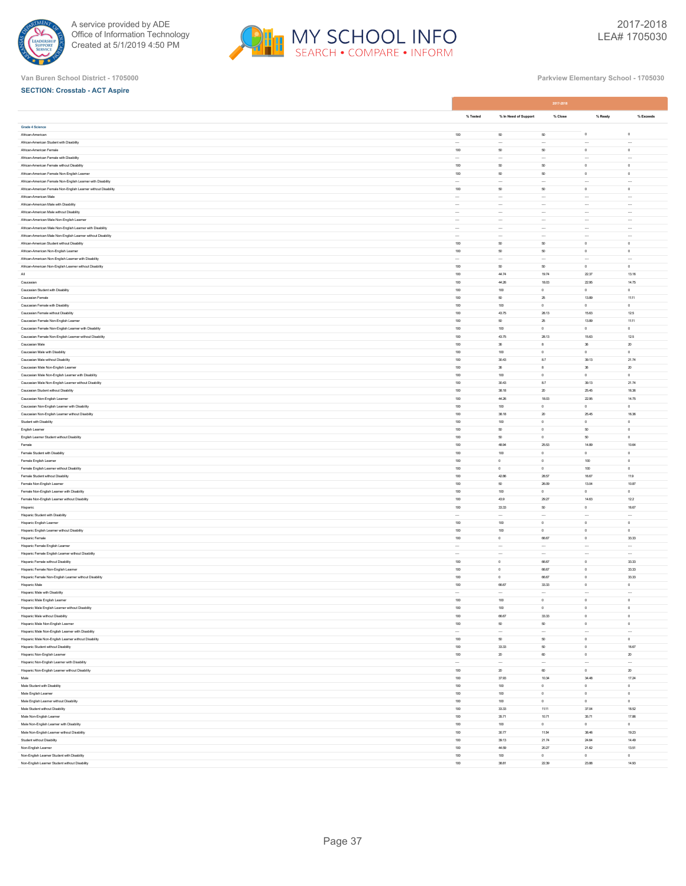



|                                                                                         |                 | 2017-2018                |                          |                         |                         |
|-----------------------------------------------------------------------------------------|-----------------|--------------------------|--------------------------|-------------------------|-------------------------|
|                                                                                         | % Tested        | % In Need of Support     | % Close                  | % Ready                 | % Exceeds               |
| Grade 4 Science                                                                         |                 |                          |                          |                         |                         |
| African-American                                                                        | 100             | $_{50}$                  | $_{50}$                  | $\,$ 0                  | $\,$ 0                  |
| African-American Student with Disability                                                | $\cdots$        | $\cdots$                 | $\cdots$                 | $\cdots$                |                         |
| African-American Female                                                                 | 100             | 60                       | 60                       | $\circ$                 | $\circ$                 |
| African-American Female with Disability                                                 | $\cdots$        | $\cdots$                 | $\cdots$                 | $\cdots$                | $\cdots$                |
| African-American Female without Disability                                              | 100             | $_{50}$                  | $_{50}$                  | $\,0\,$                 | $\,0\,$                 |
| African-American Female Non-English Learner                                             | 100             | $_{50}$                  | 60                       | $\circ$                 | $\circ$                 |
| African-American Female Non-English Learner with Disability                             |                 |                          |                          |                         |                         |
| African-American Female Non-English Learner without Disability<br>African-American Male | 100<br>$\cdots$ | $_{50}$<br>$\cdots$      | $_{50}$<br>$\cdots$      | $\,0\,$<br>$\ldots$     | $\,0\,$<br>$\ldots$     |
| African-American Male with Disability                                                   |                 | $\cdots$                 | $\cdots$                 |                         | $\cdots$                |
| African-American Male without Disability                                                | $\ldots$        | $\cdots$                 | $\cdots$                 | $\cdots$                | $\cdots$                |
| African-American Male Non-English Learner                                               | $\ldots$        | $\cdots$                 | $\cdots$                 | $\ldots$                | $\cdots$                |
| African-American Male Non-English Learner with Disability                               |                 |                          |                          |                         | $\ddot{\phantom{a}}$    |
| African-American Male Non-English Learner without Disability                            | $\cdots$        | $\cdots$                 | $\cdots$                 | $\cdots$                | $\cdots$                |
| African-American Student without Disability                                             | $100\,$         | $_{50}$                  | $_{50}$                  | $\,$ 0                  | $\,$ 0 $\,$             |
| African-American Non-English Learner                                                    | 100             | $_{50}$                  | $_{50}$                  | $\,0\,$                 | $\,$ 0                  |
| African-American Non-English Learner with Disability                                    | $\cdots$        | $\cdots$                 | $\cdots$                 | $\cdots$<br>$\,$ 0 $\,$ | $\cdots$<br>$\,$ 0 $\,$ |
| African-American Non-English Learner without Disability<br>All                          | $100\,$<br>100  | $_{50}$<br>44.74         | $_{50}$<br>19.74         | 22.37                   | 13.16                   |
| Caucasian                                                                               | 100             | 44.26                    | 18.03                    | 22.95                   | 14.75                   |
| Caucasian Student with Disability                                                       | 100             | 100                      | $\,$ 0                   | $\,0\,$                 | $\,0\,$                 |
| Caucasian Female                                                                        | 100             | 60                       | 25                       | 13.89                   | 11.11                   |
| Caucasian Female with Disability                                                        | $100\,$         | $100\,$                  | $\bf{0}$                 | $\circ$                 | $\,$ 0                  |
| Caucasian Female without Disability                                                     | 100             | 43.75                    | 28.13                    | 15.63                   | 12.5                    |
| Caucasian Female Non-English Learner                                                    | 100             | $_{50}$                  | $\rm{2S}$                | 13.89                   | 11.11                   |
| Caucasian Female Non-English Learner with Disability                                    | $100\,$         | $100\,$                  | $\,$ 0 $\,$              | $\circ$                 | $\circ$                 |
| Caucasian Female Non-English Learner without Disability                                 | 100             | 43.75                    | 28.13                    | 15.63                   | 12.5                    |
| Caucasian Male<br>Caucasian Male with Disability                                        | 100<br>100      | $36\,$<br>100            | $\bf8$<br>$\,$ 0         | 36<br>$\,$ 0            | $20\,$<br>$\circ$       |
| Caucasian Male without Disability                                                       | 100             | 30.43                    | 8.7                      | 39.13                   | 21.74                   |
| Caucasian Male Non-English Learner                                                      | $100\,$         | $_{36}$                  | $\bf8$                   | $36\,$                  | $20\,$                  |
| Caucasian Male Non-English Learner with Disability                                      | 100             | 100                      | $\,$ 0                   | $\circ$                 | $\circ$                 |
| Caucasian Male Non-English Learner without Disability                                   | 100             | 30.43                    | 87                       | 39.13                   | 21.74                   |
| Caucasian Student without Disability                                                    | $100\,$         | 38.18                    | $\rm{20}$                | 25.45                   | 16.36                   |
| Caucasian Non-English Learner                                                           | 100             | 44.26                    | 18.03                    | 22.95                   | 14.75                   |
| Caucasian Non-English Learner with Disability                                           | 100             | 100                      | $\,$ 0                   | $\circ$                 | $\circ$                 |
| Caucasian Non-English Learner without Disability                                        | 100<br>100      | 38.18                    | $20\,$<br>$\overline{0}$ | 25.45<br>$\circ$        | 16.36<br>$\circ$        |
| Student with Disability<br>English Learner                                              | $100\,$         | 100<br>$_{50}$           | $\,0\,$                  | $_{50}$                 | $\,$ 0 $\,$             |
| English Learner Student without Disability                                              | 100             | $_{50}$                  | $\,$ 0                   | $_{50}$                 | $\,0\,$                 |
| Female                                                                                  | 100             | 48.94                    | 25.53                    | 14.89                   | 10.64                   |
| Female Student with Disability                                                          | $100\,$         | $100\,$                  | $\,0\,$                  | $\mathbf 0$             | $\,$ 0                  |
| Female English Learner                                                                  | 100             | $\,$ 0                   | $\circ$                  | 100                     | $\circ$                 |
| Female English Learner without Disability                                               | 100             | $\mathfrak o$            | $\,$ 0 $\,$              | 100                     | $\,$ 0                  |
| Female Student without Disability                                                       | 100             | 42.86                    | 28.57                    | 16.67                   | 11.9                    |
| Female Non-English Learner                                                              | 100             | 60                       | 26.09                    | 13.04                   | 10.87                   |
| Female Non-English Learner with Disability                                              | $100\,$         | $100\,$                  | $\,0\,$                  | $\,$ 0                  | $\,$ 0                  |
| Female Non-English Learner without Disability<br>Hispanic                               | 100<br>100      | 43.9<br>33.33            | 29.27<br>$_{50}$         | 14.63<br>$\,$ 0         | $12.2\,$<br>16.67       |
| Hispanic Student with Disability                                                        |                 |                          |                          |                         |                         |
| Hispanic English Learner                                                                | 100             | 100                      | $\circ$                  | $\circ$                 | $\circ$                 |
| Hispanic English Learner without Disability                                             | 100             | 100                      | $\,$ 0 $\,$              | $\,$ 0                  | $\circ$                 |
| Hispanic Female                                                                         | 100             | $\,$ 0                   | 66.67                    | $\,0\,$                 | 33.33                   |
| Hispanic Female English Learner                                                         | $\cdots$        | $\cdots$                 | $\cdots$                 | $\cdots$                | $\cdots$                |
| Hispanic Female English Learner without Disability                                      |                 |                          |                          |                         |                         |
| Hispanic Female without Disability<br>Hispanic Female Non-English Learner               | 100<br>100      | $\circ$<br>$\mathfrak o$ | 66.67<br>66.67           | $\,$ 0<br>$\,$ 0 $\,$   | 33.33<br>33.33          |
| Hispanic Female Non-English Learner without Disability                                  | $100\,$         | $\mathbf 0$              | 66.67                    | $\,$ 0 $\,$             | 33.33                   |
| Hispanic Male                                                                           | 100             | 66.67                    | 33.33                    | $\circ$                 | $\circ$                 |
| Hispanic Male with Disability                                                           | $\cdots$        | $\cdots$                 | $\cdots$                 | $\ldots$                | $\ldots$                |
| Hispanic Male English Learner                                                           | 100             | 100                      | $\circ$                  | $\Omega$                | $\Omega$                |
| Hispanic Male English Learner without Disability                                        | 100             | 100                      | $\circ$                  | $\circ$                 | $\circ$                 |
| Hispanic Male without Disability                                                        | 100             | 66.67                    | 33.33                    | $\,$ 0                  | $\,$ 0                  |
| Hispanic Male Non-English Learner                                                       | 100             | $_{50}$                  | $_{50}$                  | $\circ$                 | $\,$ 0                  |
| Hispanic Male Non-English Learner with Disability                                       | $\cdots$        | $\cdots$                 | $\cdots$                 | $\cdots$                | $\cdots$                |
| Hispanic Male Non-English Learner without Disability                                    | $100\,$<br>100  | $_{50}$<br>33.33         | $_{50}$<br>60            | $\,$ 0<br>$\circ$       | $\,$ 0<br>16.67         |
| Hispanic Student without Disability<br>Hispanic Non-English Learner                     | 100             | $\mathbf{z}$             | $60\,$                   | $\,$ 0                  | $20\,$                  |
| Hispanic Non-English Learner with Disability                                            | $\cdots$        | $\cdots$                 | $\overline{\phantom{a}}$ | $\ldots$                | $\ldots$                |
| Hispanic Non-English Learner without Disability                                         | 100             | 20                       | 60                       | $\circ$                 | 20                      |
| Male                                                                                    | $100\,$         | 37.93                    | 10.34                    | 34.48                   | 17.24                   |
| Male Student with Disability                                                            | 100             | 100                      | $\,$ 0                   | $\,$ 0                  | $\circ$                 |
| Male English Learner                                                                    | 100             | 100                      | $\,$ 0 $\,$              | $\,$ 0                  | $\,$ 0                  |
| Male English Learner without Disability                                                 | $100\,$         | 100                      | $\,$ 0 $\,$              | $\circ$                 | $\,$ 0 $\,$             |
| Male Student without Disability                                                         | 100             | 33.33                    | 11.11                    | 37.04                   | 18.52                   |
| Male Non-English Learner                                                                | 100             | 35.71                    | 10.71                    | 35.71                   | 17.86                   |
| Male Non-English Learner with Disability                                                | 100<br>100      | 100<br>30.77             | $\,0\,$<br>11.54         | $\,$ 0<br>38.46         | $\circ$<br>19.23        |
| Male Non-English Learner without Disability<br>Student without Disability               | $100\,$         | 39.13                    | 21.74                    | 24.64                   | 14.49                   |
| Non-English Learner                                                                     | 100             | 44.59                    | 20.27                    | 21.62                   | 13.51                   |
| Non-English Learner Student with Disability                                             | 100             | 100                      | $\,$ 0 $\,$              | $\circ$                 | $\,$ 0                  |
| Non-English Learner Student without Disability                                          | $100\,$         | 38.81                    | 22.39                    | 23.88                   | 14.93                   |
|                                                                                         |                 |                          |                          |                         |                         |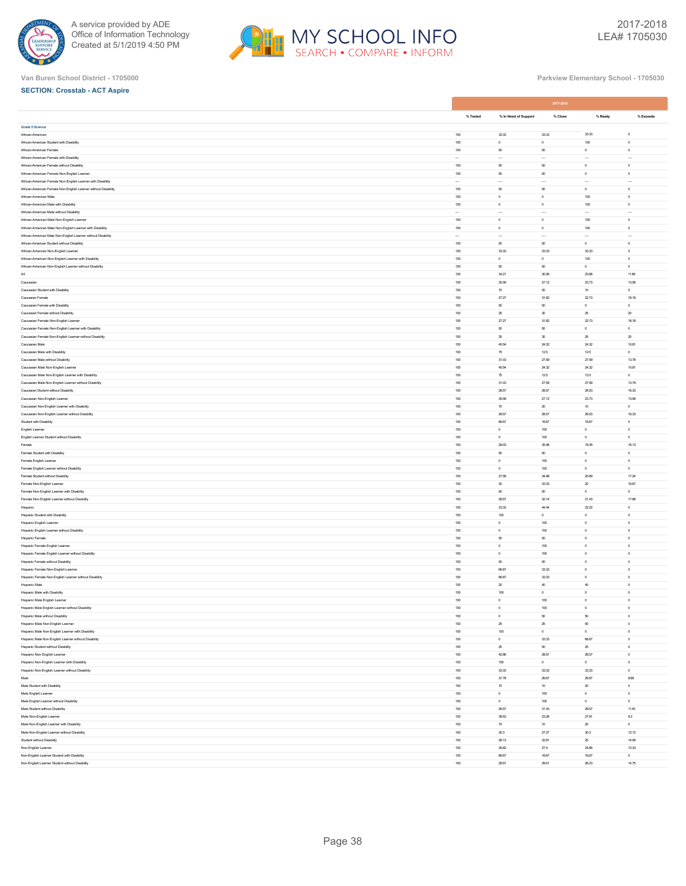



|                                                                                               |                     | 2017-2018                       |                                     |                                  |                            |  |
|-----------------------------------------------------------------------------------------------|---------------------|---------------------------------|-------------------------------------|----------------------------------|----------------------------|--|
|                                                                                               | % Tested            | % In Need of Support            | % Close                             | % Ready                          | % Exceeds                  |  |
| <b>Grade 5 Science</b>                                                                        |                     |                                 |                                     |                                  |                            |  |
| African-American                                                                              | $100\,$             | 33.33                           | 33.33                               | 33.33                            | $\circ$                    |  |
| African-American Student with Disability                                                      | 100                 | $\,$ 0                          | $\circ$                             | 100                              | $\circ$                    |  |
| African-American Female                                                                       | 100                 | $_{50}$                         | $_{50}$                             | $\,$ 0                           | $\circ$                    |  |
| African-American Female with Disability<br>African-American Female without Disability         | <br>100             | $\ddot{\phantom{0}}$<br>$_{50}$ | <br>50                              | <br>$\circ$                      | <br>$\circ$                |  |
| African-American Female Non-English Learner                                                   | 100                 | $_{50}$                         | $_{50}$                             | $\,$ 0                           | $\,$ 0 $\,$                |  |
| African-American Female Non-English Learner with Disability                                   | $\cdots$            | $\cdots$                        | $\cdots$                            |                                  |                            |  |
| African-American Female Non-English Learner without Disability                                | 100                 | 60                              | 50                                  | $\circ$                          | $\circ$                    |  |
| African-American Male                                                                         | $100\,$             | $\bf 0$                         | $\circ$                             | 100                              | $\mathbb O$                |  |
| African-American Male with Disability<br>African-American Male without Disability             | 100                 | $\,$ 0                          | $\,0\,$                             | 100                              | $\,$ 0                     |  |
| African-American Male Non-English Learner                                                     | $\cdots$<br>$100\,$ | $\cdots$<br>$\bf 0$             | $\ddot{\phantom{0}}$<br>$\mathbf 0$ | <br>100                          | <br>$\circ$                |  |
| African-American Male Non-English Learner with Disability                                     | 100                 | $\,0\,$                         | $\,0\,$                             | 100                              | $\,$ 0                     |  |
| African-American Male Non-English Learner without Disability                                  | $\cdots$            | $\cdots$                        | $\cdots$                            | $\cdots$                         |                            |  |
| African-American Student without Disability                                                   | 100                 | $_{50}$                         | 50                                  | $\circ$                          | $\circ$                    |  |
| African-American Non-English Learner                                                          | 100                 | 33.33                           | 33.33                               | 33.33                            | $\,$ 0                     |  |
| African-American Non-English Learner with Disability                                          | $100\,$             | $\,$ 0 $\,$                     | $\,$ 0 $\,$                         | 100<br>$\circ$                   | $\circ$<br>$\,$ 0          |  |
| African-American Non-English Learner without Disability<br>All                                | 100<br>100          | $_{50}$<br>34.21                | $_{50}$<br>30.26                    | 23.68                            | 11.84                      |  |
| Caucasian                                                                                     | $100\,$             | 35.59                           | 27.12                               | 23.73                            | 13.56                      |  |
| Caucasian Student with Disability                                                             | 100                 | $70\,$                          | 20                                  | 10 <sup>°</sup>                  | $\circ$                    |  |
| Caucasian Female                                                                              | 100                 | 27.27                           | 31.82                               | 22.73                            | 18.18                      |  |
| Caucasian Female with Disability                                                              | 100                 | $_{50}$                         | $_{50}$                             | $\,0\,$                          | $\,0\,$                    |  |
| Caucasian Female without Disability<br>Caucasian Female Non-English Learner                   | 100<br>$100\,$      | 25<br>27.27                     | 30<br>31.82                         | $\overline{\mathbf{z}}$<br>22.73 | 20<br>18.18                |  |
| Caucasian Female Non-English Learner with Disability                                          | 100                 | $_{50}$                         | $_{50}$                             | $\circ$                          | $\circ$                    |  |
| Caucasian Female Non-English Learner without Disability                                       | 100                 | $\rm{z}\rm{s}$                  | $_{30}$                             | $_{25}$                          | $\rm{20}$                  |  |
| Caucasian Male                                                                                | $100\,$             | 40.54                           | 24.32                               | 24.32                            | 10.81                      |  |
| Caucasian Male with Disability                                                                | 100                 | 75                              | 12.5                                | 12.5                             | $\circ$                    |  |
| Caucasian Male without Disability                                                             | 100                 | 31.03                           | 27.59                               | 27.59                            | 13.79                      |  |
| Caucasian Male Non-English Learner<br>Caucasian Male Non-English Learner with Disability      | 100<br>100          | 40.54<br>75                     | 24.32<br>125                        | 24.32<br>12.5                    | 10.81<br>$\circ$           |  |
| Caucasian Male Non-English Learner without Disability                                         | $100\,$             | 31.03                           | 27.59                               | 27.59                            | 13.79                      |  |
| Caucasian Student without Disability                                                          | 100                 | 28.57                           | 28.57                               | 26.53                            | 16.33                      |  |
| Caucasian Non-English Learner                                                                 | 100                 | 35.59                           | 27.12                               | 23.73                            | 13.56                      |  |
| Caucasian Non-English Learner with Disability                                                 | $100\,$             | $\pi$                           | $20\,$                              | $10\,$                           | $\mathbf 0$                |  |
| Caucasian Non-English Learner without Disability<br>Student with Disability                   | 100<br>100          | 28.57<br>66.67                  | 28.57<br>16.67                      | 26.53<br>16.67                   | 16.33<br>$\circ$           |  |
| English Learner                                                                               | 100                 | $\,$ 0 $\,$                     | $100\,$                             | $\,$ 0                           | $\,$ 0                     |  |
| English Learner Student without Disability                                                    | 100                 | $\circ$                         | 100                                 | $\circ$                          | $\circ$                    |  |
| Female                                                                                        | $100\,$             | 29.03                           | 35.48                               | 19.35                            | 16.13                      |  |
| Female Student with Disability                                                                | 100                 | $_{50}$                         | $_{50}$                             | $\,0\,$                          | $\,$ 0                     |  |
| Female English Learner                                                                        | 100                 | $\circ$                         | 100                                 | $\circ$<br>$\mathsf{o}$          | $\,$ 0 $\,$<br>$\mathbf 0$ |  |
| Female English Learner without Disability<br>Female Student without Disability                | $100\,$<br>100      | $\bf{0}$<br>27.59               | $100\,$<br>34.48                    | 20.69                            | 17.24                      |  |
| Female Non-English Learner                                                                    | 100                 | $_{\rm 30}$                     | 33.33                               | $20\,$                           | 16.67                      |  |
| Female Non-English Learner with Disability                                                    | 100                 | $_{50}$                         | 50                                  | $\circ$                          | $\circ$                    |  |
| Female Non-English Learner without Disability                                                 | 100                 | 28.57                           | 32.14                               | 21.43                            | 17.86                      |  |
| Hispanic                                                                                      | $100\,$             | 33.33                           | 44.44                               | 22.22                            | $\circ$                    |  |
| Hispanic Student with Disability<br>Hispanic English Learner                                  | 100<br>100          | 100<br>$\circ$                  | $\circ$<br>100                      | $\circ$<br>$\mathbb O$           | $\circ$<br>$\circ$         |  |
| Hispanic English Learner without Disability                                                   | $100\,$             | $\bf{0}$                        | $100\,$                             | $\mathbb O$                      | $\circ$                    |  |
| Hispanic Female                                                                               | 100                 | 60                              | 50                                  | $\circ$                          | $\circ$                    |  |
| Hispanic Female English Learner                                                               | 100                 | $\,$ 0                          | 100                                 | $\circ$                          | $\,$ 0                     |  |
| Hispanic Female English Learner without Disability                                            | 100                 | $\,$ 0                          | $100\,$                             | $\circ$                          | $\,$ 0                     |  |
| Hispanic Female without Disability                                                            | 100                 | 60                              | 50                                  | $\circ$<br>$\mathsf{o}$          | $\circ$<br>$\mathbb O$     |  |
| Hispanic Female Non-English Learner<br>Hispanic Female Non-English Learner without Disability | $100\,$<br>100      | 66.67<br>66.67                  | 33.33<br>33.33                      | $\circ$                          | $\,$ 0                     |  |
| Hispanic Male                                                                                 | 100                 | $\rm{20}$                       | $40\,$                              | $40\,$                           | $\circ$                    |  |
| Hispanic Male with Disability                                                                 | $100\,$             | 100                             | $\circ$                             | $\mathsf{o}$                     | $\mathsf{o}$               |  |
| Hispanic Male English Learner                                                                 | 100                 | $^{\circ}$                      | 100                                 | $^{\circ}$                       | $\circ$                    |  |
| Hispanic Male English Learner without Disability                                              | 100                 | $\,$ 0 $\,$                     | 100                                 | $\,$ 0                           | $\circ$                    |  |
| Hispanic Male without Disability<br>Hispanic Male Non-English Learner                         | 100<br>100          | $\,$ 0<br>$\rm{z}$              | $_{50}$<br>$\rm{z}$                 | 50<br>60                         | $\circ$<br>$\circ$         |  |
| Hispanic Male Non-English Learner with Disability                                             | 100                 | 100                             | $\mathbf 0$                         | $\,$ 0                           | $\circ$                    |  |
| Hispanic Male Non-English Learner without Disability                                          | 100                 | $\,$ 0 $\,$                     | 33.33                               | 66.67                            | $\,$ 0                     |  |
| Hispanic Student without Disability                                                           | 100                 | $\rm{25}$                       | $_{50}$                             | $\rm 25$                         | $\circ$                    |  |
| Hispanic Non-English Learner                                                                  | $100\,$             | 42.86                           | 28.57                               | 28.57                            | $\circ$                    |  |
| Hispanic Non-English Learner with Disability                                                  | 100                 | 100                             | $\circ$                             | $\circ$                          | $\circ$                    |  |
| Hispanic Non-English Learner without Disability<br>Male                                       | 100<br>100          | 33.33<br>37.78                  | 33.33<br>26.67                      | 33.33<br>26.67                   | $\,$ 0 $\,$<br>8.89        |  |
| Male Student with Disability                                                                  | 100                 | $\boldsymbol{\pi}$              | 10                                  | 20                               | $\circ$                    |  |
| Male English Learner                                                                          | $100\,$             | $\,$ 0 $\,$                     | $100\,$                             | $\mathbb O$                      | $\mathbb O$                |  |
| Male English Learner without Disability                                                       | 100                 | $\,$ 0 $\,$                     | 100                                 | $\,$ 0                           | $\,0\,$                    |  |
| Male Student without Disability                                                               | 100                 | 28.57                           | 31.43                               | 28.57                            | 11.43                      |  |
| Male Non-English Learner<br>Male Non-English Learner with Disability                          | $100\,$<br>100      | 39.53<br>$\boldsymbol{\pi}$     | 23.26<br>$10$                       | 27.91<br>20                      | $9.3\,$<br>$\circ$         |  |
| Male Non-English Learner without Disability                                                   | 100                 | 30.3                            | 27.27                               | 30.3                             | 12.12                      |  |
| Student without Disability                                                                    | 100                 | 28.13                           | 32.81                               | $\rm 25$                         | 14.06                      |  |
| Non-English Learner                                                                           | 100                 | 35.62                           | 27.4                                | 24.66                            | 12.33                      |  |
| Non-English Learner Student with Disability                                                   | $100\,$             | 66.67                           | 16.67                               | 16.67                            | $\mathbb O$                |  |
| Non-English Learner Student without Disability                                                | $100\,$             | 29.51                           | 29.51                               | 26.23                            | 14.75                      |  |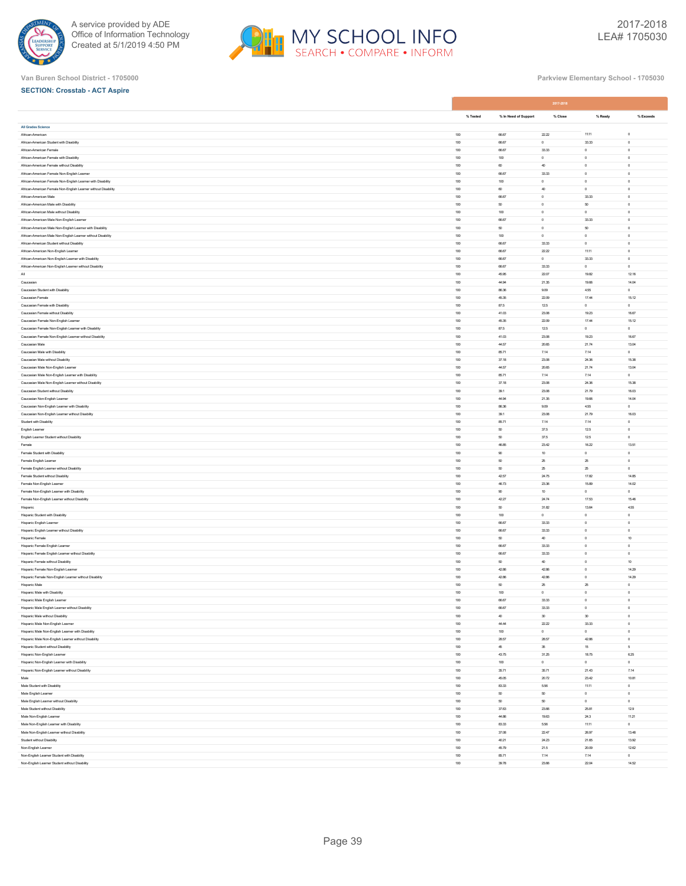



|                                                                                               |                |                      |                       | 2017-2018                  |                            |
|-----------------------------------------------------------------------------------------------|----------------|----------------------|-----------------------|----------------------------|----------------------------|
|                                                                                               | $%$ Tested     | % In Need of Support | $\%$ Close            | % Ready                    | % Exceeds                  |
| <b>All Grades Science</b>                                                                     |                |                      |                       |                            |                            |
| African-American                                                                              | 100            | 66.67                | 22.22                 | 11.11                      | $\circ$                    |
| African-American Student with Disability                                                      | 100            | 66.67                | $\mathbf{0}$          | 33.33                      | $\circ$                    |
| African-American Female                                                                       | $100\,$        | 66.67                | 33.33                 | $\mathbb O$                | $\mathbb O$                |
| African-American Female with Disability<br>African-American Female without Disability         | 100<br>100     | 100<br>$_{60}$       | $\,$ 0 $\,$<br>$40\,$ | $\mathbb O$<br>$\mathbf 0$ | $\mathbb O$<br>$\mathbf 0$ |
| African-American Female Non-English Learner                                                   | $100\,$        | 66.67                | 33.33                 | $\circ$                    | $\mathbb O$                |
| African-American Female Non-English Learner with Disability                                   | 100            | 100                  | $\,0\,$               | $\circ$                    | $\circ$                    |
| African-American Female Non-English Learner without Disability                                | 100            | $_{60}$              | $40\,$                | $\,$ 0 $\,$                | $\mathbb O$                |
| African-American Male                                                                         | 100            | 66.67                | $\bf{0}$              | 33.33                      | $\mathbf 0$                |
| African-American Male with Disability                                                         | 100            | 60                   | $\,$ 0                | 60                         | $^{\circ}$                 |
| African-American Male without Disability<br>African-American Male Non-English Learner         | $100\,$<br>100 | $100\,$<br>66.67     | $\bf{0}$<br>$\,0\,$   | $\mathbf 0$<br>33.33       | $\mathbf 0$<br>$\mathbb O$ |
| African-American Male Non-English Learner with Disability                                     | 100            | $_{50}$              | $\,$ 0 $\,$           | $_{50}$                    | $\mathbb O$                |
| African-American Male Non-English Learner without Disability                                  | $100\,$        | $100\,$              | $\mathbf 0$           | $\mathbb O$                | $\mathbb O$                |
| African-American Student without Disability                                                   | 100            | 66.67                | 33.33                 | $\circ$                    | $\circ$                    |
| African-American Non-English Learner                                                          | 100            | 66.67                | 22.22                 | 11.11                      | $\mathbb O$                |
| African-American Non-English Learner with Disability                                          | 100            | 66.67                | $\,$ 0 $\,$           | 33.33                      | $\mathbb O$                |
| African-American Non-English Learner without Disability<br>All                                | 100<br>$100\,$ | 66.67<br>45.95       | 33.33<br>22.07        | $\circ$<br>19.82           | $\mathsf{o}$<br>12.16      |
| Caucasian                                                                                     | 100            | 44.94                | 21.35                 | 19.66                      | 14.04                      |
| Caucasian Student with Disability                                                             | 100            | 86.36                | 9.09                  | 4.55                       | $\mathbb O$                |
| Caucasian Female                                                                              | $100\,$        | 45.35                | 22.09                 | 17.44                      | 15.12                      |
| Caucasian Female with Disability                                                              | 100            | 87.5                 | 125                   | $\circ$                    | $\circ$                    |
| Caucasian Female without Disability                                                           | 100            | 41.03                | 23.08                 | 19.23                      | 16.67                      |
| Caucasian Female Non-English Learner                                                          | 100            | 45.35                | 22.09                 | 17.44                      | 15.12                      |
| Caucasian Female Non-English Learner with Disability                                          | 100            | 87.5                 | 125                   | $\circ$                    | $\circ$                    |
| Caucasian Female Non-English Learner without Disability<br>Caucasian Male                     | $100\,$<br>100 | 41.03<br>44.57       | 23.08<br>20.65        | 19.23<br>21.74             | 16.67<br>13.04             |
| Caucasian Male with Disability                                                                | 100            | 85.71                | 7.14                  | 7.14                       | $\mathbb O$                |
| Caucasian Male without Disability                                                             | $100\,$        | 37.18                | 23.08                 | 24.36                      | 15.38                      |
| Caucasian Male Non-English Learner                                                            | 100            | 44.57                | 20.65                 | 21.74                      | 13.04                      |
| Caucasian Male Non-English Learner with Disability                                            | 100            | 85.71                | 7.14                  | 7.14                       | $\mathbf 0$                |
| Caucasian Male Non-English Learner without Disability                                         | 100            | 37.18                | 23.08                 | 24.36                      | 15.38                      |
| Caucasian Student without Disability                                                          | 100<br>$100\,$ | 39.1<br>44.94        | 23.08<br>21.35        | 21.79<br>19.66             | 16.03<br>14.04             |
| Caucasian Non-English Learner<br>Caucasian Non-English Learner with Disability                | 100            | 86.36                | 9.09                  | 4.55                       | $\mathbb O$                |
| Caucasian Non-English Learner without Disability                                              | 100            | 39.1                 | 23.08                 | 21.79                      | 16.03                      |
| Student with Disability                                                                       | $100\,$        | 85.71                | 7.14                  | 7.14                       | $\circ$                    |
| English Learner                                                                               | 100            | $_{50}$              | 37.5                  | 12.5                       | $\circ$                    |
| English Learner Student without Disability                                                    | 100            | $_{50}$              | 37.5                  | 12.5                       | $\mathbb O$                |
| Female                                                                                        | 100            | 46.85                | 23.42                 | 16.22                      | 13.51                      |
| Female Student with Disability                                                                | 100<br>$100\,$ | 90<br>$_{50}$        | 10<br>$\rm{2S}$       | $\mathbb O$<br>$2\!$       | $\circ$<br>$\mathbb O$     |
| Female English Learner<br>Female English Learner without Disability                           | 100            | $_{50}$              | $\rm{2S}$             | $\rm 25$                   | $\circ$                    |
| Female Student without Disability                                                             | 100            | 42.57                | 24.75                 | 17.82                      | 14.85                      |
| Female Non-English Learner                                                                    | $100\,$        | 46.73                | 23.36                 | 15.89                      | 14.02                      |
| Female Non-English Learner with Disability                                                    | 100            | $90\,$               | 10                    | $\circ$                    | $\circ$                    |
| Female Non-English Learner without Disability                                                 | 100            | 42.27                | 24.74                 | 17.53                      | 15.46                      |
| Hispanic                                                                                      | 100            | $_{50}$              | 31.82                 | 13.64<br>$\circ$           | $4.55\,$<br>$\circ$        |
| Hispanic Student with Disability<br>Hispanic English Learner                                  | 100<br>$100\,$ | 100<br>66.67         | $\circ$<br>33.33      | $\circ$                    | $\circ$                    |
| Hispanic English Learner without Disability                                                   | 100            | 66.67                | 33.33                 | $\mathbf 0$                | $\mathbb O$                |
| Hispanic Female                                                                               | 100            | $_{50}$              | $40\,$                | $\mathbf 0$                | $10\,$                     |
| Hispanic Female English Learner                                                               | $100\,$        | 66.67                | 33.33                 | $\circ$                    | $\circ$                    |
| Hispanic Female English Learner without Disability                                            | 100            | 66.67                | 33.33                 | $\circ$                    | $\circ$                    |
| Hispanic Female without Disability                                                            | 100            | $_{50}$              | $40\,$                | $\mathbf 0$                | $10\,$                     |
| Hispanic Female Non-English Learner<br>Hispanic Female Non-English Learner without Disability | 100<br>100     | 42.86<br>42.86       | 42.86<br>42.86        | $\mathbf 0$<br>$\circ$     | 14.29<br>14.29             |
| Hispanic Male                                                                                 | $100\,$        | $_{50}$              | $\rm{2S}$             | $2\!$                      | $\mathbf 0$                |
| Hispanic Male with Disability                                                                 | 100            | 100                  | $\mathbb O$           | $\mathbb O$                | $\mathbb O$                |
| Hispanic Male English Learner                                                                 | 100            | 66.67                | 33.33                 | $\circ$                    | $\circ$                    |
| Hispanic Male English Learner without Disability                                              | $100\,$        | 66.67                | 33.33                 | $\mathbb O$                | $\mathbb O$                |
| Hispanic Male without Disability                                                              | 100            | 40                   | 30                    | 30                         | $\circ$                    |
| Hispanic Male Non-English Learner<br>Hispanic Male Non-English Learner with Disability        | 100<br>100     | 44.44<br>100         | 22.22<br>$\mathbf 0$  | 33.33<br>$\circ$           | $\mathbb O$<br>$\mathbb O$ |
| Hispanic Male Non-English Learner without Disability                                          | 100            | 28.57                | 28.57                 | 42.86                      | $\circ$                    |
| Hispanic Student without Disability                                                           | $100\,$        | $45\,$               | $_{\rm 35}$           | $15\,$                     | $\sf 5$                    |
| Hispanic Non-English Learner                                                                  | 100            | 43.75                | 31.25                 | 18.75                      | 6.25                       |
| Hispanic Non-English Learner with Disability                                                  | 100            | 100                  | $\mathbf 0$           | $\mathbb O$                | $\mathbb O$                |
| Hispanic Non-English Learner without Disability                                               | $100\,$        | 35.71                | 35.71                 | 21.43                      | 7.14                       |
| Male                                                                                          | 100            | 45.05                | 20.72                 | 23.42                      | 10.81                      |
| Male Student with Disability                                                                  | 100<br>100     | 83.33<br>$_{50}$     | 5.56<br>$_{\rm S0}$   | 11.11<br>$\mathbb O$       | $\mathsf{o}$<br>$\circ$    |
| Male English Learner<br>Male English Learner without Disability                               | 100            | $_{50}$              | $_{\rm S0}$           | $\circ$                    | $\circ$                    |
| Male Student without Disability                                                               | $100\,$        | 37.63                | 23.66                 | 25.81                      | 12.9                       |
| Male Non-English Learner                                                                      | 100            | 44.86                | 19.63                 | $24.3\,$                   | 11.21                      |
| Male Non-English Learner with Disability                                                      | 100            | 83.33                | 5.56                  | 11.11                      | $\mathbb O$                |
| Male Non-English Learner without Disability                                                   | $100\,$        | 37.08                | 22.47                 | 26.97                      | 13.48                      |
| Student without Disability                                                                    | 100            | 40.21                | 24.23                 | 21.65                      | 13.92                      |
| Non-English Learner<br>Non-English Learner Student with Disability                            | 100<br>100     | 45.79<br>85.71       | 21.5<br>7.14          | 20.09<br>7.14              | 12.62<br>$\mathbb O$       |
| Non-English Learner Student without Disability                                                | 100            | 39.78                | 23.66                 | 22.04                      | 14.52                      |
|                                                                                               |                |                      |                       |                            |                            |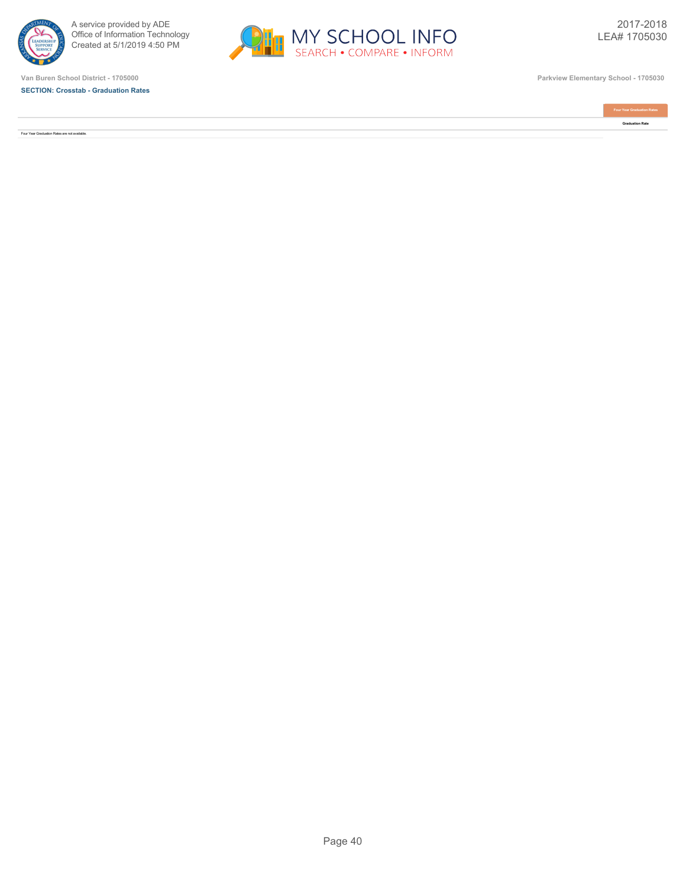

A service provided by ADE Office of Information Technology Created at 5/1/2019 4:50 PM

**SECTION: Crosstab - Graduation Rates**



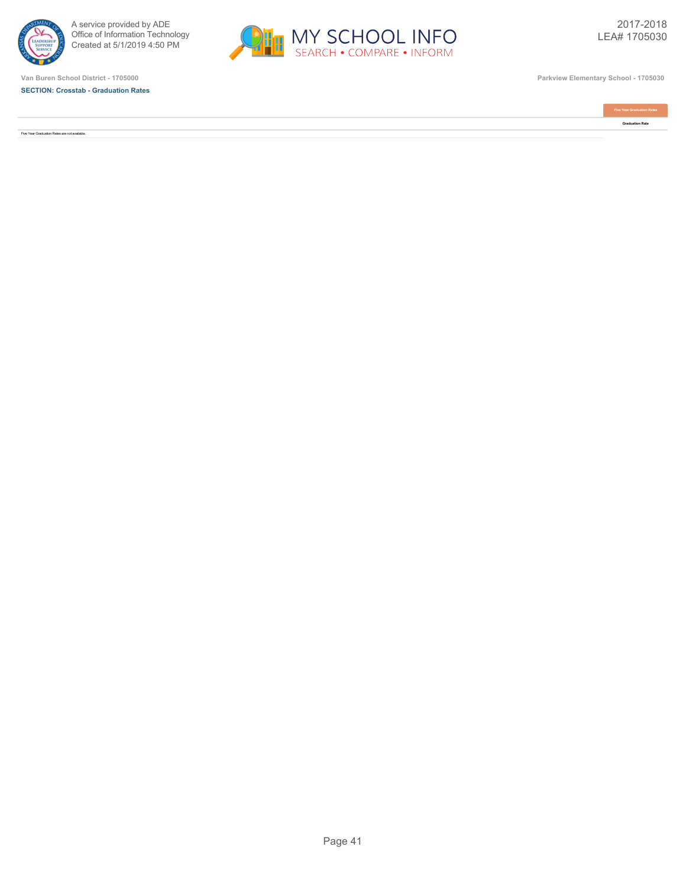

A service provided by ADE Office of Information Technology Created at 5/1/2019 4:50 PM

**SECTION: Crosstab - Graduation Rates**